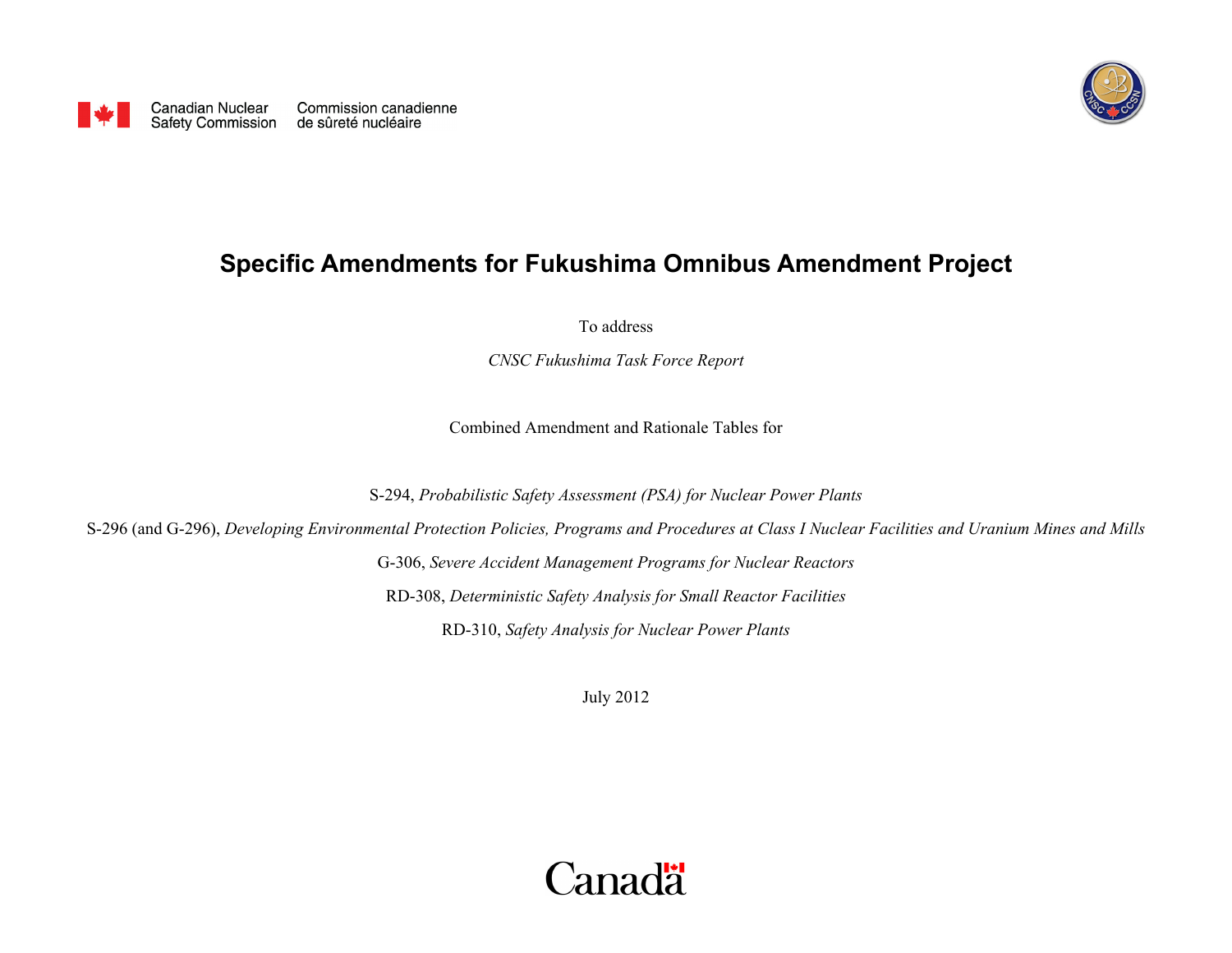

## <span id="page-0-0"></span>**Specific Amendments for Fukushima Omnibus Amendment Project**

To address

*CNSC Fukushima Task Force Report* 

Combined Amendment and Rationale Tables for

S-294, *Probabilistic Safety Assessment (PSA) for Nuclear Power Plants*

S-296 (and G-296), *Developing Environmental Protection Policies, Programs and Procedures at Class I Nuclear Facilities and Uranium Mines and Mills*

G-306, *Severe Accident Management Programs for Nuclear Reactors* RD-308, *Deterministic Safety Analysis for Small Reactor Facilities*

RD-310, *Safety Analysis for Nuclear Power Plants*

July 2012

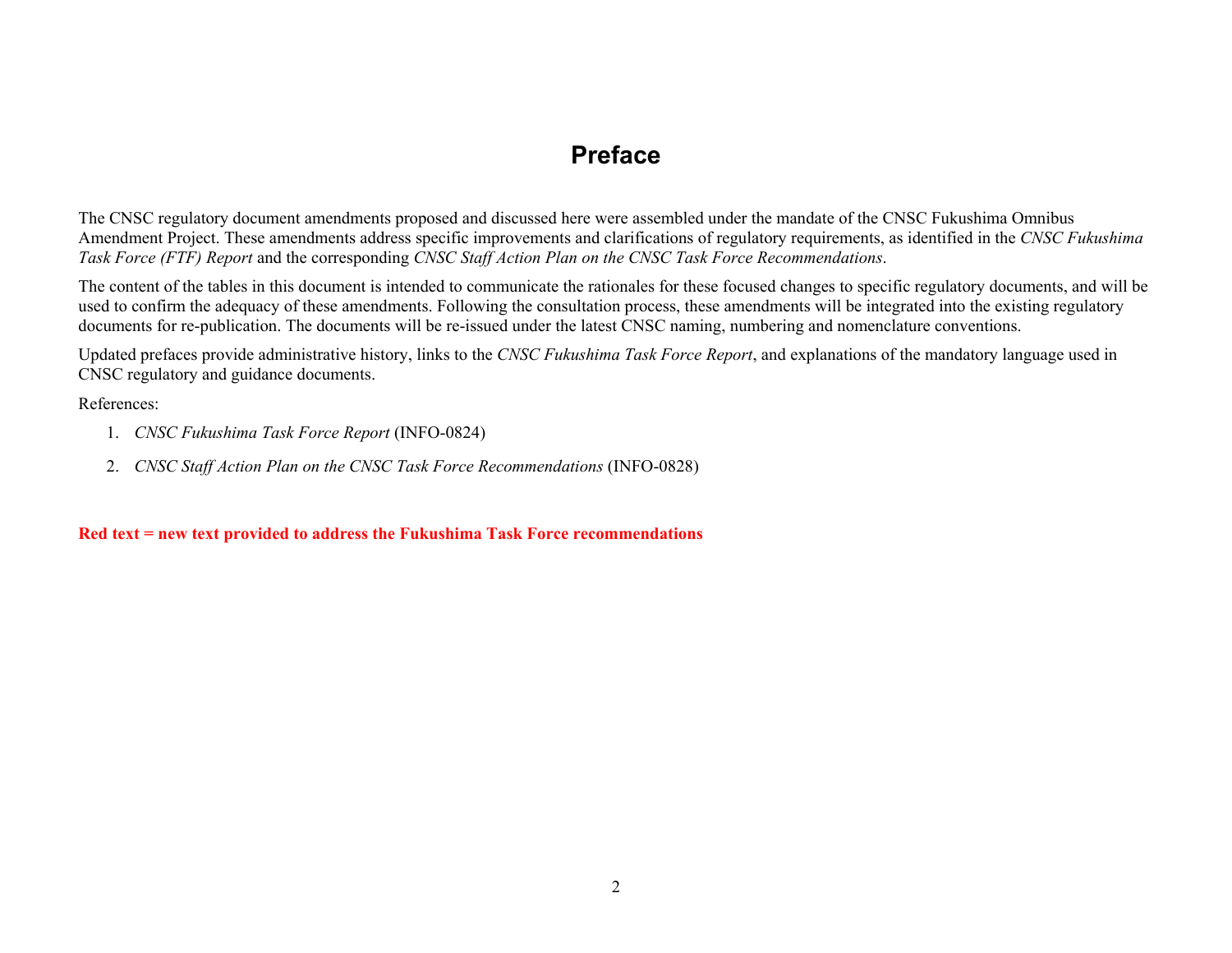#### **Preface**

<span id="page-1-0"></span>The CNSC regulatory document amendments proposed and discussed here were assembled under the mandate of the CNSC Fukushima Omnibus Amendment Project. These amendments address specific improvements and clarifications of regulatory requirements, as identified in the *CNSC Fukushima Task Force (FTF) Report* and the corresponding *CNSC Staff Action Plan on the CNSC Task Force Recommendations*.

The content of the tables in this document is intended to communicate the rationales for these focused changes to specific regulatory documents, and will be used to confirm the adequacy of these amendments. Following the consultation process, these amendments will be integrated into the existing regulatory documents for re-publication. The documents will be re-issued under the latest CNSC naming, numbering and nomenclature conventions.

Updated prefaces provide administrative history, links to the *CNSC Fukushima Task Force Report*, and explanations of the mandatory language used in CNSC regulatory and guidance documents.

References:

- 1. *CNSC Fukushima Task Force Report* (INFO-0824)
- 2. *CNSC Staff Action Plan on the CNSC Task Force Recommendations* (INFO-0828)

**Red text = new text provided to address the Fukushima Task Force recommendations**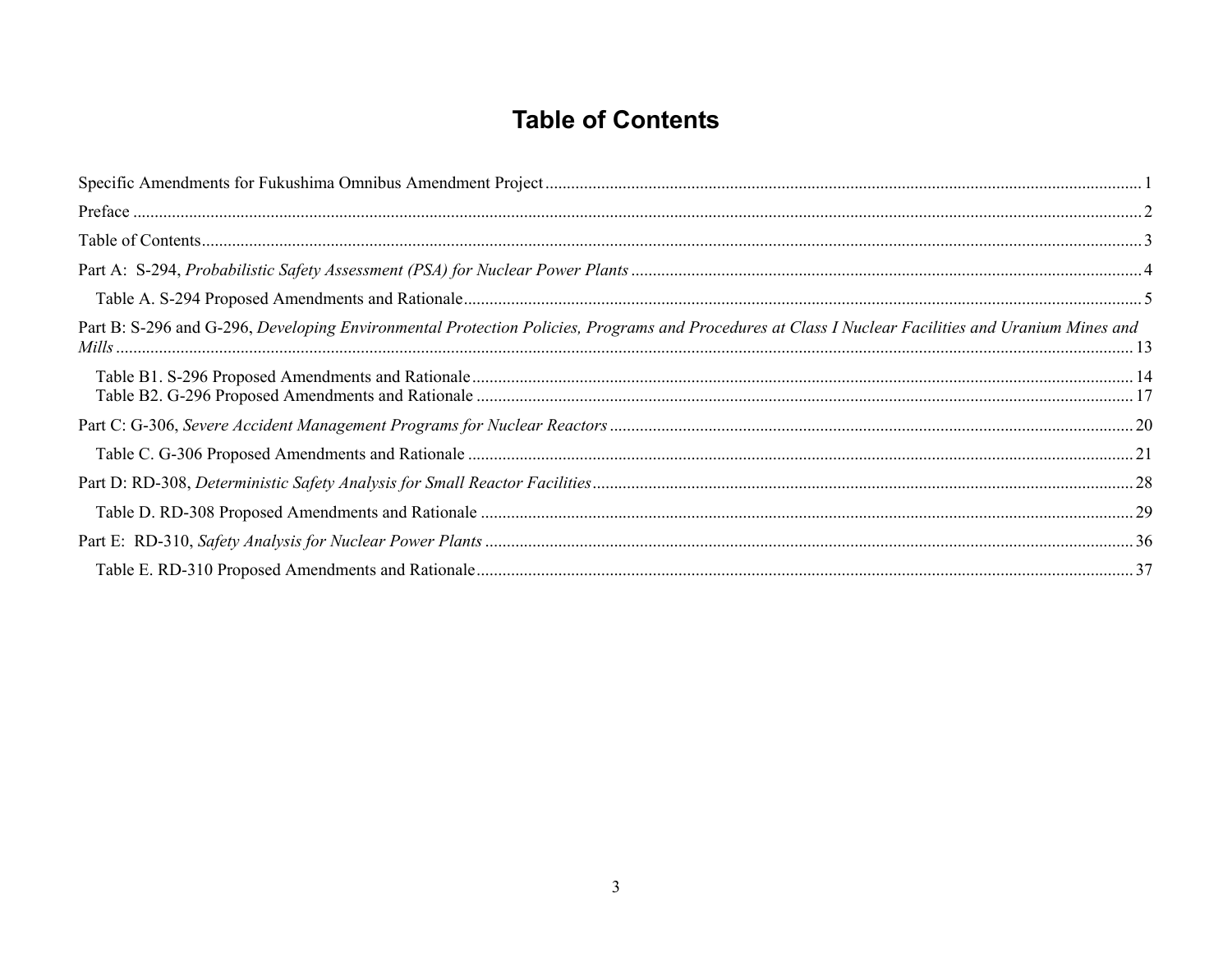## **Table of Contents**

<span id="page-2-0"></span>

| Part B: S-296 and G-296, Developing Environmental Protection Policies, Programs and Procedures at Class I Nuclear Facilities and Uranium Mines and<br><i>Mills</i> |  |
|--------------------------------------------------------------------------------------------------------------------------------------------------------------------|--|
|                                                                                                                                                                    |  |
|                                                                                                                                                                    |  |
|                                                                                                                                                                    |  |
|                                                                                                                                                                    |  |
|                                                                                                                                                                    |  |
|                                                                                                                                                                    |  |
|                                                                                                                                                                    |  |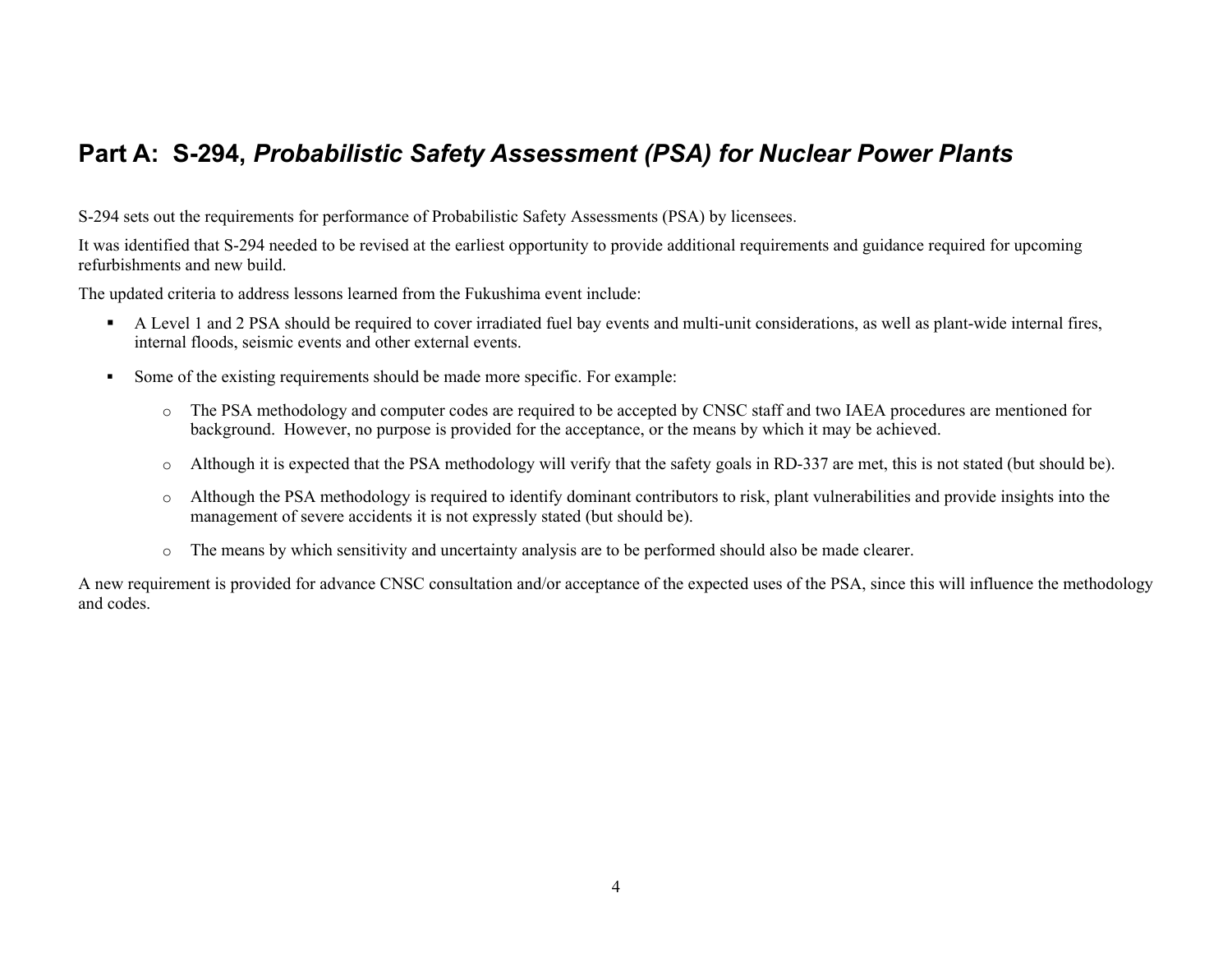### <span id="page-3-0"></span>**Part A: S-294,** *Probabilistic Safety Assessment (PSA) for Nuclear Power Plants*

S-294 sets out the requirements for performance of Probabilistic Safety Assessments (PSA) by licensees.

It was identified that S-294 needed to be revised at the earliest opportunity to provide additional requirements and guidance required for upcoming refurbishments and new build.

The updated criteria to address lessons learned from the Fukushima event include:

- A Level 1 and 2 PSA should be required to cover irradiated fuel bay events and multi-unit considerations, as well as plant-wide internal fires, internal floods, seismic events and other external events.
- $\blacksquare$  Some of the existing requirements should be made more specific. For example:
	- o The PSA methodology and computer codes are required to be accepted by CNSC staff and two IAEA procedures are mentioned for background. However, no purpose is provided for the acceptance, or the means by which it may be achieved.
	- oAlthough it is expected that the PSA methodology will verify that the safety goals in RD-337 are met, this is not stated (but should be).
	- o Although the PSA methodology is required to identify dominant contributors to risk, plant vulnerabilities and provide insights into the management of severe accidents it is not expressly stated (but should be).
	- o The means by which sensitivity and uncertainty analysis are to be performed should also be made clearer.

A new requirement is provided for advance CNSC consultation and/or acceptance of the expected uses of the PSA, since this will influence the methodology and codes.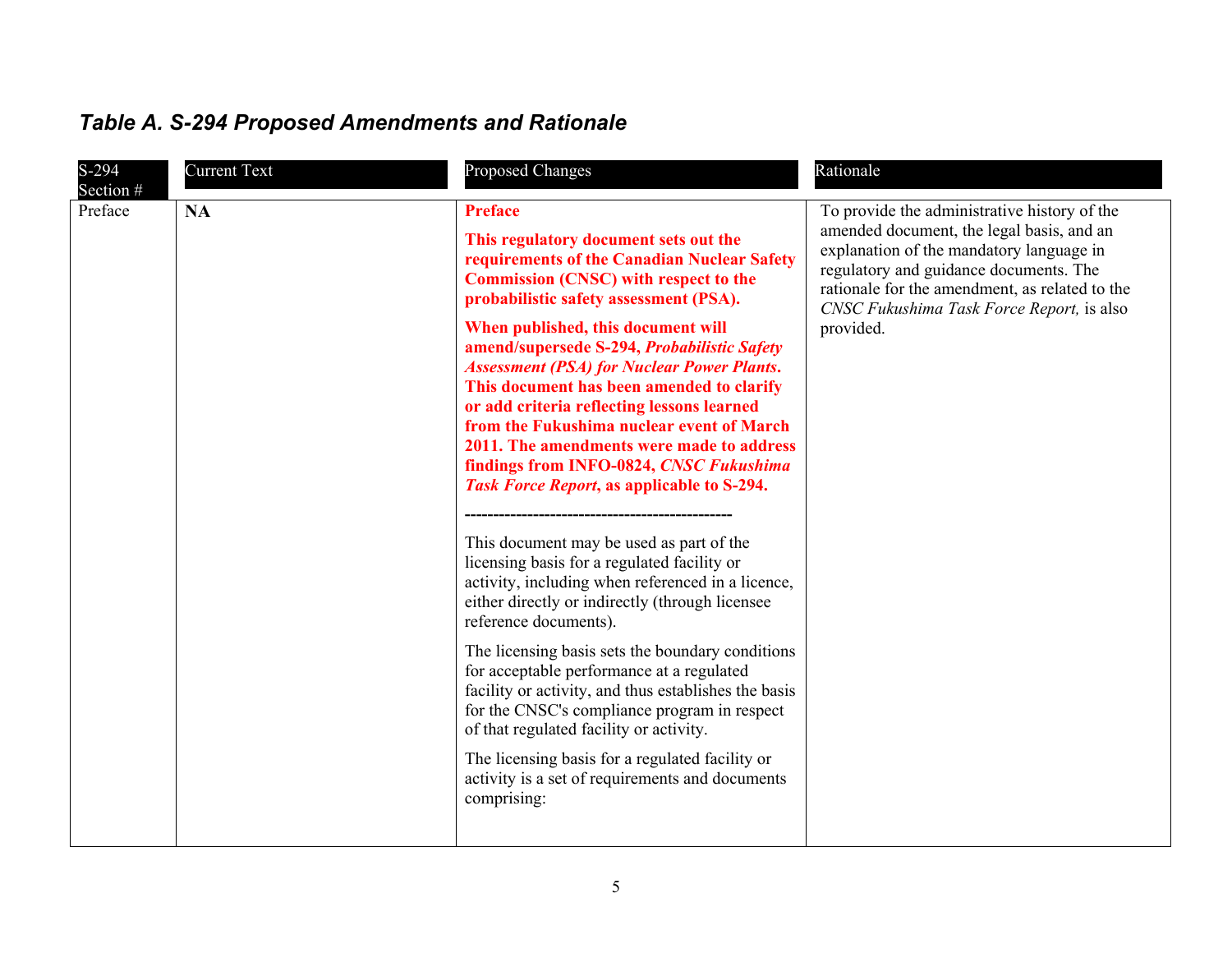<span id="page-4-0"></span>

| <b>Table A. S-294 Proposed Amendments and Rationale</b> |  |
|---------------------------------------------------------|--|
|---------------------------------------------------------|--|

| S-294                | <b>Current Text</b> | Proposed Changes                                                                                                                                                                                                                                                                                                                                                                                                                                                                                                                                                                                                                                                                                                                                                                                                                                     | Rationale                                                                                                                                                                                                                                                                                   |
|----------------------|---------------------|------------------------------------------------------------------------------------------------------------------------------------------------------------------------------------------------------------------------------------------------------------------------------------------------------------------------------------------------------------------------------------------------------------------------------------------------------------------------------------------------------------------------------------------------------------------------------------------------------------------------------------------------------------------------------------------------------------------------------------------------------------------------------------------------------------------------------------------------------|---------------------------------------------------------------------------------------------------------------------------------------------------------------------------------------------------------------------------------------------------------------------------------------------|
| Section #<br>Preface | <b>NA</b>           | <b>Preface</b><br>This regulatory document sets out the<br>requirements of the Canadian Nuclear Safety<br><b>Commission (CNSC) with respect to the</b><br>probabilistic safety assessment (PSA).<br>When published, this document will<br>amend/supersede S-294, Probabilistic Safety<br><b>Assessment (PSA) for Nuclear Power Plants.</b><br>This document has been amended to clarify<br>or add criteria reflecting lessons learned<br>from the Fukushima nuclear event of March<br>2011. The amendments were made to address<br>findings from INFO-0824, CNSC Fukushima<br>Task Force Report, as applicable to S-294.<br>This document may be used as part of the<br>licensing basis for a regulated facility or<br>activity, including when referenced in a licence,<br>either directly or indirectly (through licensee<br>reference documents). | To provide the administrative history of the<br>amended document, the legal basis, and an<br>explanation of the mandatory language in<br>regulatory and guidance documents. The<br>rationale for the amendment, as related to the<br>CNSC Fukushima Task Force Report, is also<br>provided. |
|                      |                     | The licensing basis sets the boundary conditions<br>for acceptable performance at a regulated<br>facility or activity, and thus establishes the basis<br>for the CNSC's compliance program in respect<br>of that regulated facility or activity.<br>The licensing basis for a regulated facility or<br>activity is a set of requirements and documents<br>comprising:                                                                                                                                                                                                                                                                                                                                                                                                                                                                                |                                                                                                                                                                                                                                                                                             |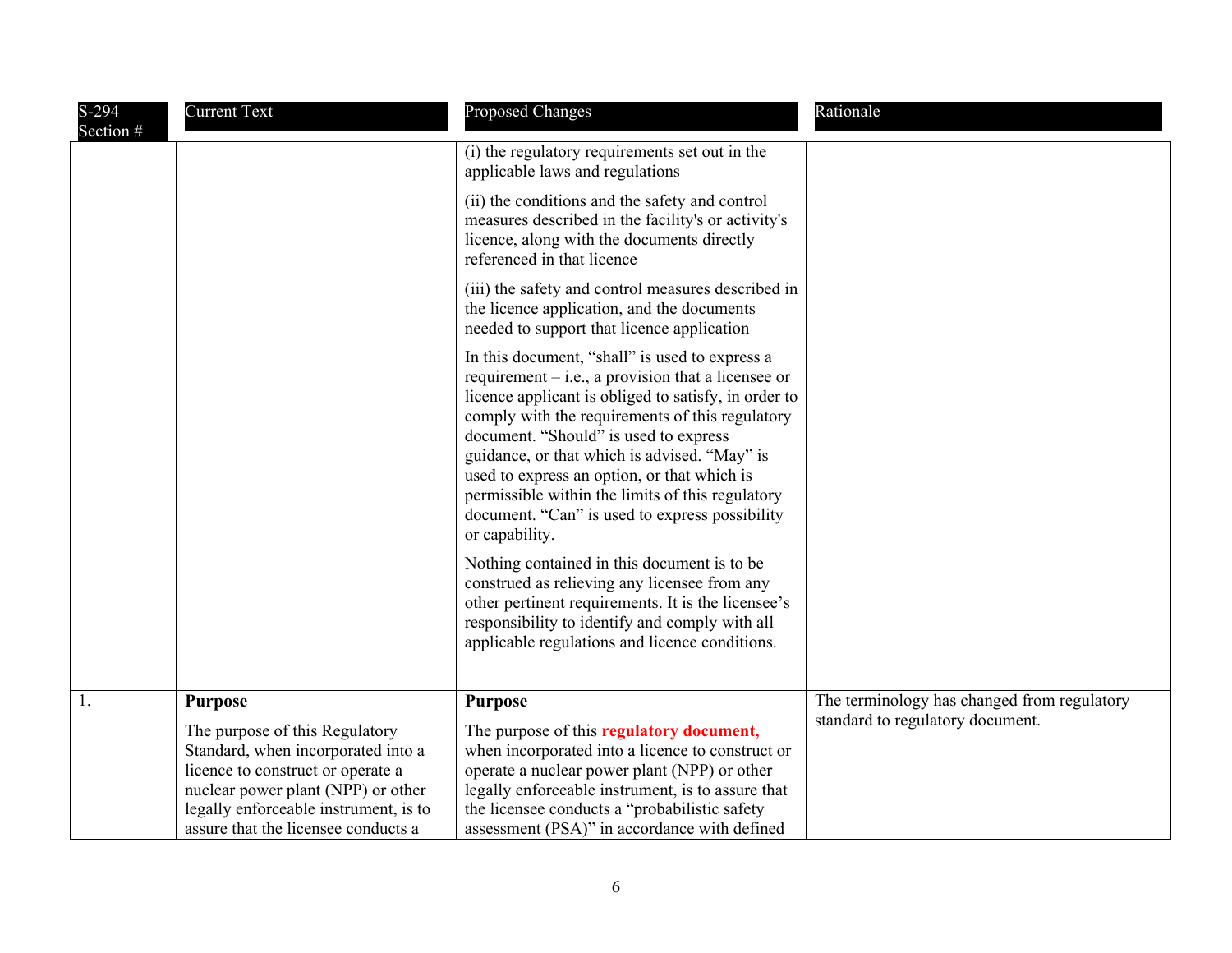| $S-294$<br>Section # | <b>Current Text</b>                                                                                                                                                                                                                               | <b>Proposed Changes</b>                                                                                                                                                                                                                                                                                                                                                                                                                                                           | Rationale                                                                       |
|----------------------|---------------------------------------------------------------------------------------------------------------------------------------------------------------------------------------------------------------------------------------------------|-----------------------------------------------------------------------------------------------------------------------------------------------------------------------------------------------------------------------------------------------------------------------------------------------------------------------------------------------------------------------------------------------------------------------------------------------------------------------------------|---------------------------------------------------------------------------------|
|                      |                                                                                                                                                                                                                                                   | (i) the regulatory requirements set out in the<br>applicable laws and regulations                                                                                                                                                                                                                                                                                                                                                                                                 |                                                                                 |
|                      |                                                                                                                                                                                                                                                   | (ii) the conditions and the safety and control<br>measures described in the facility's or activity's<br>licence, along with the documents directly<br>referenced in that licence                                                                                                                                                                                                                                                                                                  |                                                                                 |
|                      |                                                                                                                                                                                                                                                   | (iii) the safety and control measures described in<br>the licence application, and the documents<br>needed to support that licence application                                                                                                                                                                                                                                                                                                                                    |                                                                                 |
|                      |                                                                                                                                                                                                                                                   | In this document, "shall" is used to express a<br>requirement $-$ i.e., a provision that a licensee or<br>licence applicant is obliged to satisfy, in order to<br>comply with the requirements of this regulatory<br>document. "Should" is used to express<br>guidance, or that which is advised. "May" is<br>used to express an option, or that which is<br>permissible within the limits of this regulatory<br>document. "Can" is used to express possibility<br>or capability. |                                                                                 |
|                      |                                                                                                                                                                                                                                                   | Nothing contained in this document is to be<br>construed as relieving any licensee from any<br>other pertinent requirements. It is the licensee's<br>responsibility to identify and comply with all<br>applicable regulations and licence conditions.                                                                                                                                                                                                                             |                                                                                 |
| 1.                   | <b>Purpose</b><br>The purpose of this Regulatory<br>Standard, when incorporated into a<br>licence to construct or operate a<br>nuclear power plant (NPP) or other<br>legally enforceable instrument, is to<br>assure that the licensee conducts a | <b>Purpose</b><br>The purpose of this regulatory document,<br>when incorporated into a licence to construct or<br>operate a nuclear power plant (NPP) or other<br>legally enforceable instrument, is to assure that<br>the licensee conducts a "probabilistic safety<br>assessment (PSA)" in accordance with defined                                                                                                                                                              | The terminology has changed from regulatory<br>standard to regulatory document. |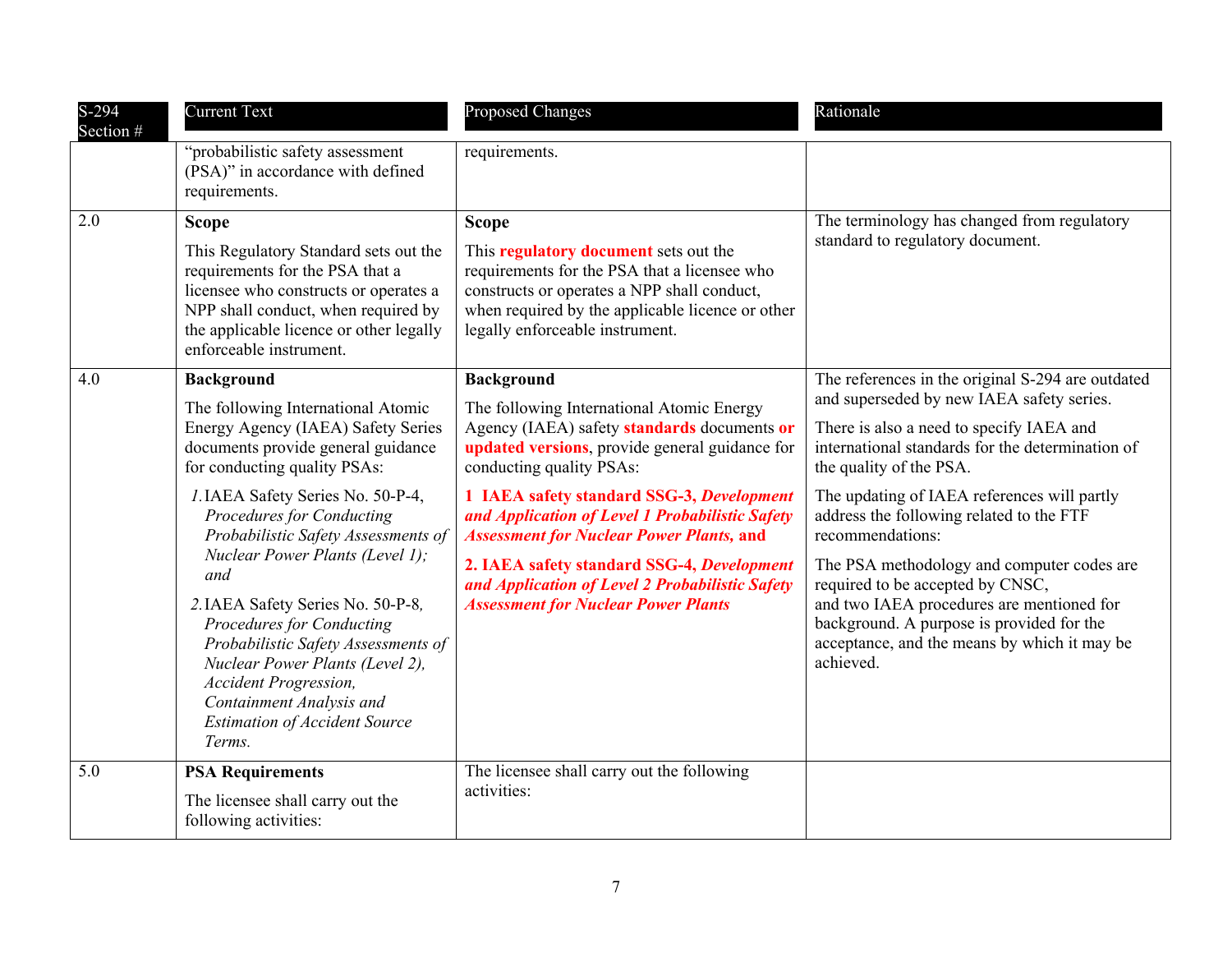| $S-294$<br>Section # | <b>Current Text</b>                                                                                                                                                                                                                             | <b>Proposed Changes</b>                                                                                                                                                                                                            | Rationale                                                                                                                                                            |
|----------------------|-------------------------------------------------------------------------------------------------------------------------------------------------------------------------------------------------------------------------------------------------|------------------------------------------------------------------------------------------------------------------------------------------------------------------------------------------------------------------------------------|----------------------------------------------------------------------------------------------------------------------------------------------------------------------|
|                      | "probabilistic safety assessment<br>(PSA)" in accordance with defined<br>requirements.                                                                                                                                                          | requirements.                                                                                                                                                                                                                      |                                                                                                                                                                      |
| 2.0                  | <b>Scope</b>                                                                                                                                                                                                                                    | <b>Scope</b>                                                                                                                                                                                                                       | The terminology has changed from regulatory                                                                                                                          |
|                      | This Regulatory Standard sets out the<br>requirements for the PSA that a<br>licensee who constructs or operates a<br>NPP shall conduct, when required by<br>the applicable licence or other legally<br>enforceable instrument.                  | This <b>regulatory document</b> sets out the<br>requirements for the PSA that a licensee who<br>constructs or operates a NPP shall conduct,<br>when required by the applicable licence or other<br>legally enforceable instrument. | standard to regulatory document.                                                                                                                                     |
| 4.0                  | <b>Background</b>                                                                                                                                                                                                                               | <b>Background</b>                                                                                                                                                                                                                  | The references in the original S-294 are outdated                                                                                                                    |
|                      | The following International Atomic<br>Energy Agency (IAEA) Safety Series<br>documents provide general guidance<br>for conducting quality PSAs:                                                                                                  | The following International Atomic Energy<br>Agency (IAEA) safety standards documents or<br>updated versions, provide general guidance for<br>conducting quality PSAs:                                                             | and superseded by new IAEA safety series.<br>There is also a need to specify IAEA and<br>international standards for the determination of<br>the quality of the PSA. |
|                      | I. IAEA Safety Series No. 50-P-4,<br><b>Procedures for Conducting</b><br>Probabilistic Safety Assessments of<br>Nuclear Power Plants (Level 1);<br>and                                                                                          | 1 IAEA safety standard SSG-3, Development<br>and Application of Level 1 Probabilistic Safety<br><b>Assessment for Nuclear Power Plants, and</b>                                                                                    | The updating of IAEA references will partly<br>address the following related to the FTF<br>recommendations:                                                          |
|                      |                                                                                                                                                                                                                                                 | 2. IAEA safety standard SSG-4, Development<br>and Application of Level 2 Probabilistic Safety                                                                                                                                      | The PSA methodology and computer codes are<br>required to be accepted by CNSC,                                                                                       |
|                      | 2. IAEA Safety Series No. 50-P-8,<br>Procedures for Conducting<br>Probabilistic Safety Assessments of<br>Nuclear Power Plants (Level 2),<br>Accident Progression,<br>Containment Analysis and<br><b>Estimation of Accident Source</b><br>Terms. | <b>Assessment for Nuclear Power Plants</b>                                                                                                                                                                                         | and two IAEA procedures are mentioned for<br>background. A purpose is provided for the<br>acceptance, and the means by which it may be<br>achieved.                  |
| 5.0                  | <b>PSA Requirements</b><br>The licensee shall carry out the                                                                                                                                                                                     | The licensee shall carry out the following<br>activities:                                                                                                                                                                          |                                                                                                                                                                      |
|                      | following activities:                                                                                                                                                                                                                           |                                                                                                                                                                                                                                    |                                                                                                                                                                      |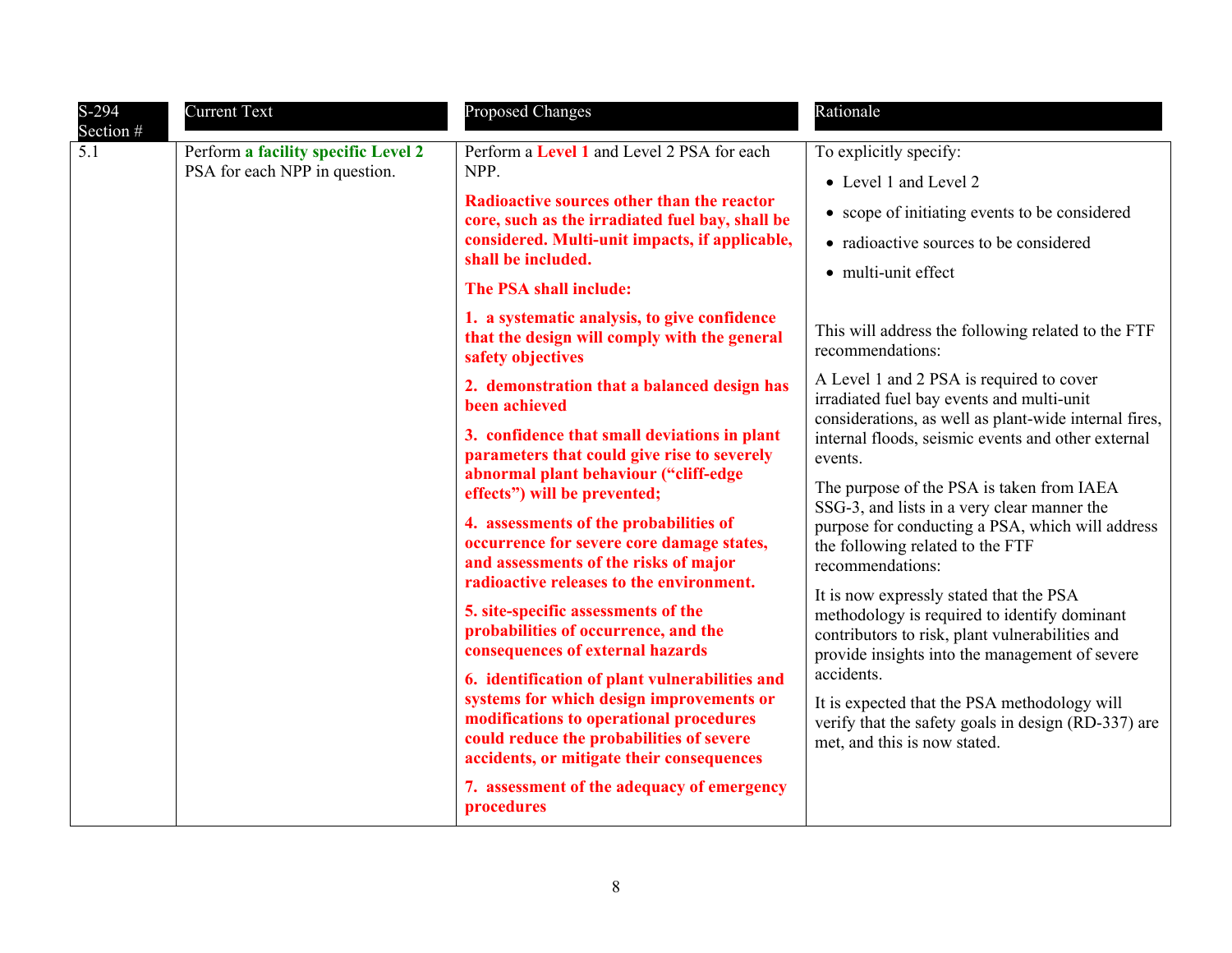| $S-294$          | <b>Current Text</b>                                                  | <b>Proposed Changes</b>                                                                                                                                                                                                                                                                                                                                                                                                                                                                                                                                                                                                   | Rationale                                                                                                                                                                                                                                                                                                                                                                                                                                                                                                                                                  |
|------------------|----------------------------------------------------------------------|---------------------------------------------------------------------------------------------------------------------------------------------------------------------------------------------------------------------------------------------------------------------------------------------------------------------------------------------------------------------------------------------------------------------------------------------------------------------------------------------------------------------------------------------------------------------------------------------------------------------------|------------------------------------------------------------------------------------------------------------------------------------------------------------------------------------------------------------------------------------------------------------------------------------------------------------------------------------------------------------------------------------------------------------------------------------------------------------------------------------------------------------------------------------------------------------|
| Section #<br>5.1 | Perform a facility specific Level 2<br>PSA for each NPP in question. | Perform a Level 1 and Level 2 PSA for each<br>NPP.<br><b>Radioactive sources other than the reactor</b><br>core, such as the irradiated fuel bay, shall be<br>considered. Multi-unit impacts, if applicable,<br>shall be included.<br>The PSA shall include:<br>1. a systematic analysis, to give confidence<br>that the design will comply with the general<br>safety objectives<br>2. demonstration that a balanced design has<br>been achieved<br>3. confidence that small deviations in plant<br>parameters that could give rise to severely<br>abnormal plant behaviour ("cliff-edge<br>effects") will be prevented; | To explicitly specify:<br>• Level 1 and Level 2<br>• scope of initiating events to be considered<br>• radioactive sources to be considered<br>• multi-unit effect<br>This will address the following related to the FTF<br>recommendations:<br>A Level 1 and 2 PSA is required to cover<br>irradiated fuel bay events and multi-unit<br>considerations, as well as plant-wide internal fires,<br>internal floods, seismic events and other external<br>events.<br>The purpose of the PSA is taken from IAEA<br>SSG-3, and lists in a very clear manner the |
|                  |                                                                      | 4. assessments of the probabilities of<br>occurrence for severe core damage states,<br>and assessments of the risks of major<br>radioactive releases to the environment.<br>5. site-specific assessments of the<br>probabilities of occurrence, and the<br>consequences of external hazards<br>6. identification of plant vulnerabilities and<br>systems for which design improvements or<br>modifications to operational procedures<br>could reduce the probabilities of severe<br>accidents, or mitigate their consequences<br>7. assessment of the adequacy of emergency<br>procedures                                 | purpose for conducting a PSA, which will address<br>the following related to the FTF<br>recommendations:<br>It is now expressly stated that the PSA<br>methodology is required to identify dominant<br>contributors to risk, plant vulnerabilities and<br>provide insights into the management of severe<br>accidents.<br>It is expected that the PSA methodology will<br>verify that the safety goals in design (RD-337) are<br>met, and this is now stated.                                                                                              |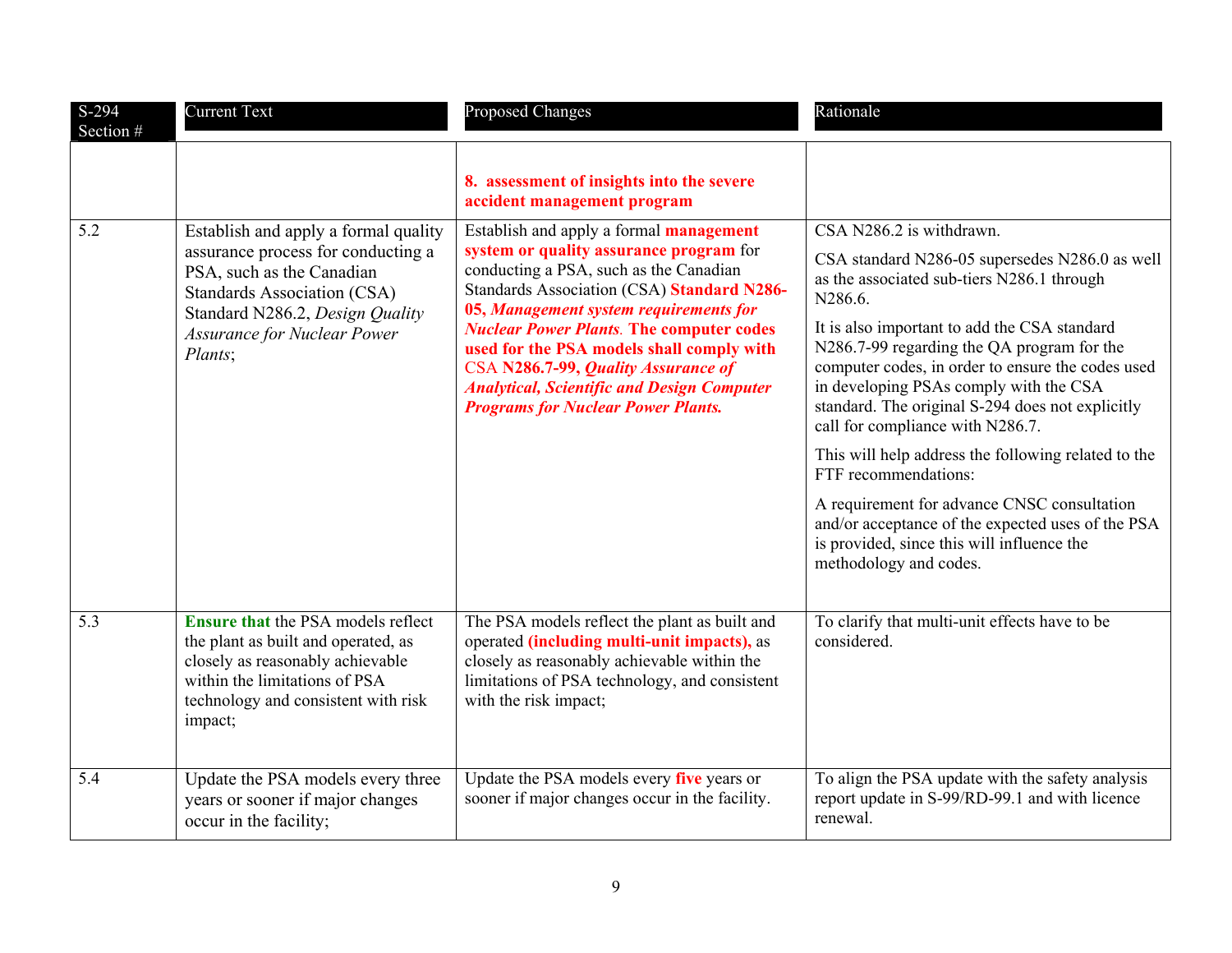| $S-294$<br>Section # | <b>Current Text</b>                                                                                                                                                                                                               | <b>Proposed Changes</b>                                                                                                                                                                                                                                                                                                                                                                                                                                              | Rationale                                                                                                                                                                                                                                                                                                                                                                                                                                                                                               |
|----------------------|-----------------------------------------------------------------------------------------------------------------------------------------------------------------------------------------------------------------------------------|----------------------------------------------------------------------------------------------------------------------------------------------------------------------------------------------------------------------------------------------------------------------------------------------------------------------------------------------------------------------------------------------------------------------------------------------------------------------|---------------------------------------------------------------------------------------------------------------------------------------------------------------------------------------------------------------------------------------------------------------------------------------------------------------------------------------------------------------------------------------------------------------------------------------------------------------------------------------------------------|
|                      |                                                                                                                                                                                                                                   | 8. assessment of insights into the severe<br>accident management program                                                                                                                                                                                                                                                                                                                                                                                             |                                                                                                                                                                                                                                                                                                                                                                                                                                                                                                         |
| 5.2                  | Establish and apply a formal quality<br>assurance process for conducting a<br>PSA, such as the Canadian<br><b>Standards Association (CSA)</b><br>Standard N286.2, Design Quality<br><b>Assurance for Nuclear Power</b><br>Plants; | Establish and apply a formal <b>management</b><br>system or quality assurance program for<br>conducting a PSA, such as the Canadian<br>Standards Association (CSA) Standard N286-<br>05, Management system requirements for<br><b>Nuclear Power Plants. The computer codes</b><br>used for the PSA models shall comply with<br>CSA N286.7-99, Quality Assurance of<br><b>Analytical, Scientific and Design Computer</b><br><b>Programs for Nuclear Power Plants.</b> | CSA N286.2 is withdrawn.<br>CSA standard N286-05 supersedes N286.0 as well<br>as the associated sub-tiers N286.1 through<br>N286.6.<br>It is also important to add the CSA standard<br>N286.7-99 regarding the QA program for the<br>computer codes, in order to ensure the codes used<br>in developing PSAs comply with the CSA<br>standard. The original S-294 does not explicitly<br>call for compliance with N286.7.<br>This will help address the following related to the<br>FTF recommendations: |
|                      |                                                                                                                                                                                                                                   |                                                                                                                                                                                                                                                                                                                                                                                                                                                                      | A requirement for advance CNSC consultation<br>and/or acceptance of the expected uses of the PSA<br>is provided, since this will influence the<br>methodology and codes.                                                                                                                                                                                                                                                                                                                                |
| 5.3                  | <b>Ensure that the PSA models reflect</b><br>the plant as built and operated, as<br>closely as reasonably achievable<br>within the limitations of PSA<br>technology and consistent with risk<br>impact;                           | The PSA models reflect the plant as built and<br>operated <i>(including multi-unit impacts)</i> , as<br>closely as reasonably achievable within the<br>limitations of PSA technology, and consistent<br>with the risk impact;                                                                                                                                                                                                                                        | To clarify that multi-unit effects have to be<br>considered.                                                                                                                                                                                                                                                                                                                                                                                                                                            |
| 5.4                  | Update the PSA models every three<br>years or sooner if major changes<br>occur in the facility;                                                                                                                                   | Update the PSA models every five years or<br>sooner if major changes occur in the facility.                                                                                                                                                                                                                                                                                                                                                                          | To align the PSA update with the safety analysis<br>report update in S-99/RD-99.1 and with licence<br>renewal.                                                                                                                                                                                                                                                                                                                                                                                          |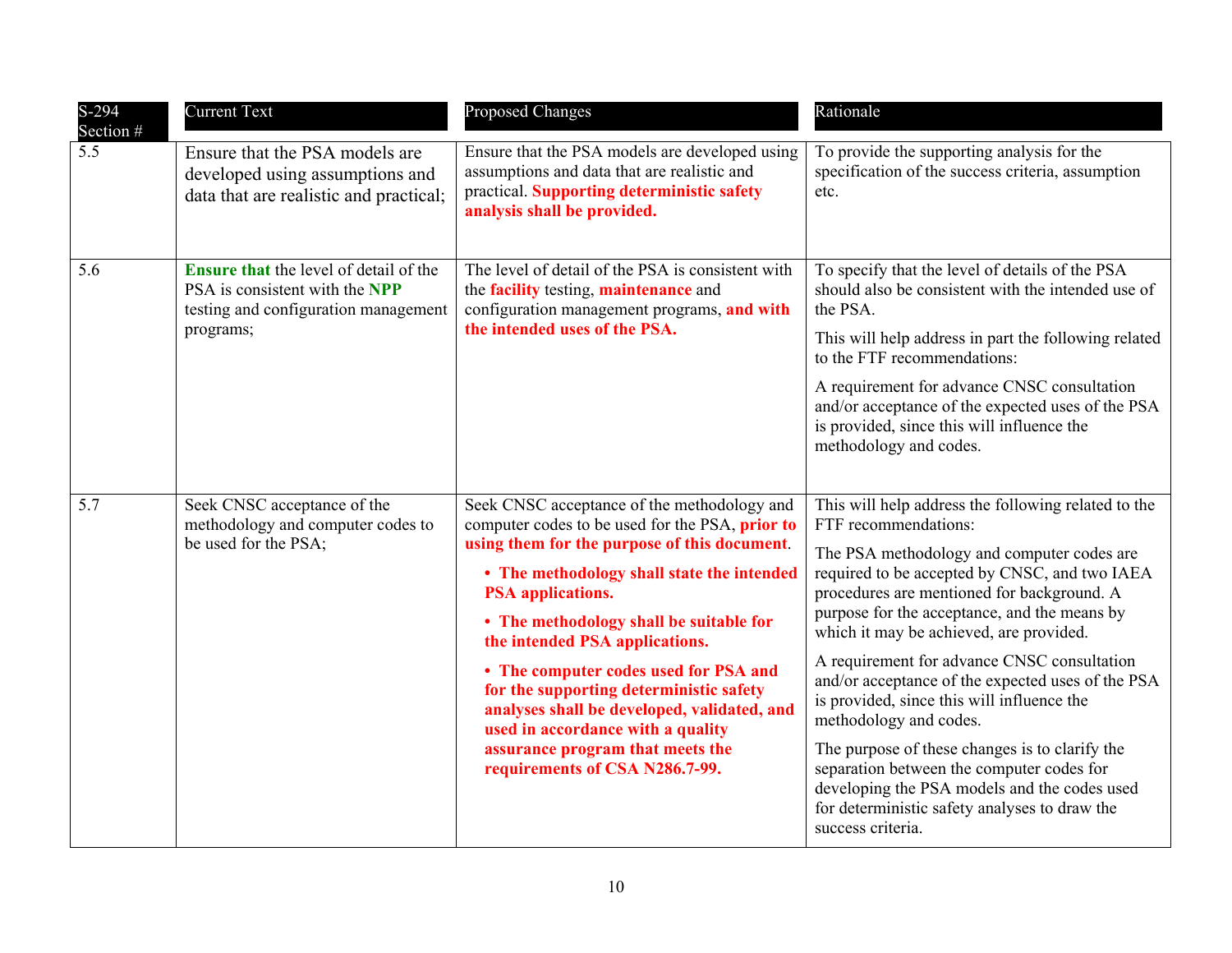| $S-294$<br>Section # | <b>Current Text</b>                                                                                                                  | <b>Proposed Changes</b>                                                                                                                                                                                                                                                                                                                                                                                                                                                                                                                             | Rationale                                                                                                                                                                                                                                                                                                                                                                                                                                                                                                                                                                                                                                                                                                            |
|----------------------|--------------------------------------------------------------------------------------------------------------------------------------|-----------------------------------------------------------------------------------------------------------------------------------------------------------------------------------------------------------------------------------------------------------------------------------------------------------------------------------------------------------------------------------------------------------------------------------------------------------------------------------------------------------------------------------------------------|----------------------------------------------------------------------------------------------------------------------------------------------------------------------------------------------------------------------------------------------------------------------------------------------------------------------------------------------------------------------------------------------------------------------------------------------------------------------------------------------------------------------------------------------------------------------------------------------------------------------------------------------------------------------------------------------------------------------|
| 5.5                  | Ensure that the PSA models are<br>developed using assumptions and<br>data that are realistic and practical;                          | Ensure that the PSA models are developed using<br>assumptions and data that are realistic and<br>practical. Supporting deterministic safety<br>analysis shall be provided.                                                                                                                                                                                                                                                                                                                                                                          | To provide the supporting analysis for the<br>specification of the success criteria, assumption<br>etc.                                                                                                                                                                                                                                                                                                                                                                                                                                                                                                                                                                                                              |
| 5.6                  | <b>Ensure that the level of detail of the</b><br>PSA is consistent with the NPP<br>testing and configuration management<br>programs; | The level of detail of the PSA is consistent with<br>the <b>facility</b> testing, <b>maintenance</b> and<br>configuration management programs, and with<br>the intended uses of the PSA.                                                                                                                                                                                                                                                                                                                                                            | To specify that the level of details of the PSA<br>should also be consistent with the intended use of<br>the PSA.<br>This will help address in part the following related<br>to the FTF recommendations:<br>A requirement for advance CNSC consultation<br>and/or acceptance of the expected uses of the PSA<br>is provided, since this will influence the<br>methodology and codes.                                                                                                                                                                                                                                                                                                                                 |
| 5.7                  | Seek CNSC acceptance of the<br>methodology and computer codes to<br>be used for the PSA;                                             | Seek CNSC acceptance of the methodology and<br>computer codes to be used for the PSA, prior to<br>using them for the purpose of this document.<br>• The methodology shall state the intended<br><b>PSA</b> applications.<br>• The methodology shall be suitable for<br>the intended PSA applications.<br>• The computer codes used for PSA and<br>for the supporting deterministic safety<br>analyses shall be developed, validated, and<br>used in accordance with a quality<br>assurance program that meets the<br>requirements of CSA N286.7-99. | This will help address the following related to the<br>FTF recommendations:<br>The PSA methodology and computer codes are<br>required to be accepted by CNSC, and two IAEA<br>procedures are mentioned for background. A<br>purpose for the acceptance, and the means by<br>which it may be achieved, are provided.<br>A requirement for advance CNSC consultation<br>and/or acceptance of the expected uses of the PSA<br>is provided, since this will influence the<br>methodology and codes.<br>The purpose of these changes is to clarify the<br>separation between the computer codes for<br>developing the PSA models and the codes used<br>for deterministic safety analyses to draw the<br>success criteria. |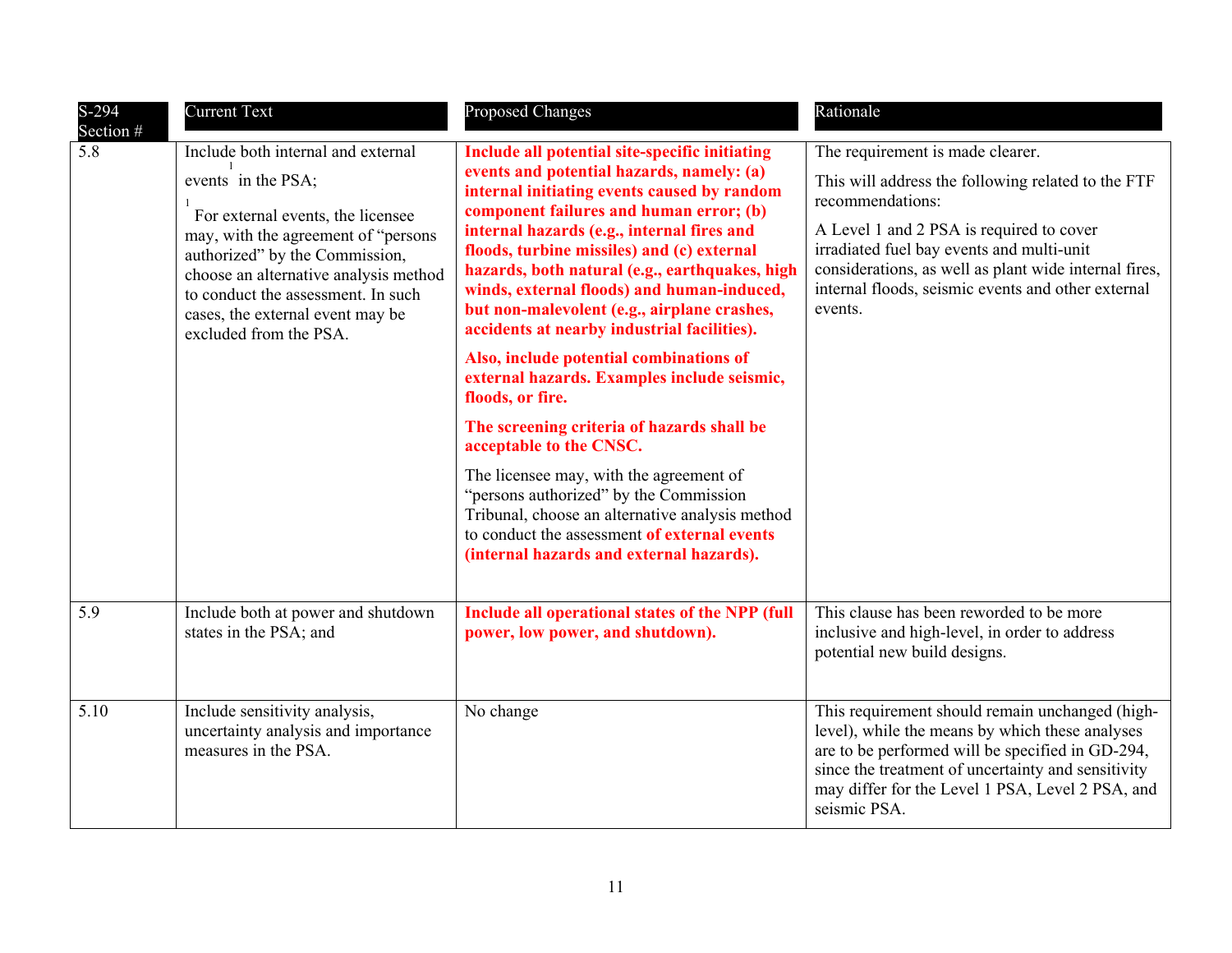| S-294<br>Section # | <b>Current Text</b>                                                                                                                                                                                                                                                                                                  | <b>Proposed Changes</b>                                                                                                                                                                                                                                                                                                                                                                                                                                                                                                                                                                                                                                                                                                                                                                                                                                                                                    | Rationale                                                                                                                                                                                                                                                                                                                     |
|--------------------|----------------------------------------------------------------------------------------------------------------------------------------------------------------------------------------------------------------------------------------------------------------------------------------------------------------------|------------------------------------------------------------------------------------------------------------------------------------------------------------------------------------------------------------------------------------------------------------------------------------------------------------------------------------------------------------------------------------------------------------------------------------------------------------------------------------------------------------------------------------------------------------------------------------------------------------------------------------------------------------------------------------------------------------------------------------------------------------------------------------------------------------------------------------------------------------------------------------------------------------|-------------------------------------------------------------------------------------------------------------------------------------------------------------------------------------------------------------------------------------------------------------------------------------------------------------------------------|
| 5.8                | Include both internal and external<br>events in the PSA;<br>For external events, the licensee<br>may, with the agreement of "persons"<br>authorized" by the Commission,<br>choose an alternative analysis method<br>to conduct the assessment. In such<br>cases, the external event may be<br>excluded from the PSA. | Include all potential site-specific initiating<br>events and potential hazards, namely: (a)<br>internal initiating events caused by random<br>component failures and human error; (b)<br>internal hazards (e.g., internal fires and<br>floods, turbine missiles) and (c) external<br>hazards, both natural (e.g., earthquakes, high<br>winds, external floods) and human-induced,<br>but non-malevolent (e.g., airplane crashes,<br>accidents at nearby industrial facilities).<br>Also, include potential combinations of<br>external hazards. Examples include seismic,<br>floods, or fire.<br>The screening criteria of hazards shall be<br>acceptable to the CNSC.<br>The licensee may, with the agreement of<br>"persons authorized" by the Commission<br>Tribunal, choose an alternative analysis method<br>to conduct the assessment of external events<br>(internal hazards and external hazards). | The requirement is made clearer.<br>This will address the following related to the FTF<br>recommendations:<br>A Level 1 and 2 PSA is required to cover<br>irradiated fuel bay events and multi-unit<br>considerations, as well as plant wide internal fires,<br>internal floods, seismic events and other external<br>events. |
| 5.9                | Include both at power and shutdown<br>states in the PSA; and                                                                                                                                                                                                                                                         | Include all operational states of the NPP (full<br>power, low power, and shutdown).                                                                                                                                                                                                                                                                                                                                                                                                                                                                                                                                                                                                                                                                                                                                                                                                                        | This clause has been reworded to be more<br>inclusive and high-level, in order to address<br>potential new build designs.                                                                                                                                                                                                     |
| 5.10               | Include sensitivity analysis,<br>uncertainty analysis and importance<br>measures in the PSA.                                                                                                                                                                                                                         | No change                                                                                                                                                                                                                                                                                                                                                                                                                                                                                                                                                                                                                                                                                                                                                                                                                                                                                                  | This requirement should remain unchanged (high-<br>level), while the means by which these analyses<br>are to be performed will be specified in GD-294,<br>since the treatment of uncertainty and sensitivity<br>may differ for the Level 1 PSA, Level 2 PSA, and<br>seismic PSA.                                              |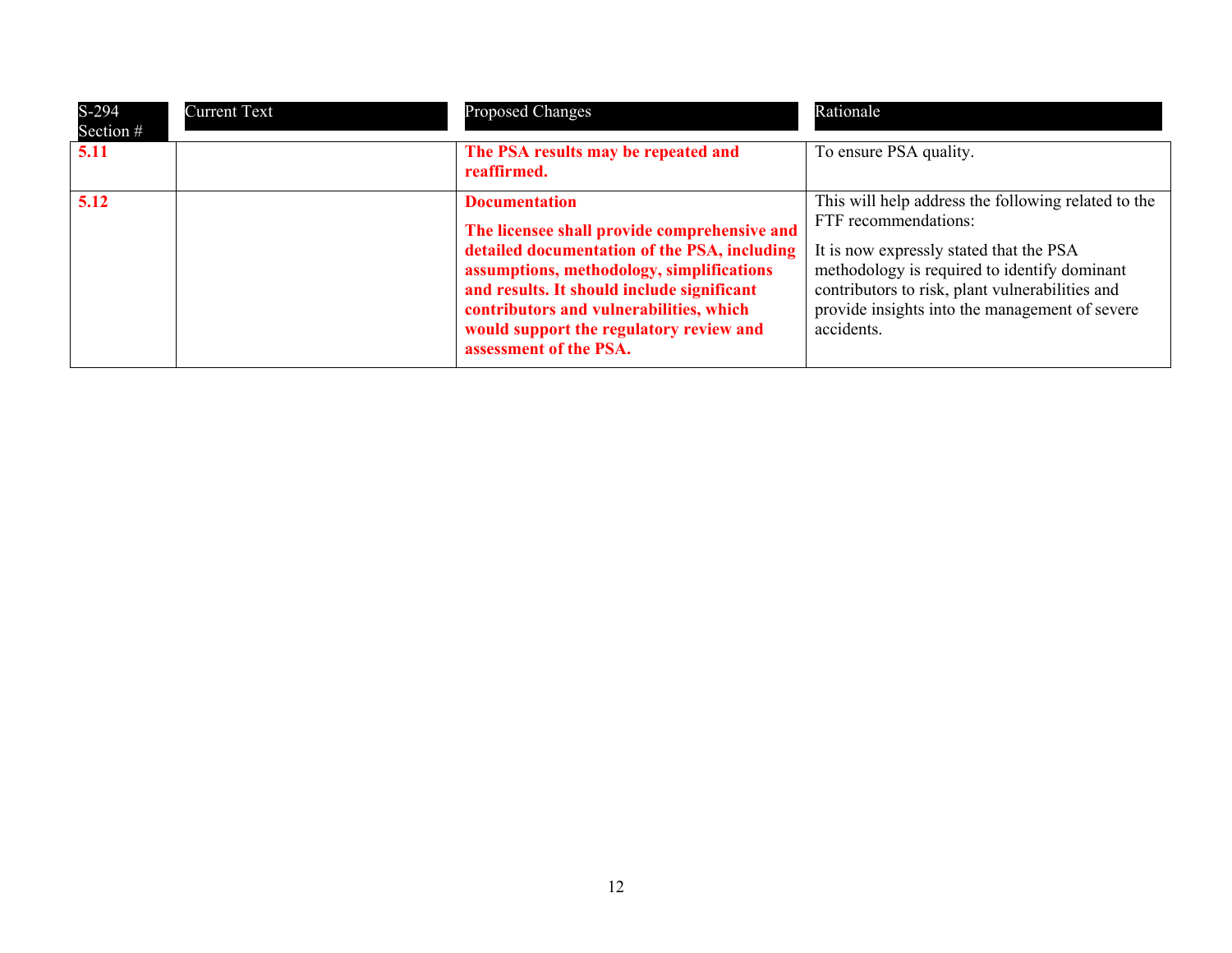| $S-294$<br>Section # | <b>Current Text</b> | <b>Proposed Changes</b>                                                                                                                                                                                                                                                                                                         | Rationale                                                                                                                                                                                                                                                                                 |
|----------------------|---------------------|---------------------------------------------------------------------------------------------------------------------------------------------------------------------------------------------------------------------------------------------------------------------------------------------------------------------------------|-------------------------------------------------------------------------------------------------------------------------------------------------------------------------------------------------------------------------------------------------------------------------------------------|
| 5.11                 |                     | The PSA results may be repeated and<br>reaffirmed.                                                                                                                                                                                                                                                                              | To ensure PSA quality.                                                                                                                                                                                                                                                                    |
| 5.12                 |                     | <b>Documentation</b><br>The licensee shall provide comprehensive and<br>detailed documentation of the PSA, including<br>assumptions, methodology, simplifications<br>and results. It should include significant<br>contributors and vulnerabilities, which<br>would support the regulatory review and<br>assessment of the PSA. | This will help address the following related to the<br>FTF recommendations:<br>It is now expressly stated that the PSA<br>methodology is required to identify dominant<br>contributors to risk, plant vulnerabilities and<br>provide insights into the management of severe<br>accidents. |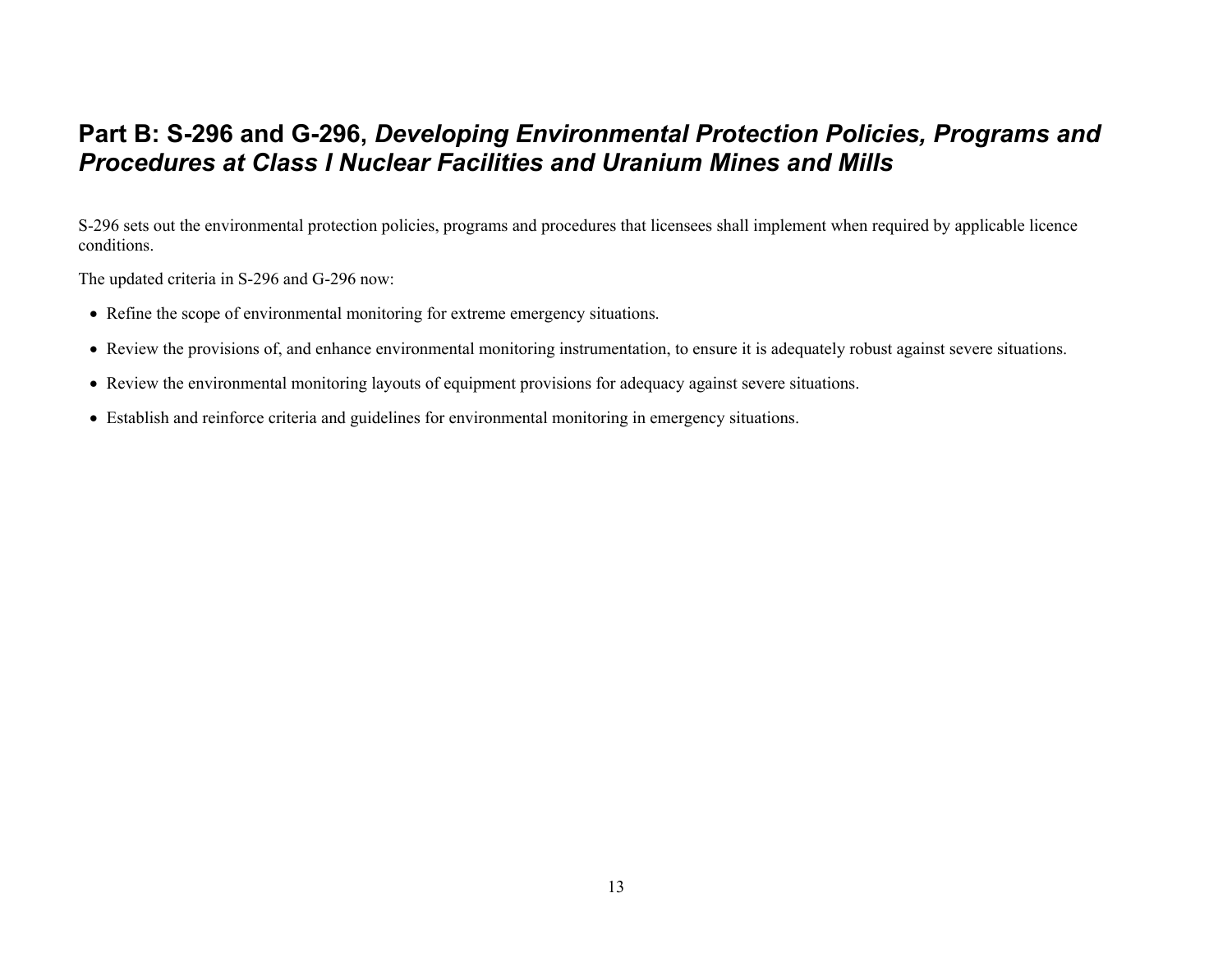### <span id="page-12-0"></span>**Part B: S-296 and G-296,** *Developing Environmental Protection Policies, Programs and Procedures at Class I Nuclear Facilities and Uranium Mines and Mills*

S-296 sets out the environmental protection policies, programs and procedures that licensees shall implement when required by applicable licence conditions.

The updated criteria in S-296 and G-296 now:

- Refine the scope of environmental monitoring for extreme emergency situations.
- Review the provisions of, and enhance environmental monitoring instrumentation, to ensure it is adequately robust against severe situations.
- Review the environmental monitoring layouts of equipment provisions for adequacy against severe situations.
- Establish and reinforce criteria and guidelines for environmental monitoring in emergency situations.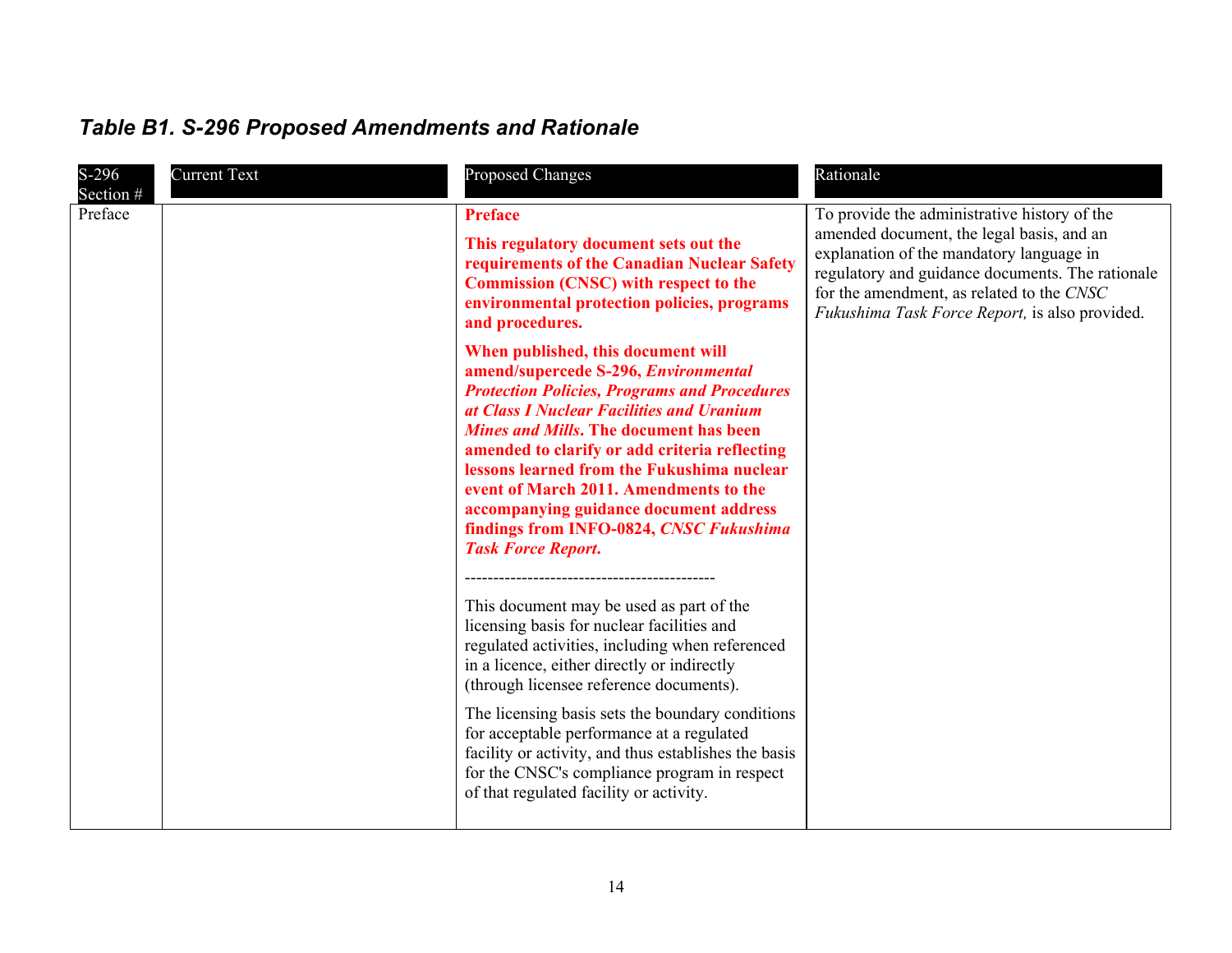| $S-296$<br>Section # | <b>Current Text</b> | <b>Proposed Changes</b>                                                                                                                                                                                                                                                                                                                                                                                                                                                                    | Rationale                                                                                                                                                                                                                                                                                |
|----------------------|---------------------|--------------------------------------------------------------------------------------------------------------------------------------------------------------------------------------------------------------------------------------------------------------------------------------------------------------------------------------------------------------------------------------------------------------------------------------------------------------------------------------------|------------------------------------------------------------------------------------------------------------------------------------------------------------------------------------------------------------------------------------------------------------------------------------------|
| Preface              |                     | <b>Preface</b><br>This regulatory document sets out the<br>requirements of the Canadian Nuclear Safety<br><b>Commission (CNSC) with respect to the</b><br>environmental protection policies, programs<br>and procedures.                                                                                                                                                                                                                                                                   | To provide the administrative history of the<br>amended document, the legal basis, and an<br>explanation of the mandatory language in<br>regulatory and guidance documents. The rationale<br>for the amendment, as related to the CNSC<br>Fukushima Task Force Report, is also provided. |
|                      |                     | When published, this document will<br>amend/supercede S-296, Environmental<br><b>Protection Policies, Programs and Procedures</b><br>at Class I Nuclear Facilities and Uranium<br><b>Mines and Mills. The document has been</b><br>amended to clarify or add criteria reflecting<br>lessons learned from the Fukushima nuclear<br>event of March 2011. Amendments to the<br>accompanying guidance document address<br>findings from INFO-0824, CNSC Fukushima<br><b>Task Force Report.</b> |                                                                                                                                                                                                                                                                                          |
|                      |                     | This document may be used as part of the<br>licensing basis for nuclear facilities and<br>regulated activities, including when referenced<br>in a licence, either directly or indirectly<br>(through licensee reference documents).                                                                                                                                                                                                                                                        |                                                                                                                                                                                                                                                                                          |
|                      |                     | The licensing basis sets the boundary conditions<br>for acceptable performance at a regulated<br>facility or activity, and thus establishes the basis<br>for the CNSC's compliance program in respect<br>of that regulated facility or activity.                                                                                                                                                                                                                                           |                                                                                                                                                                                                                                                                                          |

## <span id="page-13-0"></span>*Table B1. S-296 Proposed Amendments and Rationale*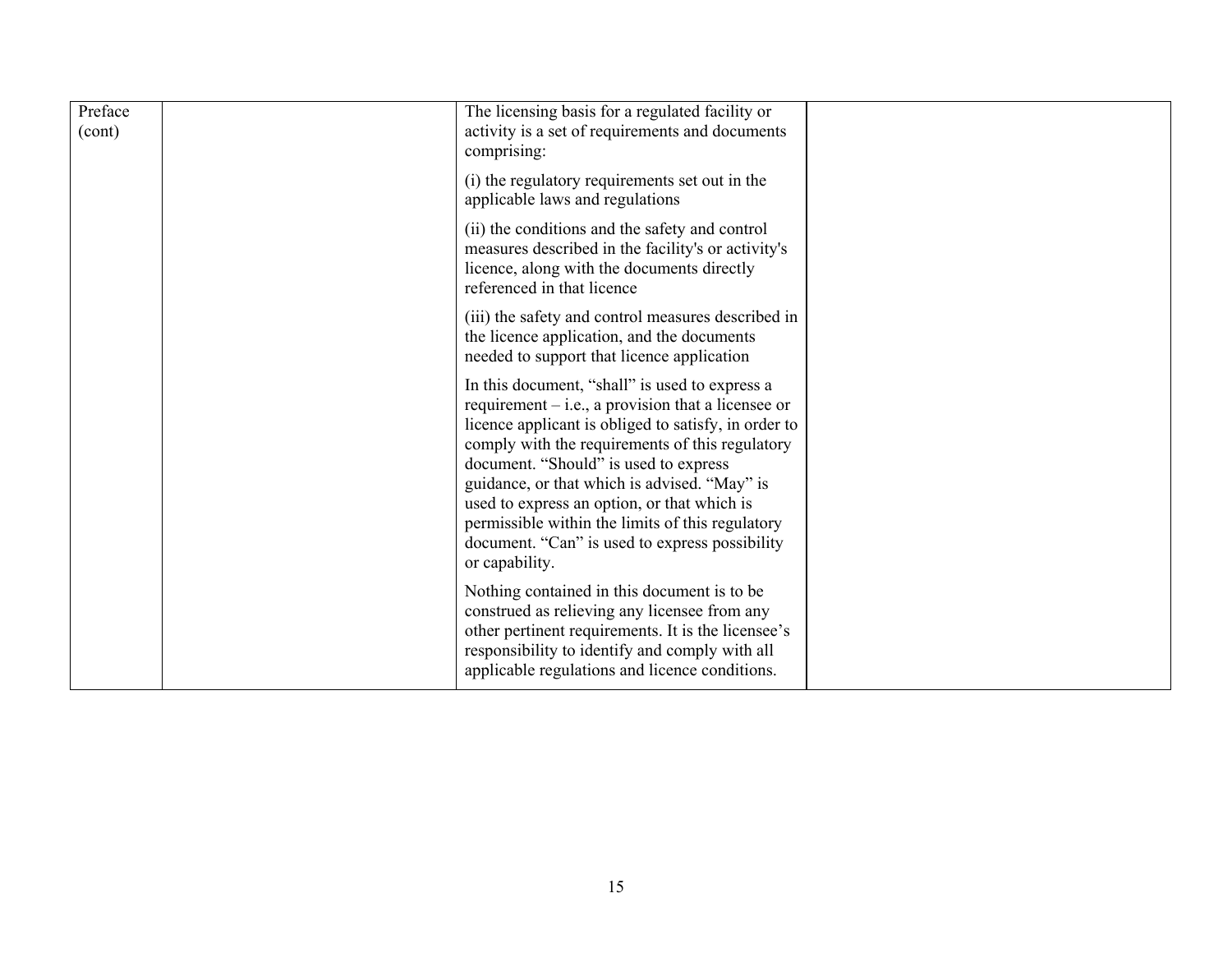| Preface<br>(cont) | The licensing basis for a regulated facility or<br>activity is a set of requirements and documents<br>comprising:                                                                                                                                                                                                                                                                                                                                                                 |  |
|-------------------|-----------------------------------------------------------------------------------------------------------------------------------------------------------------------------------------------------------------------------------------------------------------------------------------------------------------------------------------------------------------------------------------------------------------------------------------------------------------------------------|--|
|                   | (i) the regulatory requirements set out in the<br>applicable laws and regulations                                                                                                                                                                                                                                                                                                                                                                                                 |  |
|                   | (ii) the conditions and the safety and control<br>measures described in the facility's or activity's<br>licence, along with the documents directly<br>referenced in that licence                                                                                                                                                                                                                                                                                                  |  |
|                   | (iii) the safety and control measures described in<br>the licence application, and the documents<br>needed to support that licence application                                                                                                                                                                                                                                                                                                                                    |  |
|                   | In this document, "shall" is used to express a<br>requirement $-$ i.e., a provision that a licensee or<br>licence applicant is obliged to satisfy, in order to<br>comply with the requirements of this regulatory<br>document. "Should" is used to express<br>guidance, or that which is advised. "May" is<br>used to express an option, or that which is<br>permissible within the limits of this regulatory<br>document. "Can" is used to express possibility<br>or capability. |  |
|                   | Nothing contained in this document is to be.<br>construed as relieving any licensee from any<br>other pertinent requirements. It is the licensee's<br>responsibility to identify and comply with all<br>applicable regulations and licence conditions.                                                                                                                                                                                                                            |  |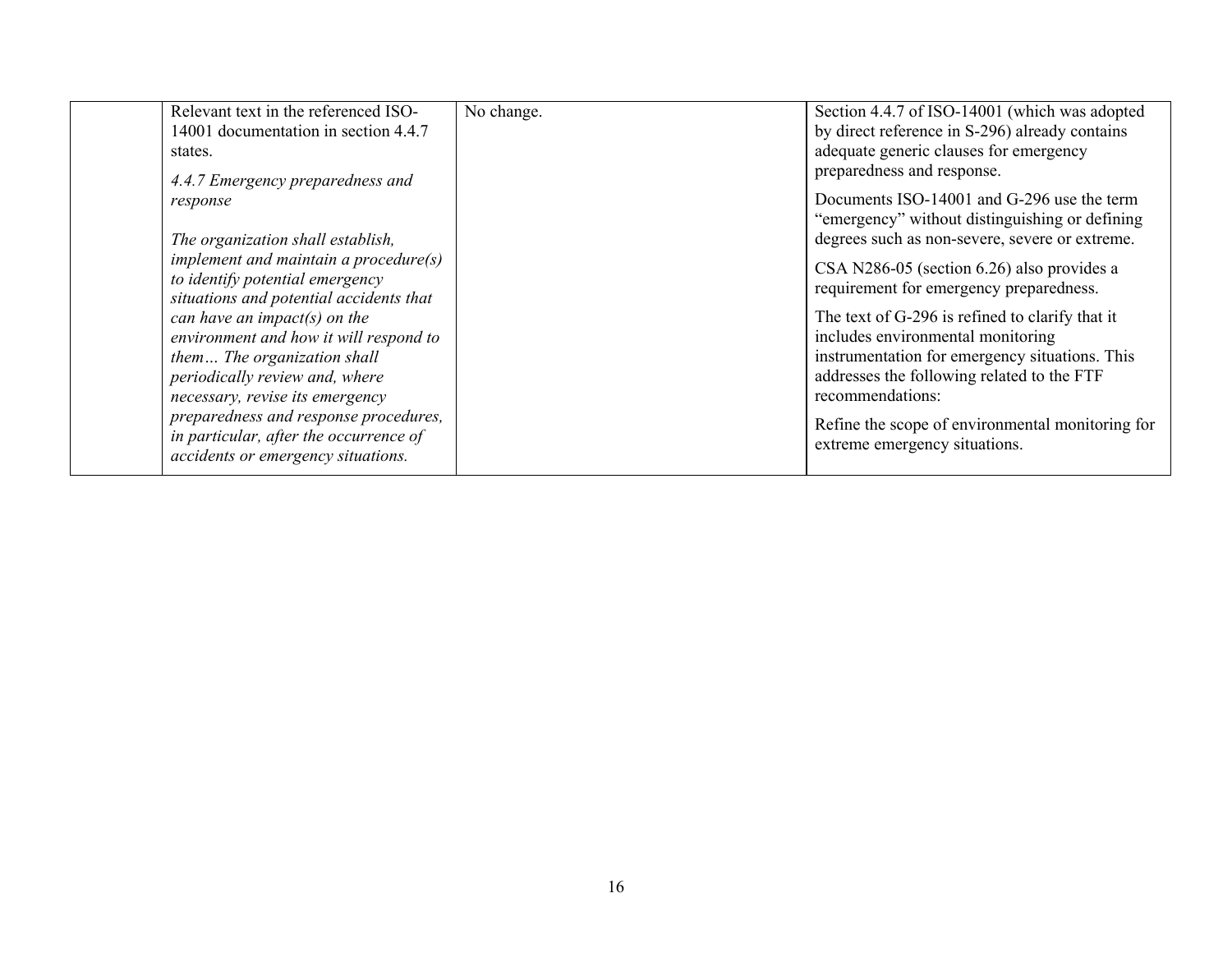| Relevant text in the referenced ISO-<br>14001 documentation in section 4.4.7<br>states.<br>4.4.7 Emergency preparedness and                                                                                                                              | No change. | Section 4.4.7 of ISO-14001 (which was adopted<br>by direct reference in S-296) already contains<br>adequate generic clauses for emergency<br>preparedness and response.                                                                                                                           |
|----------------------------------------------------------------------------------------------------------------------------------------------------------------------------------------------------------------------------------------------------------|------------|---------------------------------------------------------------------------------------------------------------------------------------------------------------------------------------------------------------------------------------------------------------------------------------------------|
| response<br>The organization shall establish,<br>implement and maintain a procedure $(s)$                                                                                                                                                                |            | Documents ISO-14001 and G-296 use the term<br>"emergency" without distinguishing or defining<br>degrees such as non-severe, severe or extreme.                                                                                                                                                    |
| to identify potential emergency<br>situations and potential accidents that<br>can have an impact(s) on the<br>environment and how it will respond to<br>them The organization shall<br>periodically review and, where<br>necessary, revise its emergency |            | CSA N286-05 (section 6.26) also provides a<br>requirement for emergency preparedness.<br>The text of G-296 is refined to clarify that it<br>includes environmental monitoring<br>instrumentation for emergency situations. This<br>addresses the following related to the FTF<br>recommendations: |
| preparedness and response procedures,<br>in particular, after the occurrence of<br>accidents or emergency situations.                                                                                                                                    |            | Refine the scope of environmental monitoring for<br>extreme emergency situations.                                                                                                                                                                                                                 |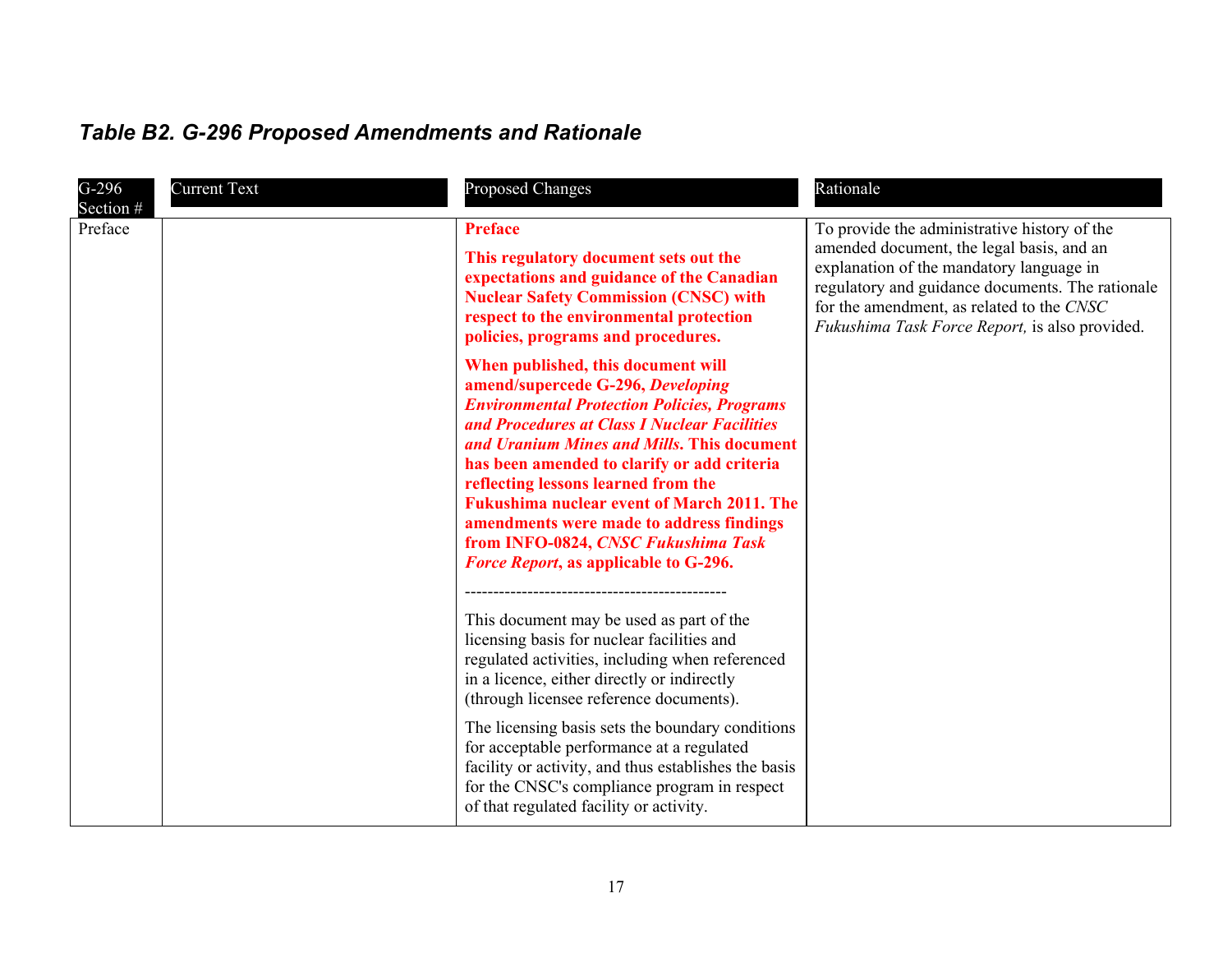## <span id="page-16-0"></span>*Table B2. G-296 Proposed Amendments and Rationale*

| $G-296$<br>Section # | <b>Current Text</b> | <b>Proposed Changes</b>                                                                                                                                                                                                                                                                                                                                                                                                                                                                                   | Rationale                                                                                                                                                                                                                                                                                |
|----------------------|---------------------|-----------------------------------------------------------------------------------------------------------------------------------------------------------------------------------------------------------------------------------------------------------------------------------------------------------------------------------------------------------------------------------------------------------------------------------------------------------------------------------------------------------|------------------------------------------------------------------------------------------------------------------------------------------------------------------------------------------------------------------------------------------------------------------------------------------|
| Preface              |                     | <b>Preface</b><br>This regulatory document sets out the<br>expectations and guidance of the Canadian<br><b>Nuclear Safety Commission (CNSC) with</b><br>respect to the environmental protection<br>policies, programs and procedures.                                                                                                                                                                                                                                                                     | To provide the administrative history of the<br>amended document, the legal basis, and an<br>explanation of the mandatory language in<br>regulatory and guidance documents. The rationale<br>for the amendment, as related to the CNSC<br>Fukushima Task Force Report, is also provided. |
|                      |                     | When published, this document will<br>amend/supercede G-296, Developing<br><b>Environmental Protection Policies, Programs</b><br>and Procedures at Class I Nuclear Facilities<br>and Uranium Mines and Mills. This document<br>has been amended to clarify or add criteria<br>reflecting lessons learned from the<br><b>Fukushima nuclear event of March 2011. The</b><br>amendments were made to address findings<br>from INFO-0824, CNSC Fukushima Task<br><b>Force Report, as applicable to G-296.</b> |                                                                                                                                                                                                                                                                                          |
|                      |                     | This document may be used as part of the<br>licensing basis for nuclear facilities and<br>regulated activities, including when referenced<br>in a licence, either directly or indirectly<br>(through licensee reference documents).                                                                                                                                                                                                                                                                       |                                                                                                                                                                                                                                                                                          |
|                      |                     | The licensing basis sets the boundary conditions<br>for acceptable performance at a regulated<br>facility or activity, and thus establishes the basis<br>for the CNSC's compliance program in respect<br>of that regulated facility or activity.                                                                                                                                                                                                                                                          |                                                                                                                                                                                                                                                                                          |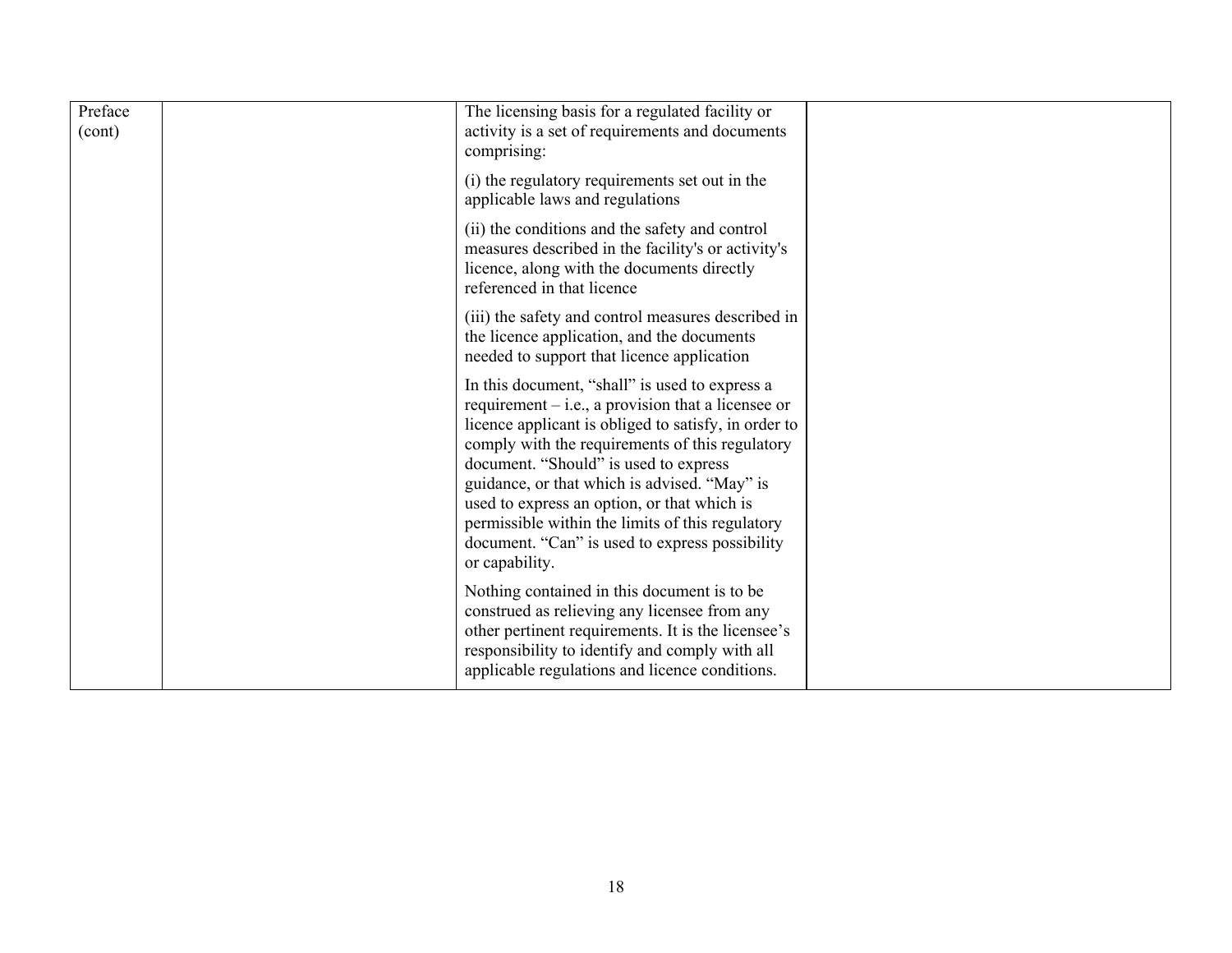| Preface<br>(cont) | The licensing basis for a regulated facility or<br>activity is a set of requirements and documents<br>comprising:                                                                                                                                                                                                                                                                                                                                                                 |  |
|-------------------|-----------------------------------------------------------------------------------------------------------------------------------------------------------------------------------------------------------------------------------------------------------------------------------------------------------------------------------------------------------------------------------------------------------------------------------------------------------------------------------|--|
|                   | (i) the regulatory requirements set out in the<br>applicable laws and regulations                                                                                                                                                                                                                                                                                                                                                                                                 |  |
|                   | (ii) the conditions and the safety and control<br>measures described in the facility's or activity's<br>licence, along with the documents directly<br>referenced in that licence                                                                                                                                                                                                                                                                                                  |  |
|                   | (iii) the safety and control measures described in<br>the licence application, and the documents<br>needed to support that licence application                                                                                                                                                                                                                                                                                                                                    |  |
|                   | In this document, "shall" is used to express a<br>requirement $-$ i.e., a provision that a licensee or<br>licence applicant is obliged to satisfy, in order to<br>comply with the requirements of this regulatory<br>document. "Should" is used to express<br>guidance, or that which is advised. "May" is<br>used to express an option, or that which is<br>permissible within the limits of this regulatory<br>document. "Can" is used to express possibility<br>or capability. |  |
|                   | Nothing contained in this document is to be<br>construed as relieving any licensee from any<br>other pertinent requirements. It is the licensee's<br>responsibility to identify and comply with all<br>applicable regulations and licence conditions.                                                                                                                                                                                                                             |  |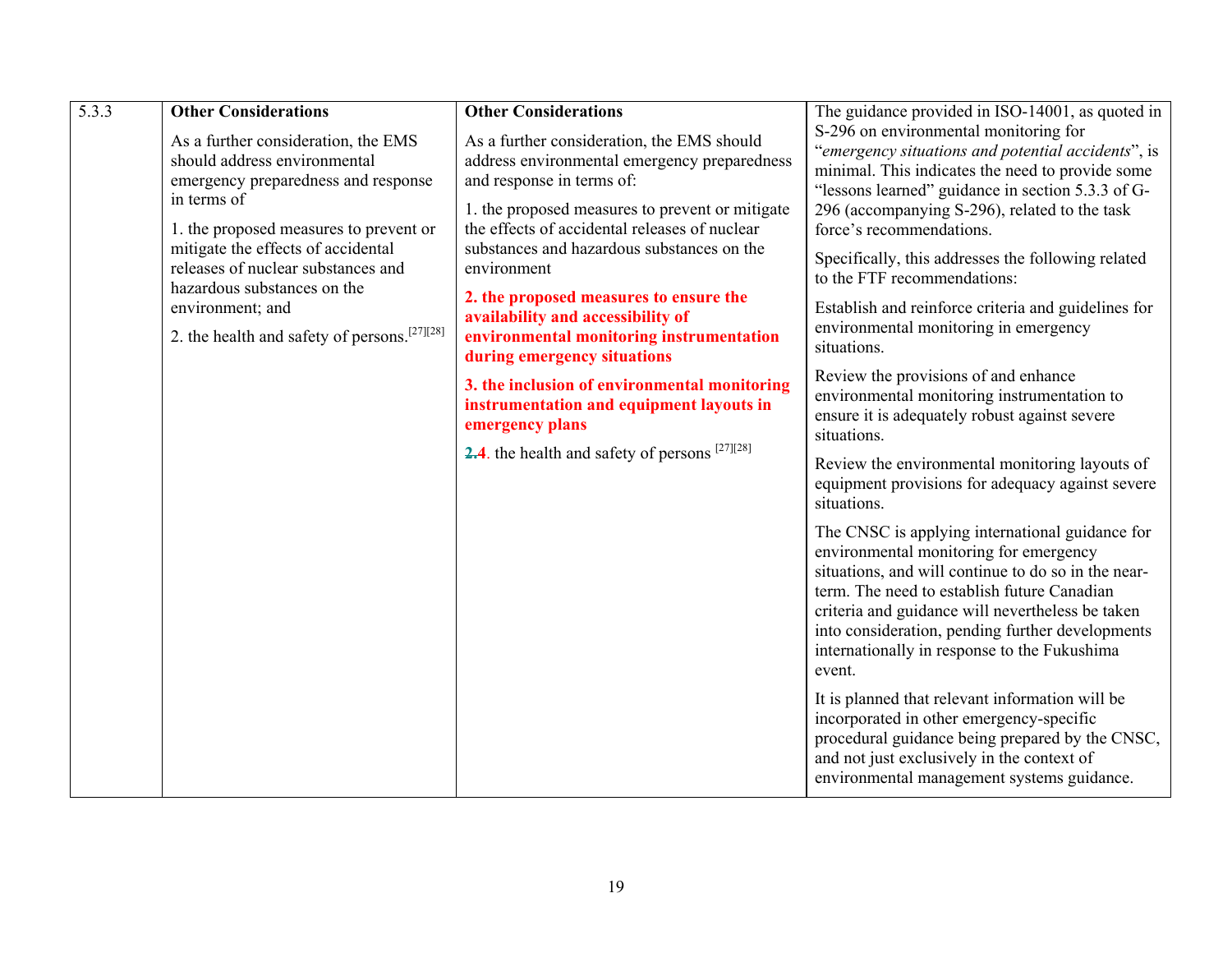| 5.3.3 | <b>Other Considerations</b>                                                                                | <b>Other Considerations</b>                                                                                                                            | The guidance provided in ISO-14001, as quoted in                                                                                                                                                                                                                                                                                                                  |
|-------|------------------------------------------------------------------------------------------------------------|--------------------------------------------------------------------------------------------------------------------------------------------------------|-------------------------------------------------------------------------------------------------------------------------------------------------------------------------------------------------------------------------------------------------------------------------------------------------------------------------------------------------------------------|
|       | As a further consideration, the EMS<br>should address environmental<br>emergency preparedness and response | As a further consideration, the EMS should<br>address environmental emergency preparedness<br>and response in terms of:                                | S-296 on environmental monitoring for<br>"emergency situations and potential accidents", is<br>minimal. This indicates the need to provide some<br>"lessons learned" guidance in section 5.3.3 of G-                                                                                                                                                              |
|       | in terms of<br>1. the proposed measures to prevent or                                                      | 1. the proposed measures to prevent or mitigate<br>the effects of accidental releases of nuclear                                                       | 296 (accompanying S-296), related to the task<br>force's recommendations.                                                                                                                                                                                                                                                                                         |
|       | mitigate the effects of accidental<br>releases of nuclear substances and<br>hazardous substances on the    | substances and hazardous substances on the<br>environment                                                                                              | Specifically, this addresses the following related<br>to the FTF recommendations:                                                                                                                                                                                                                                                                                 |
|       | environment; and<br>2. the health and safety of persons. <sup>[27][28]</sup>                               | 2. the proposed measures to ensure the<br>availability and accessibility of<br>environmental monitoring instrumentation<br>during emergency situations | Establish and reinforce criteria and guidelines for<br>environmental monitoring in emergency<br>situations.                                                                                                                                                                                                                                                       |
|       |                                                                                                            | 3. the inclusion of environmental monitoring<br>instrumentation and equipment layouts in<br>emergency plans                                            | Review the provisions of and enhance<br>environmental monitoring instrumentation to<br>ensure it is adequately robust against severe<br>situations.                                                                                                                                                                                                               |
|       |                                                                                                            | <b>2.4</b> the health and safety of persons $^{[27][28]}$                                                                                              | Review the environmental monitoring layouts of<br>equipment provisions for adequacy against severe<br>situations.                                                                                                                                                                                                                                                 |
|       |                                                                                                            |                                                                                                                                                        | The CNSC is applying international guidance for<br>environmental monitoring for emergency<br>situations, and will continue to do so in the near-<br>term. The need to establish future Canadian<br>criteria and guidance will nevertheless be taken<br>into consideration, pending further developments<br>internationally in response to the Fukushima<br>event. |
|       |                                                                                                            |                                                                                                                                                        | It is planned that relevant information will be<br>incorporated in other emergency-specific<br>procedural guidance being prepared by the CNSC,<br>and not just exclusively in the context of<br>environmental management systems guidance.                                                                                                                        |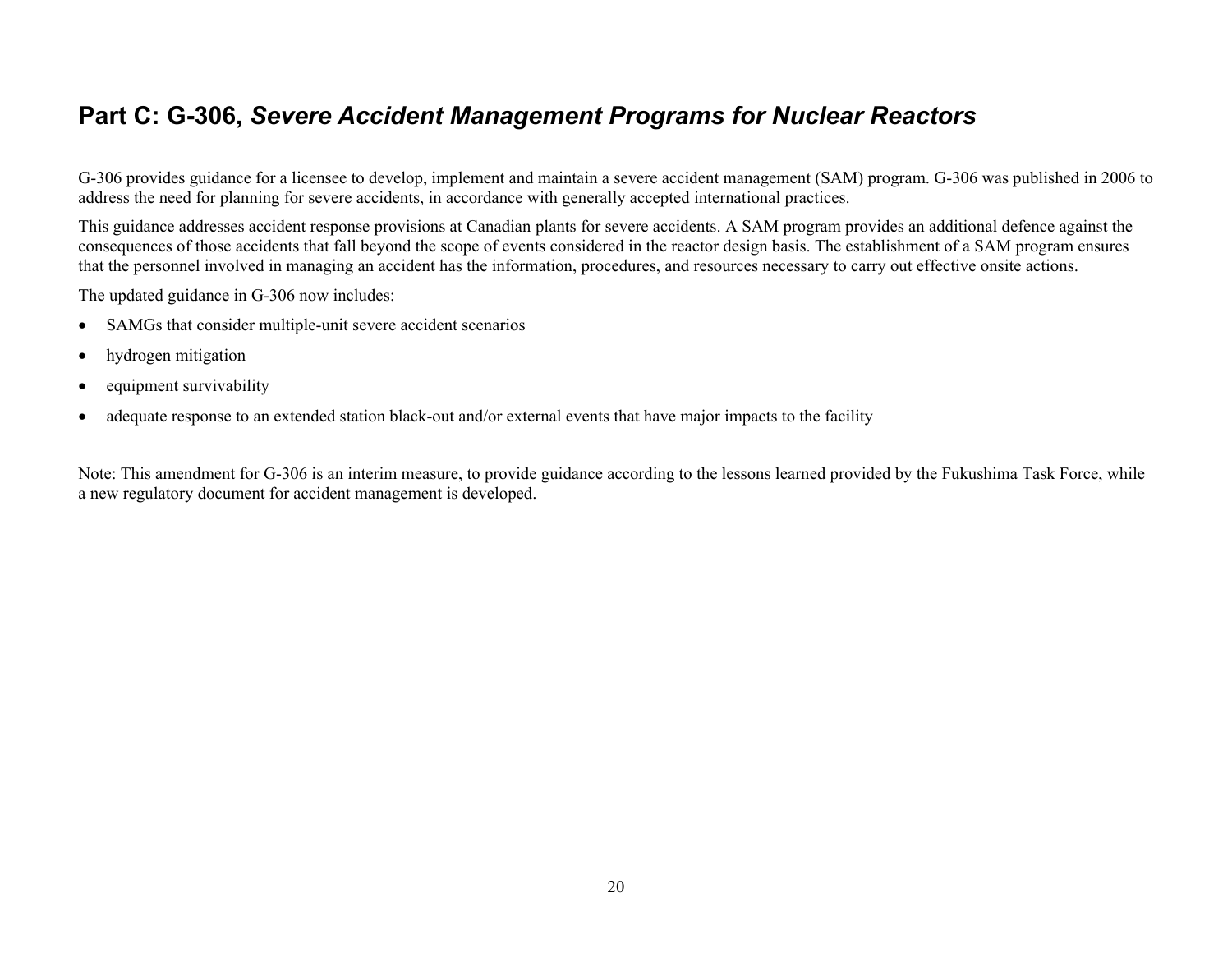### <span id="page-19-0"></span>**Part C: G-306,** *Severe Accident Management Programs for Nuclear Reactors*

G-306 provides guidance for a licensee to develop, implement and maintain a severe accident management (SAM) program. G-306 was published in 2006 to address the need for planning for severe accidents, in accordance with generally accepted international practices.

This guidance addresses accident response provisions at Canadian plants for severe accidents. A SAM program provides an additional defence against the consequences of those accidents that fall beyond the scope of events considered in the reactor design basis. The establishment of a SAM program ensures that the personnel involved in managing an accident has the information, procedures, and resources necessary to carry out effective onsite actions.

The updated guidance in G-306 now includes:

- •SAMGs that consider multiple-unit severe accident scenarios
- •hydrogen mitigation
- •equipment survivability
- •adequate response to an extended station black-out and/or external events that have major impacts to the facility

Note: This amendment for G-306 is an interim measure, to provide guidance according to the lessons learned provided by the Fukushima Task Force, while a new regulatory document for accident management is developed.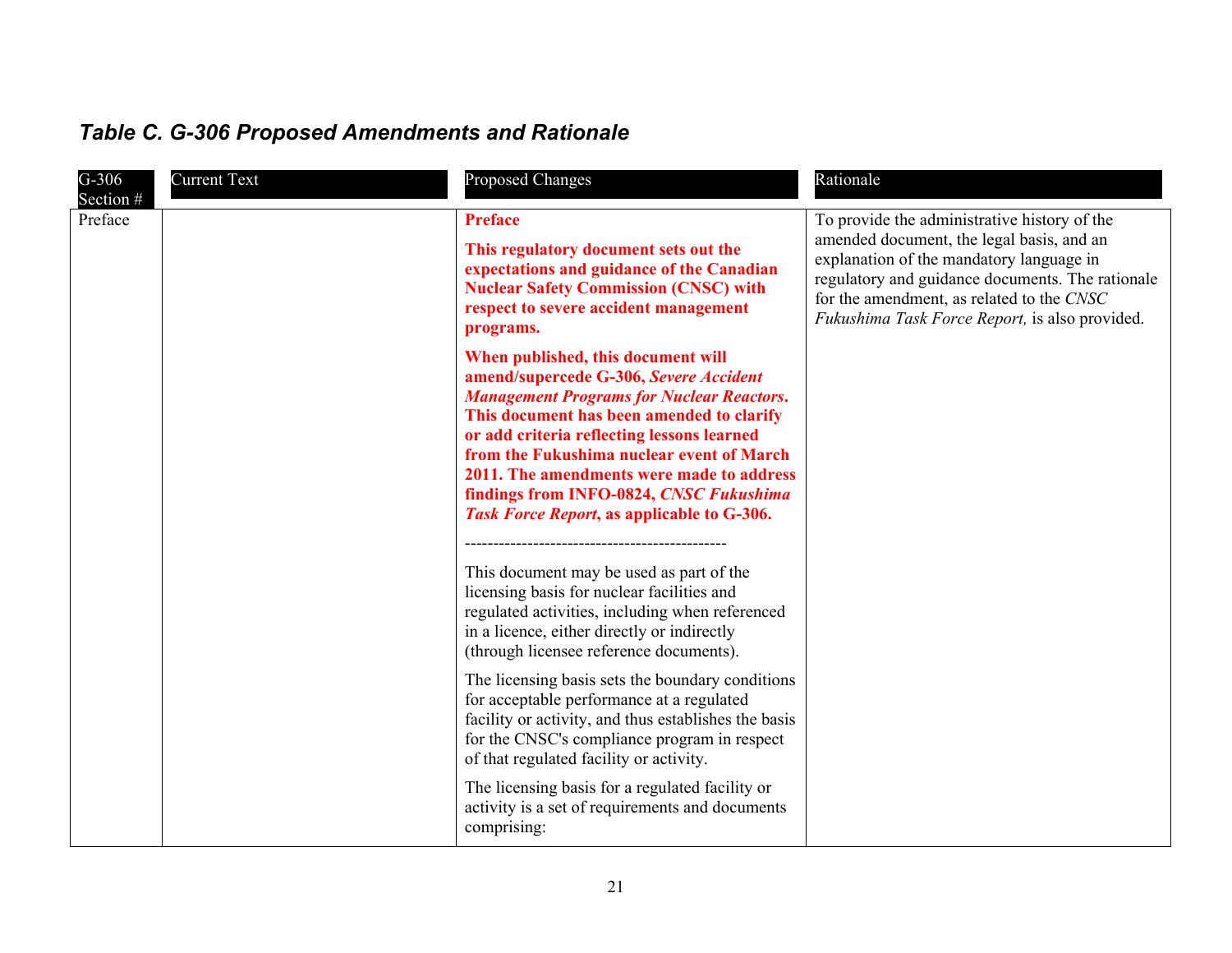| $G-306$<br>Section # | <b>Current Text</b> | <b>Proposed Changes</b>                                                                                                                                                                                                                                                                                                                                                                                        | Rationale                                                                                                                                                                                                                                                                                |
|----------------------|---------------------|----------------------------------------------------------------------------------------------------------------------------------------------------------------------------------------------------------------------------------------------------------------------------------------------------------------------------------------------------------------------------------------------------------------|------------------------------------------------------------------------------------------------------------------------------------------------------------------------------------------------------------------------------------------------------------------------------------------|
| Preface              |                     | <b>Preface</b><br>This regulatory document sets out the<br>expectations and guidance of the Canadian<br><b>Nuclear Safety Commission (CNSC) with</b><br>respect to severe accident management<br>programs.                                                                                                                                                                                                     | To provide the administrative history of the<br>amended document, the legal basis, and an<br>explanation of the mandatory language in<br>regulatory and guidance documents. The rationale<br>for the amendment, as related to the CNSC<br>Fukushima Task Force Report, is also provided. |
|                      |                     | When published, this document will<br>amend/supercede G-306, Severe Accident<br><b>Management Programs for Nuclear Reactors.</b><br>This document has been amended to clarify<br>or add criteria reflecting lessons learned<br>from the Fukushima nuclear event of March<br>2011. The amendments were made to address<br>findings from INFO-0824, CNSC Fukushima<br>Task Force Report, as applicable to G-306. |                                                                                                                                                                                                                                                                                          |
|                      |                     | This document may be used as part of the<br>licensing basis for nuclear facilities and<br>regulated activities, including when referenced<br>in a licence, either directly or indirectly<br>(through licensee reference documents).                                                                                                                                                                            |                                                                                                                                                                                                                                                                                          |
|                      |                     | The licensing basis sets the boundary conditions<br>for acceptable performance at a regulated<br>facility or activity, and thus establishes the basis<br>for the CNSC's compliance program in respect<br>of that regulated facility or activity.                                                                                                                                                               |                                                                                                                                                                                                                                                                                          |
|                      |                     | The licensing basis for a regulated facility or<br>activity is a set of requirements and documents<br>comprising:                                                                                                                                                                                                                                                                                              |                                                                                                                                                                                                                                                                                          |

# <span id="page-20-0"></span>*Table C. G-306 Proposed Amendments and Rationale*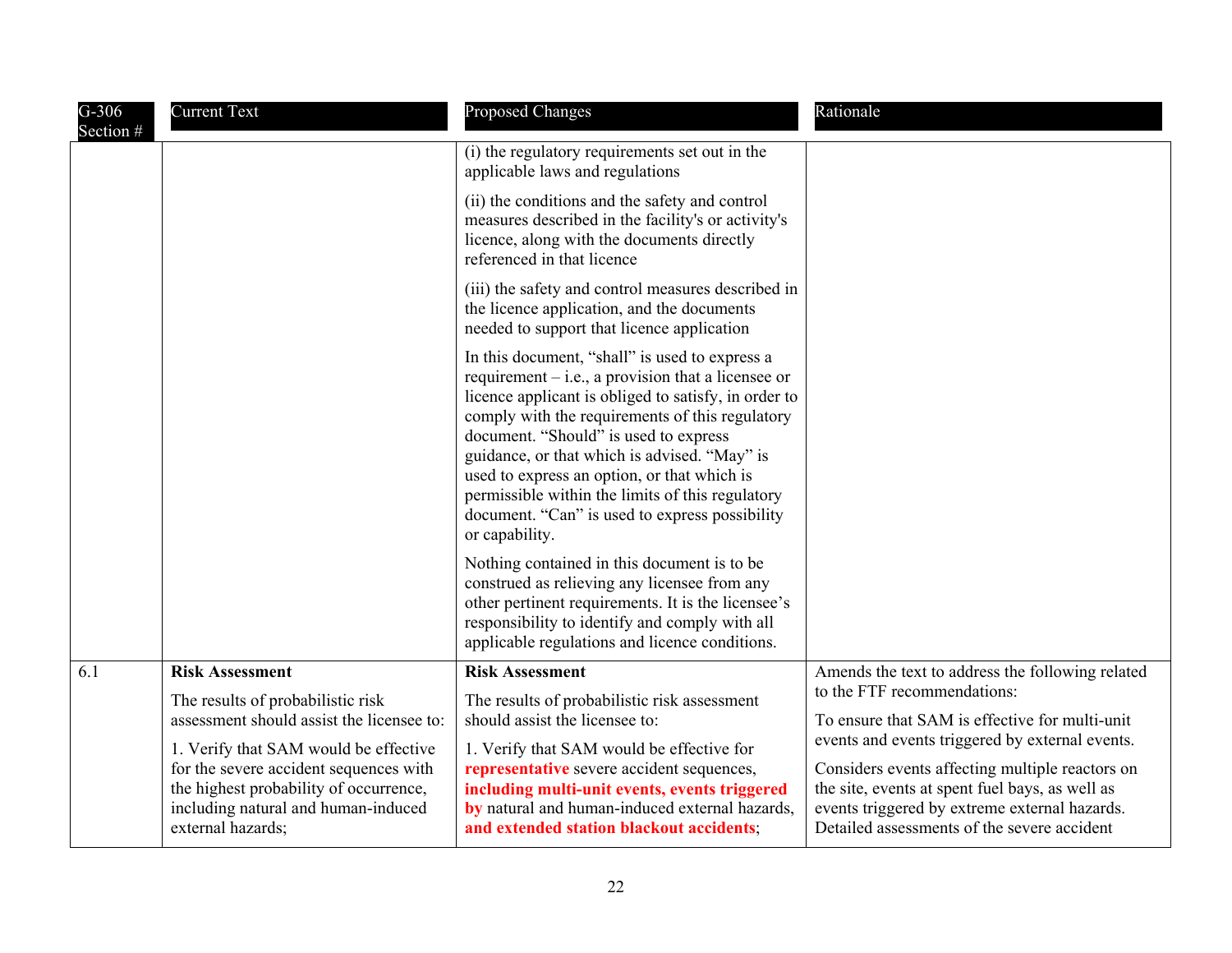| $G-306$<br>Section # | <b>Current Text</b>                                                                                                                                                                                                                                                     | <b>Proposed Changes</b>                                                                                                                                                                                                                                                                                                                                                                                                                                                           | Rationale                                                                                                                                                                                                                                                                                                                              |
|----------------------|-------------------------------------------------------------------------------------------------------------------------------------------------------------------------------------------------------------------------------------------------------------------------|-----------------------------------------------------------------------------------------------------------------------------------------------------------------------------------------------------------------------------------------------------------------------------------------------------------------------------------------------------------------------------------------------------------------------------------------------------------------------------------|----------------------------------------------------------------------------------------------------------------------------------------------------------------------------------------------------------------------------------------------------------------------------------------------------------------------------------------|
|                      |                                                                                                                                                                                                                                                                         | (i) the regulatory requirements set out in the<br>applicable laws and regulations                                                                                                                                                                                                                                                                                                                                                                                                 |                                                                                                                                                                                                                                                                                                                                        |
|                      |                                                                                                                                                                                                                                                                         | (ii) the conditions and the safety and control<br>measures described in the facility's or activity's<br>licence, along with the documents directly<br>referenced in that licence                                                                                                                                                                                                                                                                                                  |                                                                                                                                                                                                                                                                                                                                        |
|                      |                                                                                                                                                                                                                                                                         | (iii) the safety and control measures described in<br>the licence application, and the documents<br>needed to support that licence application                                                                                                                                                                                                                                                                                                                                    |                                                                                                                                                                                                                                                                                                                                        |
|                      |                                                                                                                                                                                                                                                                         | In this document, "shall" is used to express a<br>requirement $-$ i.e., a provision that a licensee or<br>licence applicant is obliged to satisfy, in order to<br>comply with the requirements of this regulatory<br>document. "Should" is used to express<br>guidance, or that which is advised. "May" is<br>used to express an option, or that which is<br>permissible within the limits of this regulatory<br>document. "Can" is used to express possibility<br>or capability. |                                                                                                                                                                                                                                                                                                                                        |
|                      |                                                                                                                                                                                                                                                                         | Nothing contained in this document is to be<br>construed as relieving any licensee from any<br>other pertinent requirements. It is the licensee's<br>responsibility to identify and comply with all<br>applicable regulations and licence conditions.                                                                                                                                                                                                                             |                                                                                                                                                                                                                                                                                                                                        |
| 6.1                  | <b>Risk Assessment</b>                                                                                                                                                                                                                                                  | <b>Risk Assessment</b>                                                                                                                                                                                                                                                                                                                                                                                                                                                            | Amends the text to address the following related                                                                                                                                                                                                                                                                                       |
|                      | The results of probabilistic risk<br>assessment should assist the licensee to:<br>1. Verify that SAM would be effective<br>for the severe accident sequences with<br>the highest probability of occurrence,<br>including natural and human-induced<br>external hazards; | The results of probabilistic risk assessment<br>should assist the licensee to:<br>1. Verify that SAM would be effective for<br>representative severe accident sequences,<br>including multi-unit events, events triggered<br>by natural and human-induced external hazards,<br>and extended station blackout accidents;                                                                                                                                                           | to the FTF recommendations:<br>To ensure that SAM is effective for multi-unit<br>events and events triggered by external events.<br>Considers events affecting multiple reactors on<br>the site, events at spent fuel bays, as well as<br>events triggered by extreme external hazards.<br>Detailed assessments of the severe accident |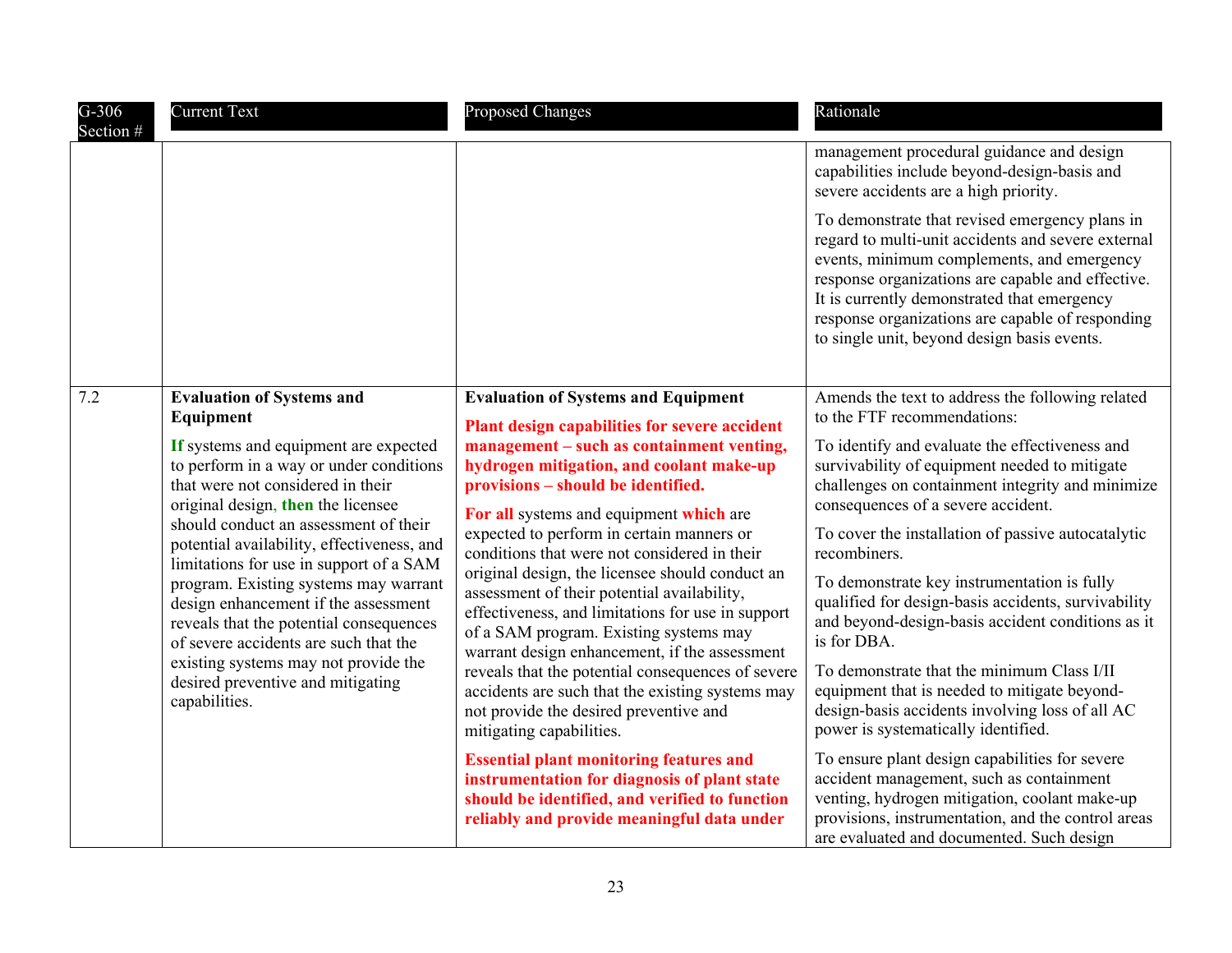| $G-306$<br>Section #                                                                                                                                                                                         | <b>Current Text</b>                                                                                                                                                                                                                            | <b>Proposed Changes</b>                                                                                                                                                                        | Rationale                                                                                                                                                                                                                                                                                                                                                 |
|--------------------------------------------------------------------------------------------------------------------------------------------------------------------------------------------------------------|------------------------------------------------------------------------------------------------------------------------------------------------------------------------------------------------------------------------------------------------|------------------------------------------------------------------------------------------------------------------------------------------------------------------------------------------------|-----------------------------------------------------------------------------------------------------------------------------------------------------------------------------------------------------------------------------------------------------------------------------------------------------------------------------------------------------------|
|                                                                                                                                                                                                              |                                                                                                                                                                                                                                                |                                                                                                                                                                                                | management procedural guidance and design<br>capabilities include beyond-design-basis and<br>severe accidents are a high priority.                                                                                                                                                                                                                        |
|                                                                                                                                                                                                              |                                                                                                                                                                                                                                                |                                                                                                                                                                                                | To demonstrate that revised emergency plans in<br>regard to multi-unit accidents and severe external<br>events, minimum complements, and emergency<br>response organizations are capable and effective.<br>It is currently demonstrated that emergency<br>response organizations are capable of responding<br>to single unit, beyond design basis events. |
| 7.2                                                                                                                                                                                                          | <b>Evaluation of Systems and</b><br>Equipment                                                                                                                                                                                                  | <b>Evaluation of Systems and Equipment</b><br>Plant design capabilities for severe accident                                                                                                    | Amends the text to address the following related<br>to the FTF recommendations:                                                                                                                                                                                                                                                                           |
|                                                                                                                                                                                                              | If systems and equipment are expected<br>to perform in a way or under conditions<br>that were not considered in their<br>original design, then the licensee                                                                                    | management – such as containment venting,<br>hydrogen mitigation, and coolant make-up<br>provisions - should be identified.<br>For all systems and equipment which are                         | To identify and evaluate the effectiveness and<br>survivability of equipment needed to mitigate<br>challenges on containment integrity and minimize<br>consequences of a severe accident.                                                                                                                                                                 |
|                                                                                                                                                                                                              | should conduct an assessment of their<br>potential availability, effectiveness, and                                                                                                                                                            | expected to perform in certain manners or<br>conditions that were not considered in their                                                                                                      | To cover the installation of passive autocatalytic<br>recombiners.                                                                                                                                                                                                                                                                                        |
| limitations for use in support of a SAM<br>program. Existing systems may warrant<br>design enhancement if the assessment<br>reveals that the potential consequences<br>of severe accidents are such that the | original design, the licensee should conduct an<br>assessment of their potential availability,<br>effectiveness, and limitations for use in support<br>of a SAM program. Existing systems may<br>warrant design enhancement, if the assessment | To demonstrate key instrumentation is fully<br>qualified for design-basis accidents, survivability<br>and beyond-design-basis accident conditions as it<br>is for DBA.                         |                                                                                                                                                                                                                                                                                                                                                           |
|                                                                                                                                                                                                              | existing systems may not provide the<br>desired preventive and mitigating<br>capabilities.                                                                                                                                                     | reveals that the potential consequences of severe<br>accidents are such that the existing systems may<br>not provide the desired preventive and<br>mitigating capabilities.                    | To demonstrate that the minimum Class I/II<br>equipment that is needed to mitigate beyond-<br>design-basis accidents involving loss of all AC<br>power is systematically identified.                                                                                                                                                                      |
|                                                                                                                                                                                                              |                                                                                                                                                                                                                                                | <b>Essential plant monitoring features and</b><br>instrumentation for diagnosis of plant state<br>should be identified, and verified to function<br>reliably and provide meaningful data under | To ensure plant design capabilities for severe<br>accident management, such as containment<br>venting, hydrogen mitigation, coolant make-up<br>provisions, instrumentation, and the control areas<br>are evaluated and documented. Such design                                                                                                            |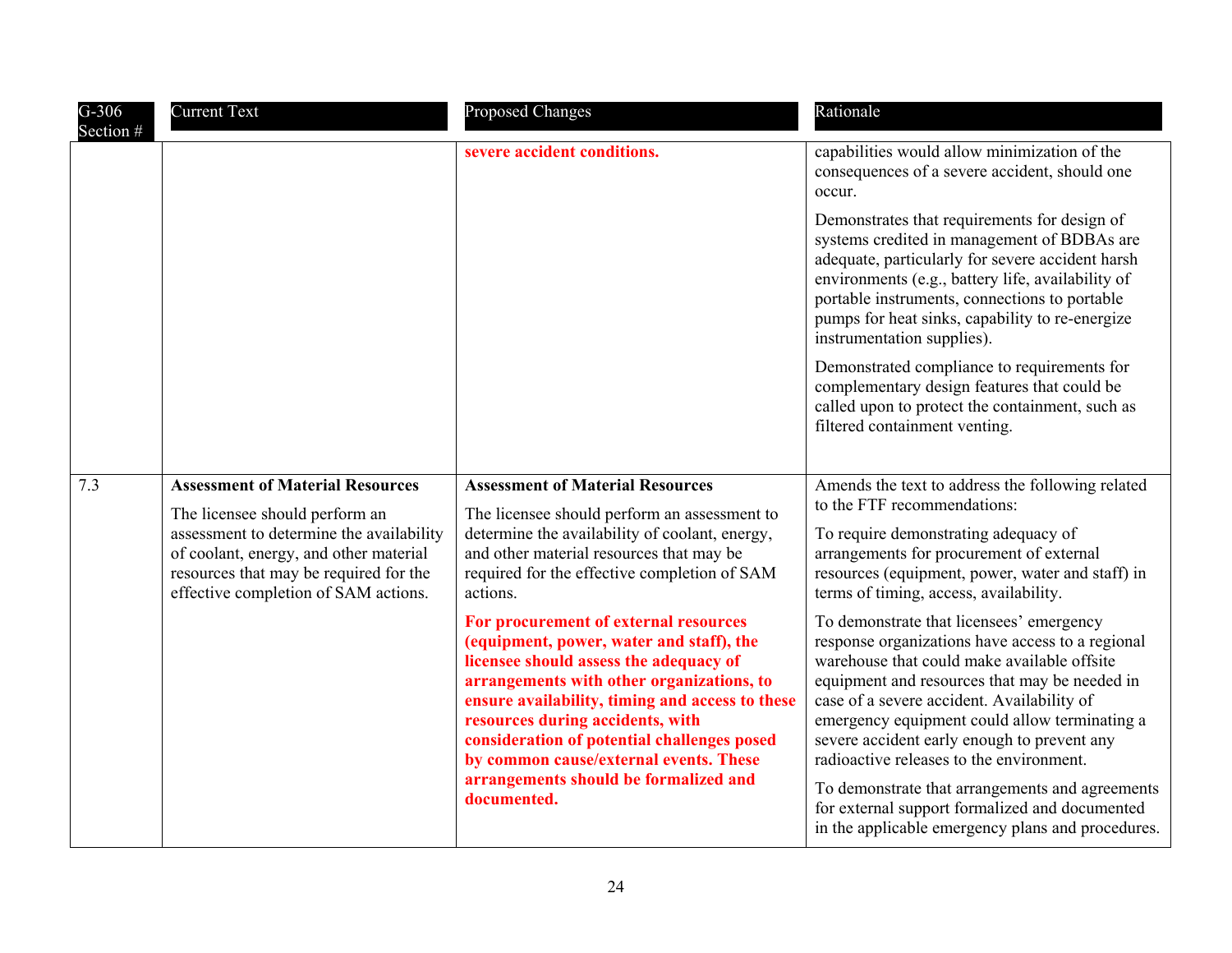| $G-306$<br>Section # | <b>Current Text</b>                                                                                                                                                                                    | <b>Proposed Changes</b>                                                                                                                                                                                                                                                                                                                                  | Rationale                                                                                                                                                                                                                                                                                                                                                                              |
|----------------------|--------------------------------------------------------------------------------------------------------------------------------------------------------------------------------------------------------|----------------------------------------------------------------------------------------------------------------------------------------------------------------------------------------------------------------------------------------------------------------------------------------------------------------------------------------------------------|----------------------------------------------------------------------------------------------------------------------------------------------------------------------------------------------------------------------------------------------------------------------------------------------------------------------------------------------------------------------------------------|
|                      |                                                                                                                                                                                                        | severe accident conditions.                                                                                                                                                                                                                                                                                                                              | capabilities would allow minimization of the<br>consequences of a severe accident, should one<br>occur.                                                                                                                                                                                                                                                                                |
|                      |                                                                                                                                                                                                        |                                                                                                                                                                                                                                                                                                                                                          | Demonstrates that requirements for design of<br>systems credited in management of BDBAs are<br>adequate, particularly for severe accident harsh<br>environments (e.g., battery life, availability of<br>portable instruments, connections to portable<br>pumps for heat sinks, capability to re-energize<br>instrumentation supplies).                                                 |
|                      |                                                                                                                                                                                                        |                                                                                                                                                                                                                                                                                                                                                          | Demonstrated compliance to requirements for<br>complementary design features that could be<br>called upon to protect the containment, such as<br>filtered containment venting.                                                                                                                                                                                                         |
| 7.3                  | <b>Assessment of Material Resources</b>                                                                                                                                                                | <b>Assessment of Material Resources</b>                                                                                                                                                                                                                                                                                                                  | Amends the text to address the following related                                                                                                                                                                                                                                                                                                                                       |
|                      | The licensee should perform an<br>assessment to determine the availability<br>of coolant, energy, and other material<br>resources that may be required for the<br>effective completion of SAM actions. | The licensee should perform an assessment to<br>determine the availability of coolant, energy,<br>and other material resources that may be<br>required for the effective completion of SAM<br>actions.                                                                                                                                                   | to the FTF recommendations:<br>To require demonstrating adequacy of<br>arrangements for procurement of external<br>resources (equipment, power, water and staff) in<br>terms of timing, access, availability.                                                                                                                                                                          |
|                      |                                                                                                                                                                                                        | For procurement of external resources<br>(equipment, power, water and staff), the<br>licensee should assess the adequacy of<br>arrangements with other organizations, to<br>ensure availability, timing and access to these<br>resources during accidents, with<br>consideration of potential challenges posed<br>by common cause/external events. These | To demonstrate that licensees' emergency<br>response organizations have access to a regional<br>warehouse that could make available offsite<br>equipment and resources that may be needed in<br>case of a severe accident. Availability of<br>emergency equipment could allow terminating a<br>severe accident early enough to prevent any<br>radioactive releases to the environment. |
|                      |                                                                                                                                                                                                        | arrangements should be formalized and<br>documented.                                                                                                                                                                                                                                                                                                     | To demonstrate that arrangements and agreements<br>for external support formalized and documented<br>in the applicable emergency plans and procedures.                                                                                                                                                                                                                                 |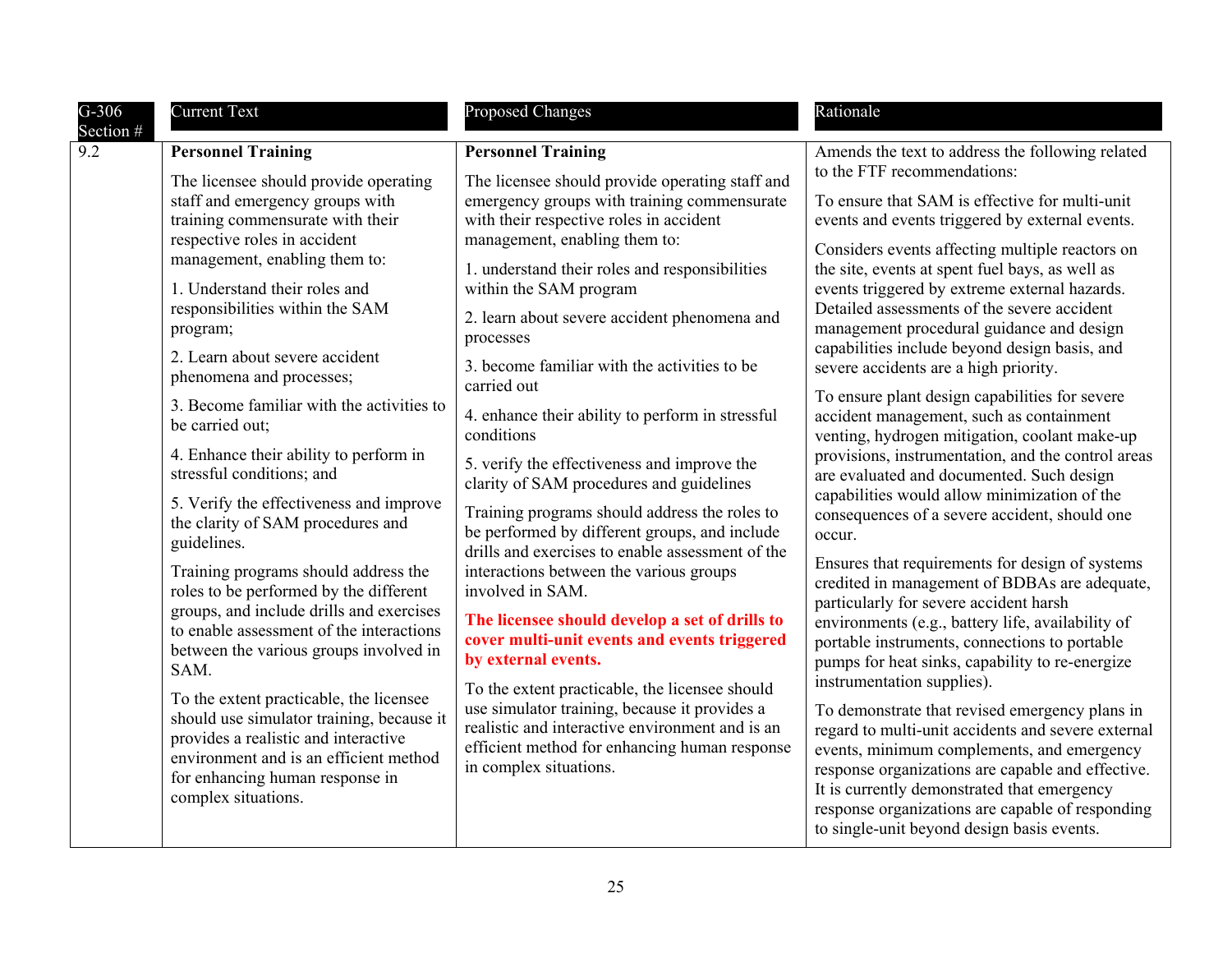| $G-306$          | <b>Current Text</b>                                                                                                                                                                                                                                                                                                                                                                                                                                                                                                                                                                                                                                                                                                                                                                                             | Proposed Changes                                                                                                                                                                                                                                                                                                                                                                                                                                                                                                                                                                                                                                                                                                                                                                                                                                                     | Rationale                                                                                                                                                                                                                                                                                                                                                                                                                                                                                                                                                                                                                                                                                                                                                                                                                                                                                                                                                                                                                                                                                                                                                                                                                                        |
|------------------|-----------------------------------------------------------------------------------------------------------------------------------------------------------------------------------------------------------------------------------------------------------------------------------------------------------------------------------------------------------------------------------------------------------------------------------------------------------------------------------------------------------------------------------------------------------------------------------------------------------------------------------------------------------------------------------------------------------------------------------------------------------------------------------------------------------------|----------------------------------------------------------------------------------------------------------------------------------------------------------------------------------------------------------------------------------------------------------------------------------------------------------------------------------------------------------------------------------------------------------------------------------------------------------------------------------------------------------------------------------------------------------------------------------------------------------------------------------------------------------------------------------------------------------------------------------------------------------------------------------------------------------------------------------------------------------------------|--------------------------------------------------------------------------------------------------------------------------------------------------------------------------------------------------------------------------------------------------------------------------------------------------------------------------------------------------------------------------------------------------------------------------------------------------------------------------------------------------------------------------------------------------------------------------------------------------------------------------------------------------------------------------------------------------------------------------------------------------------------------------------------------------------------------------------------------------------------------------------------------------------------------------------------------------------------------------------------------------------------------------------------------------------------------------------------------------------------------------------------------------------------------------------------------------------------------------------------------------|
| Section #<br>9.2 | <b>Personnel Training</b><br>The licensee should provide operating<br>staff and emergency groups with<br>training commensurate with their<br>respective roles in accident<br>management, enabling them to:<br>1. Understand their roles and                                                                                                                                                                                                                                                                                                                                                                                                                                                                                                                                                                     | <b>Personnel Training</b><br>The licensee should provide operating staff and<br>emergency groups with training commensurate<br>with their respective roles in accident<br>management, enabling them to:<br>1. understand their roles and responsibilities<br>within the SAM program                                                                                                                                                                                                                                                                                                                                                                                                                                                                                                                                                                                  | Amends the text to address the following related<br>to the FTF recommendations:<br>To ensure that SAM is effective for multi-unit<br>events and events triggered by external events.<br>Considers events affecting multiple reactors on<br>the site, events at spent fuel bays, as well as<br>events triggered by extreme external hazards.                                                                                                                                                                                                                                                                                                                                                                                                                                                                                                                                                                                                                                                                                                                                                                                                                                                                                                      |
|                  | responsibilities within the SAM<br>program;<br>2. Learn about severe accident<br>phenomena and processes;<br>3. Become familiar with the activities to<br>be carried out;<br>4. Enhance their ability to perform in<br>stressful conditions; and<br>5. Verify the effectiveness and improve<br>the clarity of SAM procedures and<br>guidelines.<br>Training programs should address the<br>roles to be performed by the different<br>groups, and include drills and exercises<br>to enable assessment of the interactions<br>between the various groups involved in<br>SAM.<br>To the extent practicable, the licensee<br>should use simulator training, because it<br>provides a realistic and interactive<br>environment and is an efficient method<br>for enhancing human response in<br>complex situations. | 2. learn about severe accident phenomena and<br>processes<br>3. become familiar with the activities to be<br>carried out<br>4. enhance their ability to perform in stressful<br>conditions<br>5. verify the effectiveness and improve the<br>clarity of SAM procedures and guidelines<br>Training programs should address the roles to<br>be performed by different groups, and include<br>drills and exercises to enable assessment of the<br>interactions between the various groups<br>involved in SAM.<br>The licensee should develop a set of drills to<br>cover multi-unit events and events triggered<br>by external events.<br>To the extent practicable, the licensee should<br>use simulator training, because it provides a<br>realistic and interactive environment and is an<br>efficient method for enhancing human response<br>in complex situations. | Detailed assessments of the severe accident<br>management procedural guidance and design<br>capabilities include beyond design basis, and<br>severe accidents are a high priority.<br>To ensure plant design capabilities for severe<br>accident management, such as containment<br>venting, hydrogen mitigation, coolant make-up<br>provisions, instrumentation, and the control areas<br>are evaluated and documented. Such design<br>capabilities would allow minimization of the<br>consequences of a severe accident, should one<br>occur.<br>Ensures that requirements for design of systems<br>credited in management of BDBAs are adequate,<br>particularly for severe accident harsh<br>environments (e.g., battery life, availability of<br>portable instruments, connections to portable<br>pumps for heat sinks, capability to re-energize<br>instrumentation supplies).<br>To demonstrate that revised emergency plans in<br>regard to multi-unit accidents and severe external<br>events, minimum complements, and emergency<br>response organizations are capable and effective.<br>It is currently demonstrated that emergency<br>response organizations are capable of responding<br>to single-unit beyond design basis events. |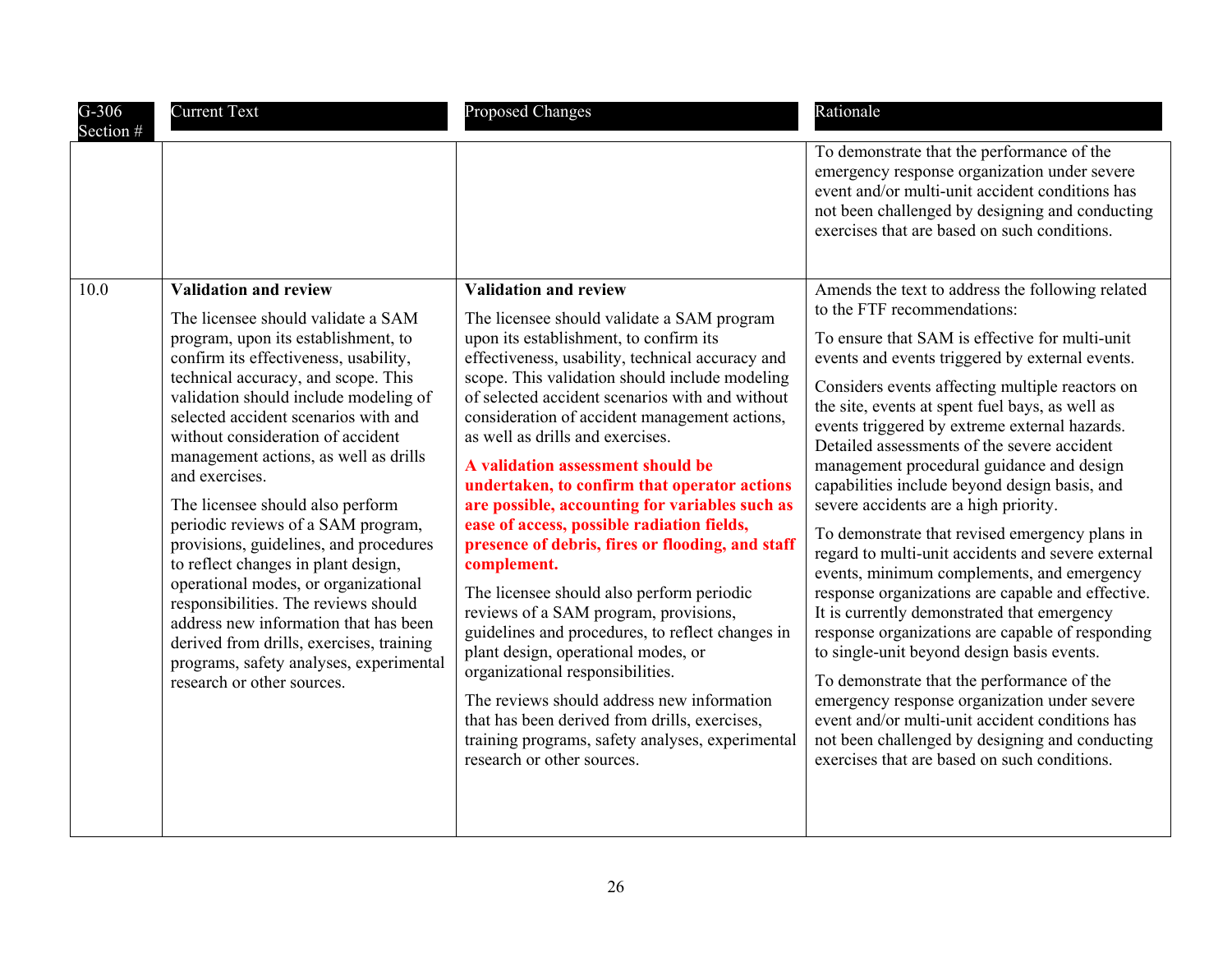| $G-306$<br>Section # | <b>Current Text</b>                                                                                                                                                                                                                                                                                                                                                                                                                                                                                                                                                                                                                                                                                                                                                                 | <b>Proposed Changes</b>                                                                                                                                                                                                                                                                                                                                                                                                                                                                                                                                                                                                                                                                                                                                                                                                                                                                                                                                                                                                          | Rationale                                                                                                                                                                                                                                                                                                                                                                                                                                                                                                                                                                                                                                                                                                                                                                                                                                                                                                                                                                                                                                                                                                                                         |
|----------------------|-------------------------------------------------------------------------------------------------------------------------------------------------------------------------------------------------------------------------------------------------------------------------------------------------------------------------------------------------------------------------------------------------------------------------------------------------------------------------------------------------------------------------------------------------------------------------------------------------------------------------------------------------------------------------------------------------------------------------------------------------------------------------------------|----------------------------------------------------------------------------------------------------------------------------------------------------------------------------------------------------------------------------------------------------------------------------------------------------------------------------------------------------------------------------------------------------------------------------------------------------------------------------------------------------------------------------------------------------------------------------------------------------------------------------------------------------------------------------------------------------------------------------------------------------------------------------------------------------------------------------------------------------------------------------------------------------------------------------------------------------------------------------------------------------------------------------------|---------------------------------------------------------------------------------------------------------------------------------------------------------------------------------------------------------------------------------------------------------------------------------------------------------------------------------------------------------------------------------------------------------------------------------------------------------------------------------------------------------------------------------------------------------------------------------------------------------------------------------------------------------------------------------------------------------------------------------------------------------------------------------------------------------------------------------------------------------------------------------------------------------------------------------------------------------------------------------------------------------------------------------------------------------------------------------------------------------------------------------------------------|
|                      |                                                                                                                                                                                                                                                                                                                                                                                                                                                                                                                                                                                                                                                                                                                                                                                     |                                                                                                                                                                                                                                                                                                                                                                                                                                                                                                                                                                                                                                                                                                                                                                                                                                                                                                                                                                                                                                  | To demonstrate that the performance of the<br>emergency response organization under severe<br>event and/or multi-unit accident conditions has<br>not been challenged by designing and conducting<br>exercises that are based on such conditions.                                                                                                                                                                                                                                                                                                                                                                                                                                                                                                                                                                                                                                                                                                                                                                                                                                                                                                  |
| 10.0                 | <b>Validation and review</b><br>The licensee should validate a SAM<br>program, upon its establishment, to<br>confirm its effectiveness, usability,<br>technical accuracy, and scope. This<br>validation should include modeling of<br>selected accident scenarios with and<br>without consideration of accident<br>management actions, as well as drills<br>and exercises.<br>The licensee should also perform<br>periodic reviews of a SAM program,<br>provisions, guidelines, and procedures<br>to reflect changes in plant design,<br>operational modes, or organizational<br>responsibilities. The reviews should<br>address new information that has been<br>derived from drills, exercises, training<br>programs, safety analyses, experimental<br>research or other sources. | <b>Validation and review</b><br>The licensee should validate a SAM program<br>upon its establishment, to confirm its<br>effectiveness, usability, technical accuracy and<br>scope. This validation should include modeling<br>of selected accident scenarios with and without<br>consideration of accident management actions,<br>as well as drills and exercises.<br>A validation assessment should be<br>undertaken, to confirm that operator actions<br>are possible, accounting for variables such as<br>ease of access, possible radiation fields,<br>presence of debris, fires or flooding, and staff<br>complement.<br>The licensee should also perform periodic<br>reviews of a SAM program, provisions,<br>guidelines and procedures, to reflect changes in<br>plant design, operational modes, or<br>organizational responsibilities.<br>The reviews should address new information<br>that has been derived from drills, exercises,<br>training programs, safety analyses, experimental<br>research or other sources. | Amends the text to address the following related<br>to the FTF recommendations:<br>To ensure that SAM is effective for multi-unit<br>events and events triggered by external events.<br>Considers events affecting multiple reactors on<br>the site, events at spent fuel bays, as well as<br>events triggered by extreme external hazards.<br>Detailed assessments of the severe accident<br>management procedural guidance and design<br>capabilities include beyond design basis, and<br>severe accidents are a high priority.<br>To demonstrate that revised emergency plans in<br>regard to multi-unit accidents and severe external<br>events, minimum complements, and emergency<br>response organizations are capable and effective.<br>It is currently demonstrated that emergency<br>response organizations are capable of responding<br>to single-unit beyond design basis events.<br>To demonstrate that the performance of the<br>emergency response organization under severe<br>event and/or multi-unit accident conditions has<br>not been challenged by designing and conducting<br>exercises that are based on such conditions. |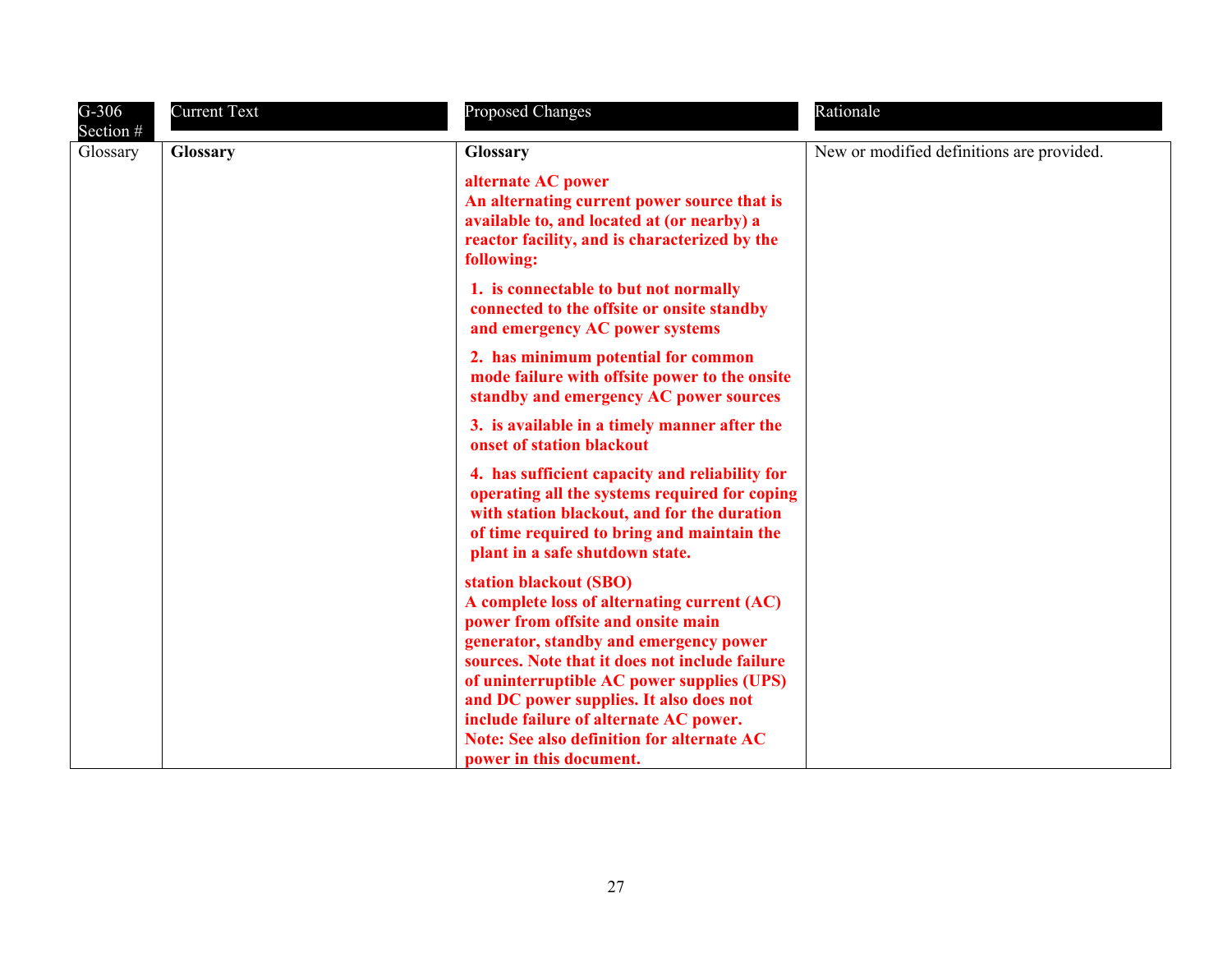| $G-306$<br>Section # | <b>Current Text</b> | <b>Proposed Changes</b>                                                                                                                                                                                                                               | Rationale                                 |
|----------------------|---------------------|-------------------------------------------------------------------------------------------------------------------------------------------------------------------------------------------------------------------------------------------------------|-------------------------------------------|
| Glossary             | <b>Glossary</b>     | Glossary                                                                                                                                                                                                                                              | New or modified definitions are provided. |
|                      |                     | alternate AC power<br>An alternating current power source that is<br>available to, and located at (or nearby) a<br>reactor facility, and is characterized by the<br>following:                                                                        |                                           |
|                      |                     | 1. is connectable to but not normally<br>connected to the offsite or onsite standby<br>and emergency AC power systems                                                                                                                                 |                                           |
|                      |                     | 2. has minimum potential for common<br>mode failure with offsite power to the onsite<br>standby and emergency AC power sources                                                                                                                        |                                           |
|                      |                     | 3. is available in a timely manner after the<br>onset of station blackout                                                                                                                                                                             |                                           |
|                      |                     | 4. has sufficient capacity and reliability for<br>operating all the systems required for coping<br>with station blackout, and for the duration<br>of time required to bring and maintain the<br>plant in a safe shutdown state.                       |                                           |
|                      |                     | station blackout (SBO)<br>A complete loss of alternating current (AC)<br>power from offsite and onsite main<br>generator, standby and emergency power<br>sources. Note that it does not include failure<br>of uninterruptible AC power supplies (UPS) |                                           |
|                      |                     | and DC power supplies. It also does not<br>include failure of alternate AC power.<br><b>Note: See also definition for alternate AC</b><br>power in this document.                                                                                     |                                           |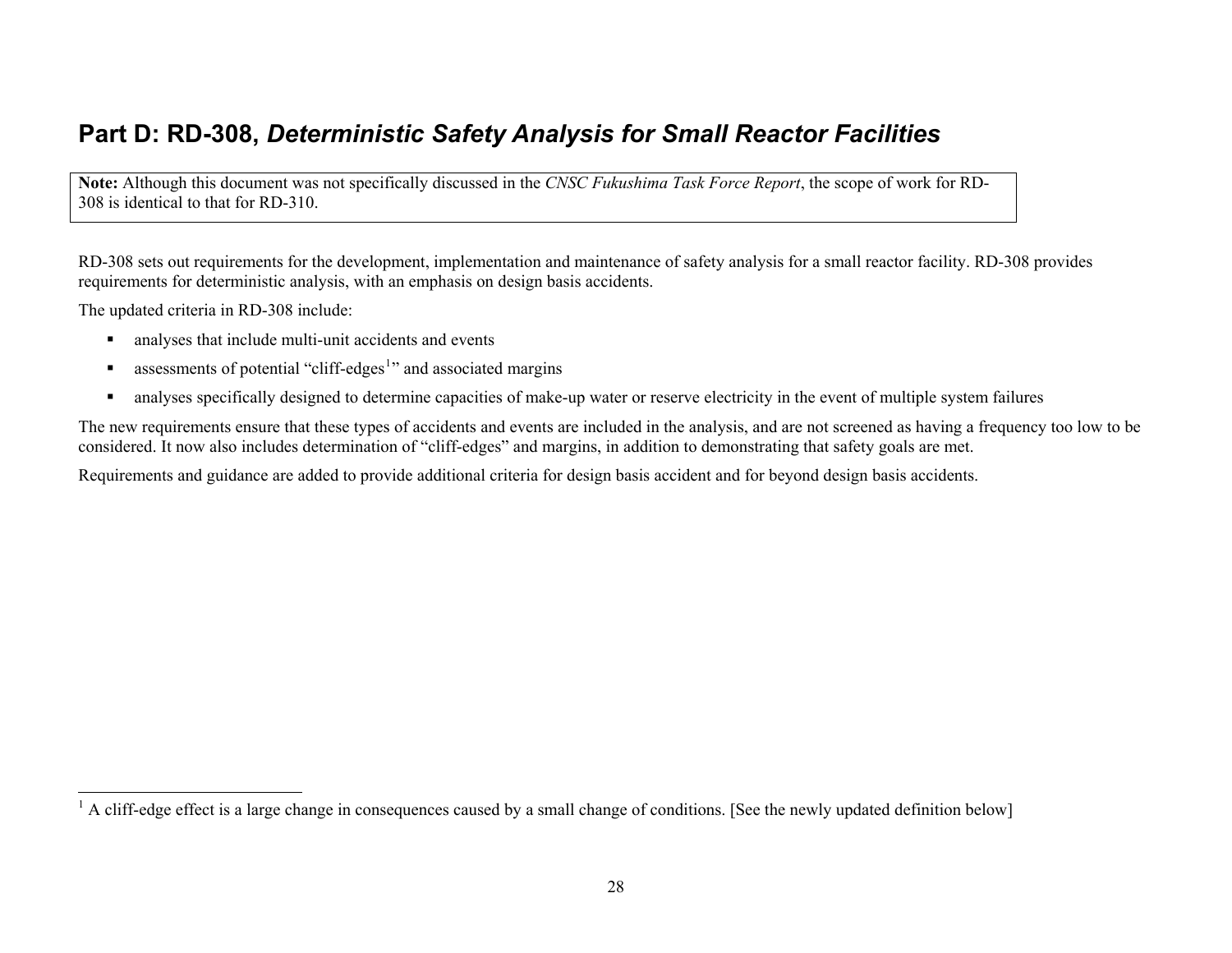## <span id="page-27-0"></span>**Part D: RD-308,** *Deterministic Safety Analysis for Small Reactor Facilities*

**Note:** Although this document was not specifically discussed in the *CNSC Fukushima Task Force Report*, the scope of work for RD-308 is identical to that for RD-310.

RD-308 sets out requirements for the development, implementation and maintenance of safety analysis for a small reactor facility. RD-308 provides requirements for deterministic analysis, with an emphasis on design basis accidents.

The updated criteria in RD-308 include:

- $\blacksquare$ analyses that include multi-unit accidents and events
- $\blacksquare$ assessments of potential "cliff-edges<sup>[1](#page-27-1)</sup>" and associated margins
- $\blacksquare$ analyses specifically designed to determine capacities of make-up water or reserve electricity in the event of multiple system failures

The new requirements ensure that these types of accidents and events are included in the analysis, and are not screened as having a frequency too low to be considered. It now also includes determination of "cliff-edges" and margins, in addition to demonstrating that safety goals are met.

Requirements and guidance are added to provide additional criteria for design basis accident and for beyond design basis accidents.

<span id="page-27-1"></span><sup>&</sup>lt;sup>1</sup> A cliff-edge effect is a large change in consequences caused by a small change of conditions. [See the newly updated definition below]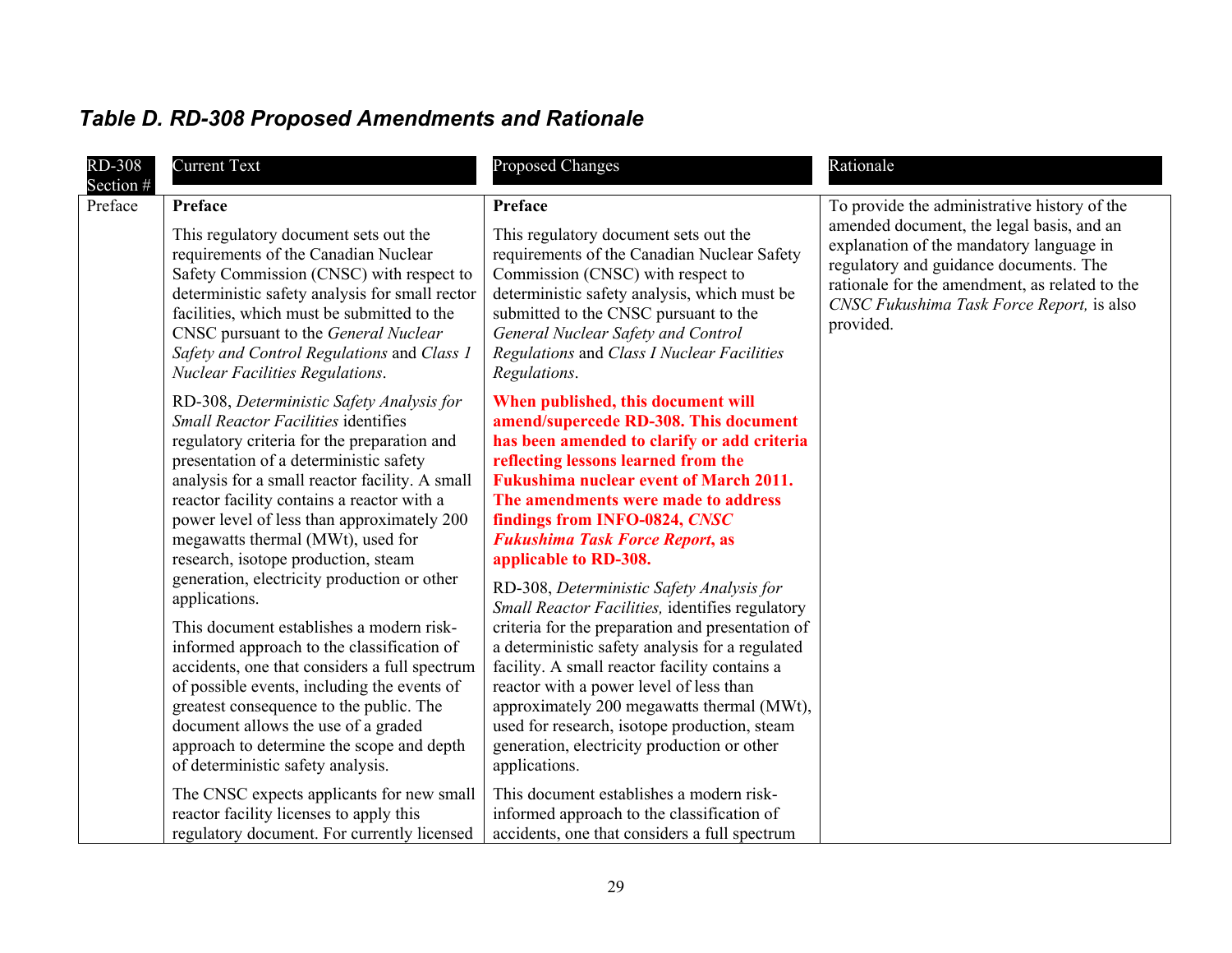# <span id="page-28-0"></span>*Table D. RD-308 Proposed Amendments and Rationale*

| <b>RD-308</b><br>Section $#$ | <b>Current Text</b>                                                                                                                                                                                                                                                                                                                                                                                                                                                        | <b>Proposed Changes</b>                                                                                                                                                                                                                                                                                                                                                                                                                                       | Rationale                                                                                                                                                                                                                                   |
|------------------------------|----------------------------------------------------------------------------------------------------------------------------------------------------------------------------------------------------------------------------------------------------------------------------------------------------------------------------------------------------------------------------------------------------------------------------------------------------------------------------|---------------------------------------------------------------------------------------------------------------------------------------------------------------------------------------------------------------------------------------------------------------------------------------------------------------------------------------------------------------------------------------------------------------------------------------------------------------|---------------------------------------------------------------------------------------------------------------------------------------------------------------------------------------------------------------------------------------------|
| Preface                      | Preface                                                                                                                                                                                                                                                                                                                                                                                                                                                                    | <b>Preface</b>                                                                                                                                                                                                                                                                                                                                                                                                                                                | To provide the administrative history of the                                                                                                                                                                                                |
|                              | This regulatory document sets out the<br>requirements of the Canadian Nuclear<br>Safety Commission (CNSC) with respect to<br>deterministic safety analysis for small rector<br>facilities, which must be submitted to the<br>CNSC pursuant to the General Nuclear<br>Safety and Control Regulations and Class 1<br><b>Nuclear Facilities Regulations.</b>                                                                                                                  | This regulatory document sets out the<br>requirements of the Canadian Nuclear Safety<br>Commission (CNSC) with respect to<br>deterministic safety analysis, which must be<br>submitted to the CNSC pursuant to the<br>General Nuclear Safety and Control<br>Regulations and Class I Nuclear Facilities<br>Regulations.                                                                                                                                        | amended document, the legal basis, and an<br>explanation of the mandatory language in<br>regulatory and guidance documents. The<br>rationale for the amendment, as related to the<br>CNSC Fukushima Task Force Report, is also<br>provided. |
|                              | RD-308, Deterministic Safety Analysis for<br><b>Small Reactor Facilities identifies</b><br>regulatory criteria for the preparation and<br>presentation of a deterministic safety<br>analysis for a small reactor facility. A small<br>reactor facility contains a reactor with a<br>power level of less than approximately 200<br>megawatts thermal (MWt), used for<br>research, isotope production, steam<br>generation, electricity production or other<br>applications. | When published, this document will<br>amend/supercede RD-308. This document<br>has been amended to clarify or add criteria<br>reflecting lessons learned from the<br><b>Fukushima nuclear event of March 2011.</b><br>The amendments were made to address<br>findings from INFO-0824, CNSC<br><b>Fukushima Task Force Report, as</b><br>applicable to RD-308.<br>RD-308, Deterministic Safety Analysis for<br>Small Reactor Facilities, identifies regulatory |                                                                                                                                                                                                                                             |
|                              | This document establishes a modern risk-<br>informed approach to the classification of<br>accidents, one that considers a full spectrum<br>of possible events, including the events of<br>greatest consequence to the public. The<br>document allows the use of a graded<br>approach to determine the scope and depth<br>of deterministic safety analysis.                                                                                                                 | criteria for the preparation and presentation of<br>a deterministic safety analysis for a regulated<br>facility. A small reactor facility contains a<br>reactor with a power level of less than<br>approximately 200 megawatts thermal (MWt),<br>used for research, isotope production, steam<br>generation, electricity production or other<br>applications.                                                                                                 |                                                                                                                                                                                                                                             |
|                              | The CNSC expects applicants for new small<br>reactor facility licenses to apply this<br>regulatory document. For currently licensed                                                                                                                                                                                                                                                                                                                                        | This document establishes a modern risk-<br>informed approach to the classification of<br>accidents, one that considers a full spectrum                                                                                                                                                                                                                                                                                                                       |                                                                                                                                                                                                                                             |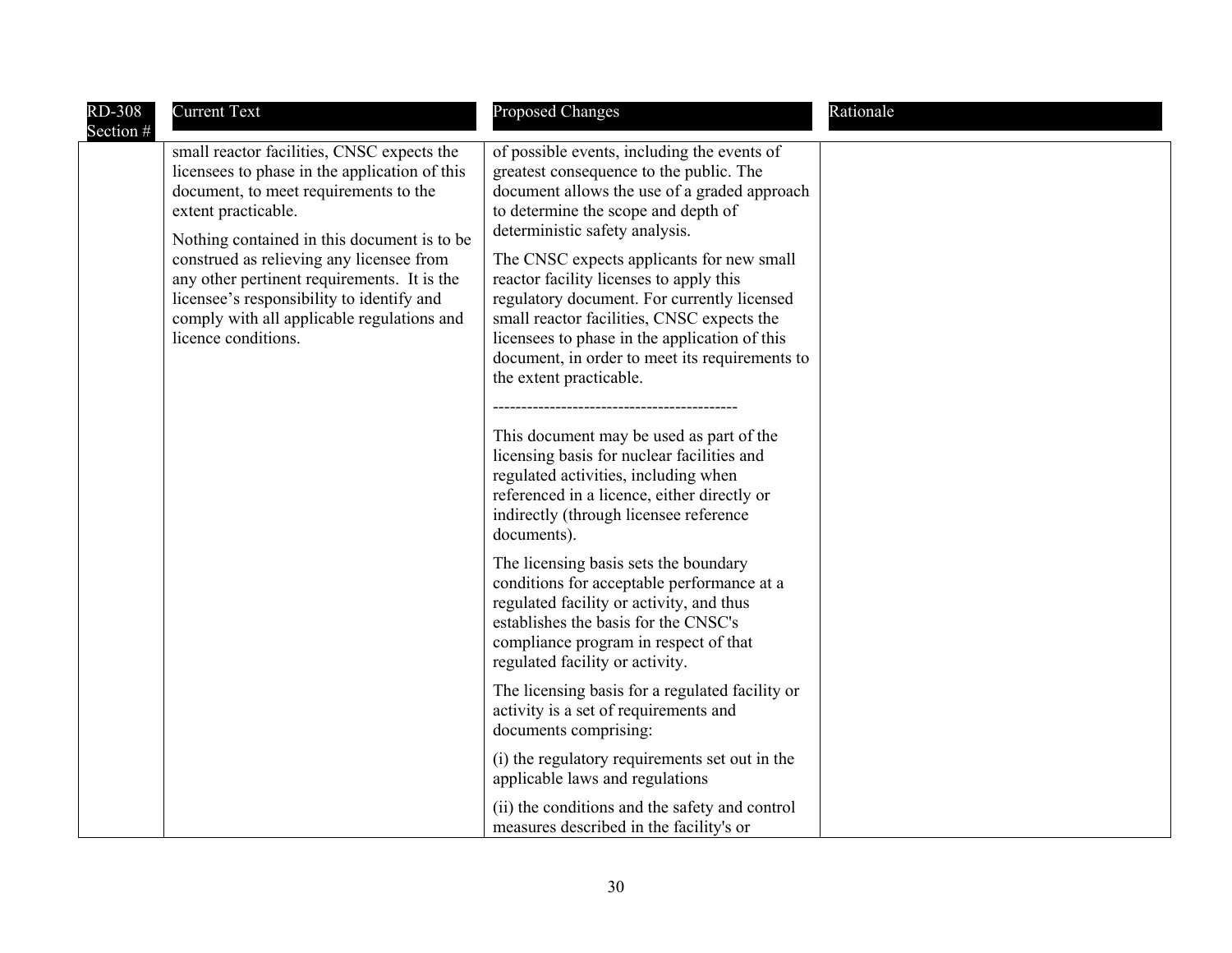| <b>RD-308</b> | <b>Current Text</b>                                                                                                                                                                                                                                                                                                                                                                                                     | <b>Proposed Changes</b>                                                                                                                                                                                                                                                                                                                                                                                                                                                                                                                                                                                                                                                                                                                                                                                                                                                                                                                                                                                                                                                                | Rationale |
|---------------|-------------------------------------------------------------------------------------------------------------------------------------------------------------------------------------------------------------------------------------------------------------------------------------------------------------------------------------------------------------------------------------------------------------------------|----------------------------------------------------------------------------------------------------------------------------------------------------------------------------------------------------------------------------------------------------------------------------------------------------------------------------------------------------------------------------------------------------------------------------------------------------------------------------------------------------------------------------------------------------------------------------------------------------------------------------------------------------------------------------------------------------------------------------------------------------------------------------------------------------------------------------------------------------------------------------------------------------------------------------------------------------------------------------------------------------------------------------------------------------------------------------------------|-----------|
| Section #     | small reactor facilities, CNSC expects the<br>licensees to phase in the application of this<br>document, to meet requirements to the<br>extent practicable.<br>Nothing contained in this document is to be<br>construed as relieving any licensee from<br>any other pertinent requirements. It is the<br>licensee's responsibility to identify and<br>comply with all applicable regulations and<br>licence conditions. | of possible events, including the events of<br>greatest consequence to the public. The<br>document allows the use of a graded approach<br>to determine the scope and depth of<br>deterministic safety analysis.<br>The CNSC expects applicants for new small<br>reactor facility licenses to apply this<br>regulatory document. For currently licensed<br>small reactor facilities, CNSC expects the<br>licensees to phase in the application of this<br>document, in order to meet its requirements to<br>the extent practicable.<br>This document may be used as part of the<br>licensing basis for nuclear facilities and<br>regulated activities, including when<br>referenced in a licence, either directly or<br>indirectly (through licensee reference<br>documents).<br>The licensing basis sets the boundary<br>conditions for acceptable performance at a<br>regulated facility or activity, and thus<br>establishes the basis for the CNSC's<br>compliance program in respect of that<br>regulated facility or activity.<br>The licensing basis for a regulated facility or |           |
|               |                                                                                                                                                                                                                                                                                                                                                                                                                         | activity is a set of requirements and<br>documents comprising:                                                                                                                                                                                                                                                                                                                                                                                                                                                                                                                                                                                                                                                                                                                                                                                                                                                                                                                                                                                                                         |           |
|               |                                                                                                                                                                                                                                                                                                                                                                                                                         | (i) the regulatory requirements set out in the<br>applicable laws and regulations                                                                                                                                                                                                                                                                                                                                                                                                                                                                                                                                                                                                                                                                                                                                                                                                                                                                                                                                                                                                      |           |
|               |                                                                                                                                                                                                                                                                                                                                                                                                                         | (ii) the conditions and the safety and control<br>measures described in the facility's or                                                                                                                                                                                                                                                                                                                                                                                                                                                                                                                                                                                                                                                                                                                                                                                                                                                                                                                                                                                              |           |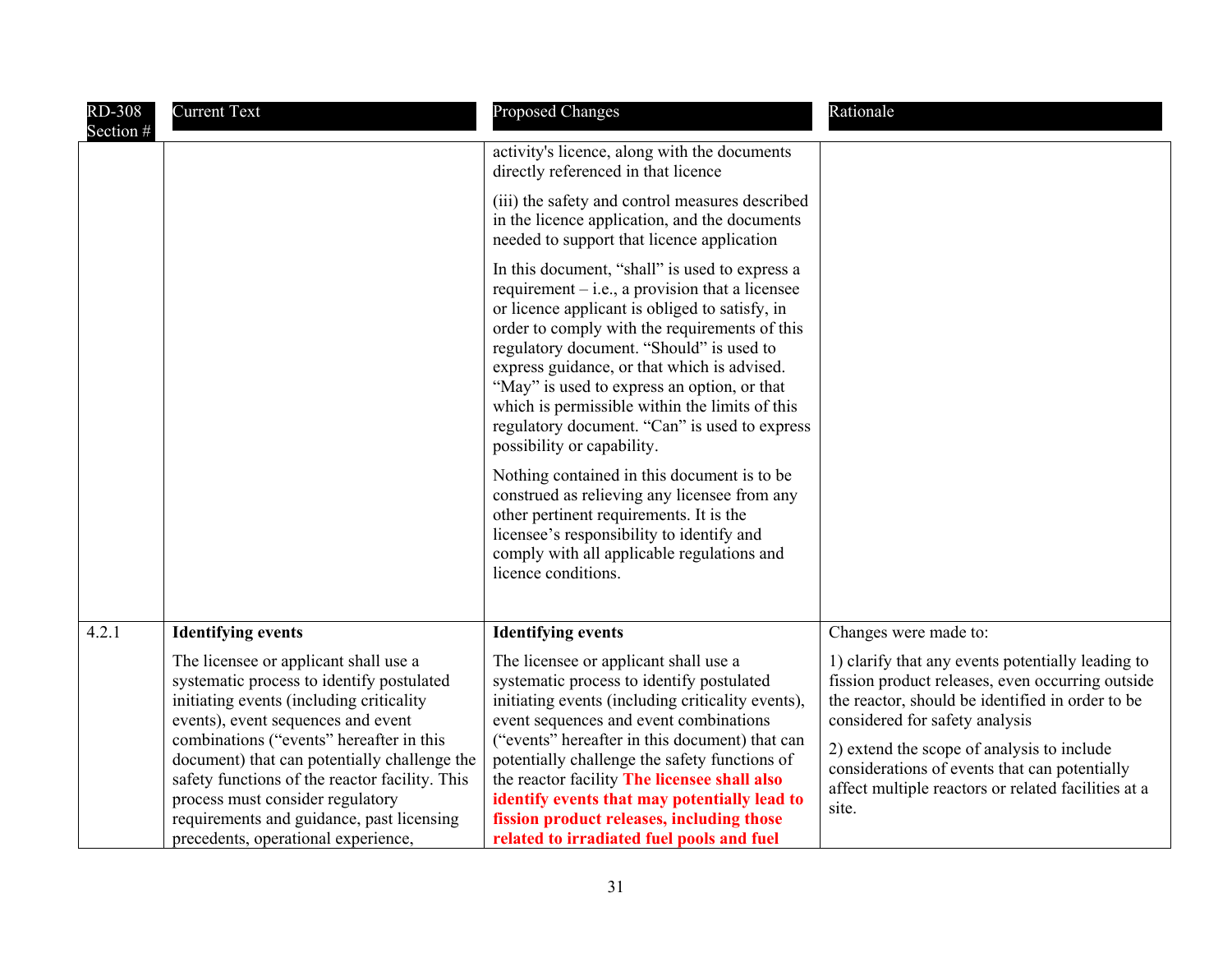| <b>RD-308</b><br>Section # | <b>Current Text</b>                                                                                                                                                                                                    | <b>Proposed Changes</b>                                                                                                                                                                                                                                                                                                                                                                                                                                                           | Rationale                                                                                                                                                                                   |
|----------------------------|------------------------------------------------------------------------------------------------------------------------------------------------------------------------------------------------------------------------|-----------------------------------------------------------------------------------------------------------------------------------------------------------------------------------------------------------------------------------------------------------------------------------------------------------------------------------------------------------------------------------------------------------------------------------------------------------------------------------|---------------------------------------------------------------------------------------------------------------------------------------------------------------------------------------------|
|                            |                                                                                                                                                                                                                        | activity's licence, along with the documents<br>directly referenced in that licence                                                                                                                                                                                                                                                                                                                                                                                               |                                                                                                                                                                                             |
|                            |                                                                                                                                                                                                                        | (iii) the safety and control measures described<br>in the licence application, and the documents<br>needed to support that licence application                                                                                                                                                                                                                                                                                                                                    |                                                                                                                                                                                             |
|                            |                                                                                                                                                                                                                        | In this document, "shall" is used to express a<br>requirement $-$ i.e., a provision that a licensee<br>or licence applicant is obliged to satisfy, in<br>order to comply with the requirements of this<br>regulatory document. "Should" is used to<br>express guidance, or that which is advised.<br>"May" is used to express an option, or that<br>which is permissible within the limits of this<br>regulatory document. "Can" is used to express<br>possibility or capability. |                                                                                                                                                                                             |
|                            |                                                                                                                                                                                                                        | Nothing contained in this document is to be<br>construed as relieving any licensee from any<br>other pertinent requirements. It is the<br>licensee's responsibility to identify and<br>comply with all applicable regulations and<br>licence conditions.                                                                                                                                                                                                                          |                                                                                                                                                                                             |
| 4.2.1                      | <b>Identifying events</b>                                                                                                                                                                                              | <b>Identifying events</b>                                                                                                                                                                                                                                                                                                                                                                                                                                                         | Changes were made to:                                                                                                                                                                       |
|                            | The licensee or applicant shall use a<br>systematic process to identify postulated<br>initiating events (including criticality<br>events), event sequences and event<br>combinations ("events" hereafter in this       | The licensee or applicant shall use a<br>systematic process to identify postulated<br>initiating events (including criticality events),<br>event sequences and event combinations<br>("events" hereafter in this document) that can                                                                                                                                                                                                                                               | 1) clarify that any events potentially leading to<br>fission product releases, even occurring outside<br>the reactor, should be identified in order to be<br>considered for safety analysis |
|                            | document) that can potentially challenge the<br>safety functions of the reactor facility. This<br>process must consider regulatory<br>requirements and guidance, past licensing<br>precedents, operational experience, | potentially challenge the safety functions of<br>the reactor facility The licensee shall also<br>identify events that may potentially lead to<br>fission product releases, including those<br>related to irradiated fuel pools and fuel                                                                                                                                                                                                                                           | 2) extend the scope of analysis to include<br>considerations of events that can potentially<br>affect multiple reactors or related facilities at a<br>site.                                 |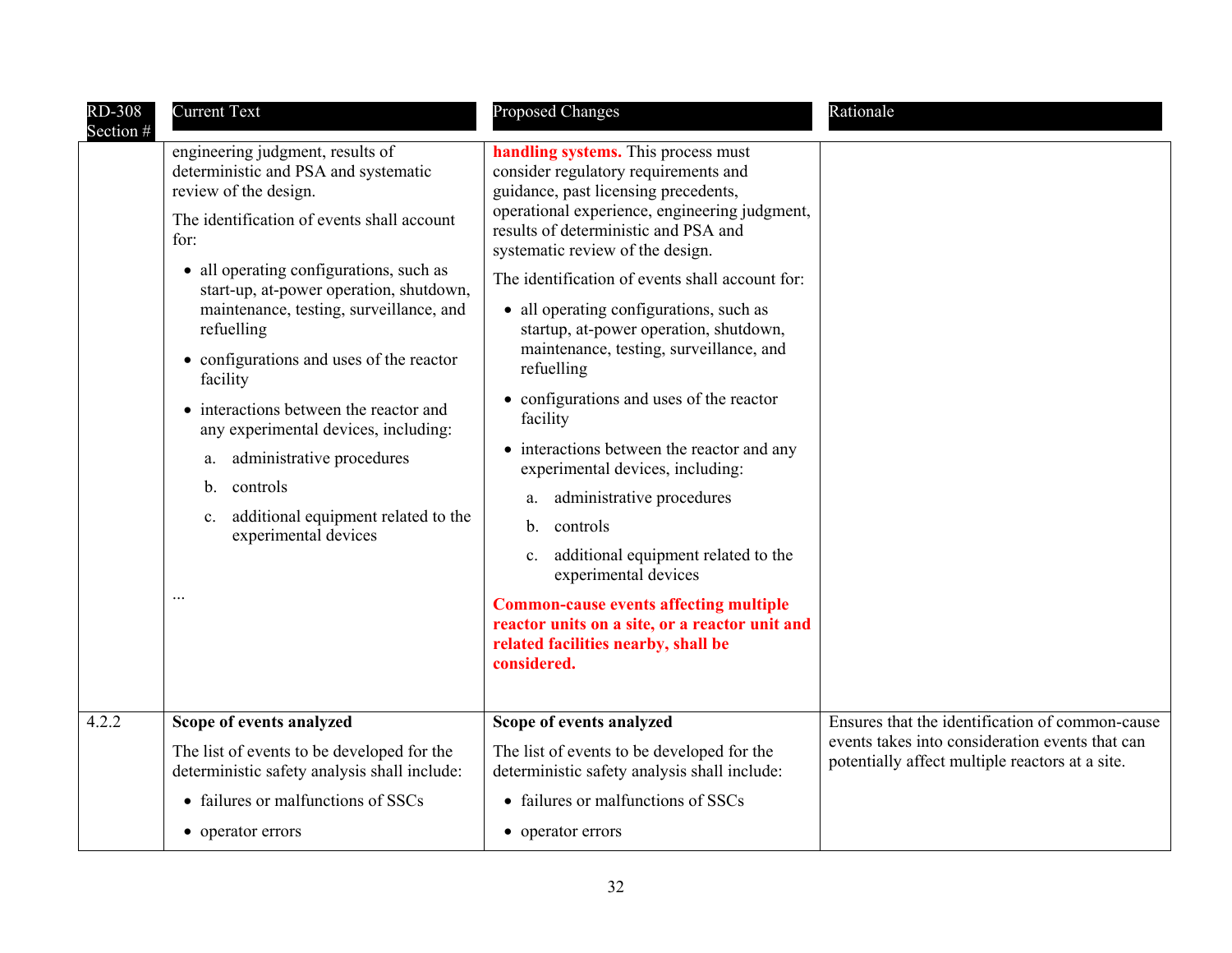| <b>RD-308</b><br>Section # | <b>Current Text</b>                                                                                                                                                                                                                                                                                                                                                                                                                                                                                                                                                                                             | <b>Proposed Changes</b>                                                                                                                                                                                                                                                                                                                                                                                                                                                                                                                                                                                                                                                                                                                                                                                                                                                                    | Rationale                                                                                          |
|----------------------------|-----------------------------------------------------------------------------------------------------------------------------------------------------------------------------------------------------------------------------------------------------------------------------------------------------------------------------------------------------------------------------------------------------------------------------------------------------------------------------------------------------------------------------------------------------------------------------------------------------------------|--------------------------------------------------------------------------------------------------------------------------------------------------------------------------------------------------------------------------------------------------------------------------------------------------------------------------------------------------------------------------------------------------------------------------------------------------------------------------------------------------------------------------------------------------------------------------------------------------------------------------------------------------------------------------------------------------------------------------------------------------------------------------------------------------------------------------------------------------------------------------------------------|----------------------------------------------------------------------------------------------------|
|                            | engineering judgment, results of<br>deterministic and PSA and systematic<br>review of the design.<br>The identification of events shall account<br>for:<br>• all operating configurations, such as<br>start-up, at-power operation, shutdown,<br>maintenance, testing, surveillance, and<br>refuelling<br>• configurations and uses of the reactor<br>facility<br>• interactions between the reactor and<br>any experimental devices, including:<br>administrative procedures<br>a.<br>controls<br>$\mathbf{b}$ .<br>additional equipment related to the<br>C <sub>1</sub><br>experimental devices<br>$\ddotsc$ | handling systems. This process must<br>consider regulatory requirements and<br>guidance, past licensing precedents,<br>operational experience, engineering judgment,<br>results of deterministic and PSA and<br>systematic review of the design.<br>The identification of events shall account for:<br>• all operating configurations, such as<br>startup, at-power operation, shutdown,<br>maintenance, testing, surveillance, and<br>refuelling<br>• configurations and uses of the reactor<br>facility<br>• interactions between the reactor and any<br>experimental devices, including:<br>administrative procedures<br>a.<br>controls<br>b.<br>additional equipment related to the<br>$\mathbf{c}$ .<br>experimental devices<br><b>Common-cause events affecting multiple</b><br>reactor units on a site, or a reactor unit and<br>related facilities nearby, shall be<br>considered. |                                                                                                    |
| 4.2.2                      | Scope of events analyzed                                                                                                                                                                                                                                                                                                                                                                                                                                                                                                                                                                                        | Scope of events analyzed                                                                                                                                                                                                                                                                                                                                                                                                                                                                                                                                                                                                                                                                                                                                                                                                                                                                   | Ensures that the identification of common-cause                                                    |
|                            | The list of events to be developed for the<br>deterministic safety analysis shall include:                                                                                                                                                                                                                                                                                                                                                                                                                                                                                                                      | The list of events to be developed for the<br>deterministic safety analysis shall include:                                                                                                                                                                                                                                                                                                                                                                                                                                                                                                                                                                                                                                                                                                                                                                                                 | events takes into consideration events that can<br>potentially affect multiple reactors at a site. |
|                            | • failures or malfunctions of SSCs                                                                                                                                                                                                                                                                                                                                                                                                                                                                                                                                                                              | • failures or malfunctions of SSCs                                                                                                                                                                                                                                                                                                                                                                                                                                                                                                                                                                                                                                                                                                                                                                                                                                                         |                                                                                                    |
|                            | • operator errors                                                                                                                                                                                                                                                                                                                                                                                                                                                                                                                                                                                               | • operator errors                                                                                                                                                                                                                                                                                                                                                                                                                                                                                                                                                                                                                                                                                                                                                                                                                                                                          |                                                                                                    |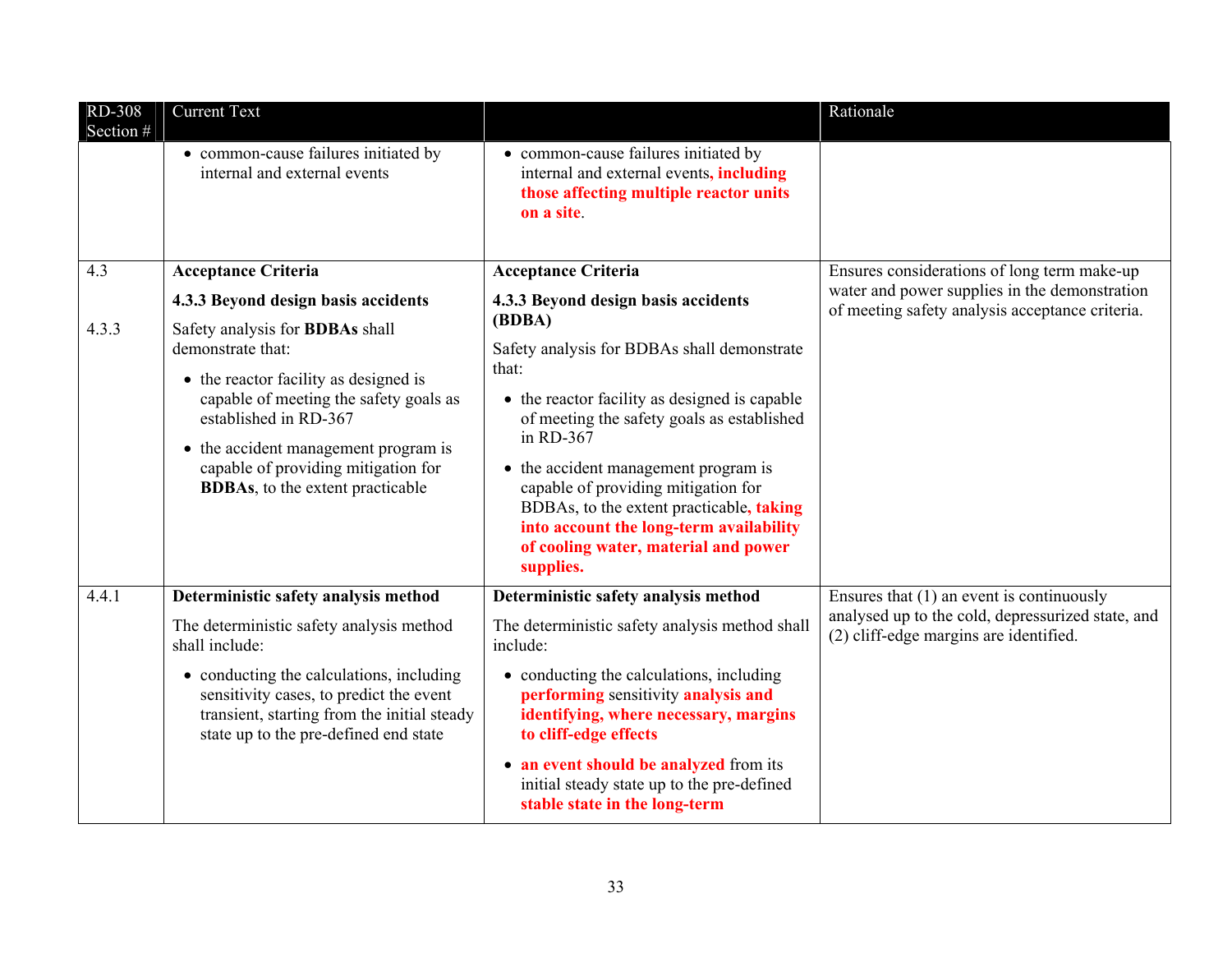| RD-308<br>Section # | <b>Current Text</b>                                                                                                                                                                                                                                                                                |                                                                                                                                                                                                                                                                                                                                                                                                       | Rationale                                                                                                                                  |
|---------------------|----------------------------------------------------------------------------------------------------------------------------------------------------------------------------------------------------------------------------------------------------------------------------------------------------|-------------------------------------------------------------------------------------------------------------------------------------------------------------------------------------------------------------------------------------------------------------------------------------------------------------------------------------------------------------------------------------------------------|--------------------------------------------------------------------------------------------------------------------------------------------|
|                     | • common-cause failures initiated by<br>internal and external events                                                                                                                                                                                                                               | • common-cause failures initiated by<br>internal and external events, <i>including</i><br>those affecting multiple reactor units<br>on a site.                                                                                                                                                                                                                                                        |                                                                                                                                            |
| 4.3                 | <b>Acceptance Criteria</b>                                                                                                                                                                                                                                                                         | <b>Acceptance Criteria</b>                                                                                                                                                                                                                                                                                                                                                                            | Ensures considerations of long term make-up                                                                                                |
|                     | 4.3.3 Beyond design basis accidents                                                                                                                                                                                                                                                                | 4.3.3 Beyond design basis accidents                                                                                                                                                                                                                                                                                                                                                                   | water and power supplies in the demonstration<br>of meeting safety analysis acceptance criteria.                                           |
| 4.3.3               | Safety analysis for <b>BDBAs</b> shall<br>demonstrate that:<br>• the reactor facility as designed is<br>capable of meeting the safety goals as<br>established in RD-367<br>• the accident management program is<br>capable of providing mitigation for<br><b>BDBAs</b> , to the extent practicable | (BDBA)<br>Safety analysis for BDBAs shall demonstrate<br>that:<br>• the reactor facility as designed is capable<br>of meeting the safety goals as established<br>in RD-367<br>• the accident management program is<br>capable of providing mitigation for<br>BDBAs, to the extent practicable, taking<br>into account the long-term availability<br>of cooling water, material and power<br>supplies. |                                                                                                                                            |
| 4.4.1               | Deterministic safety analysis method<br>The deterministic safety analysis method<br>shall include:                                                                                                                                                                                                 | Deterministic safety analysis method<br>The deterministic safety analysis method shall<br>include:                                                                                                                                                                                                                                                                                                    | Ensures that $(1)$ an event is continuously<br>analysed up to the cold, depressurized state, and<br>(2) cliff-edge margins are identified. |
|                     | • conducting the calculations, including<br>sensitivity cases, to predict the event<br>transient, starting from the initial steady<br>state up to the pre-defined end state                                                                                                                        | • conducting the calculations, including<br>performing sensitivity analysis and<br>identifying, where necessary, margins<br>to cliff-edge effects<br>• an event should be analyzed from its                                                                                                                                                                                                           |                                                                                                                                            |
|                     |                                                                                                                                                                                                                                                                                                    | initial steady state up to the pre-defined<br>stable state in the long-term                                                                                                                                                                                                                                                                                                                           |                                                                                                                                            |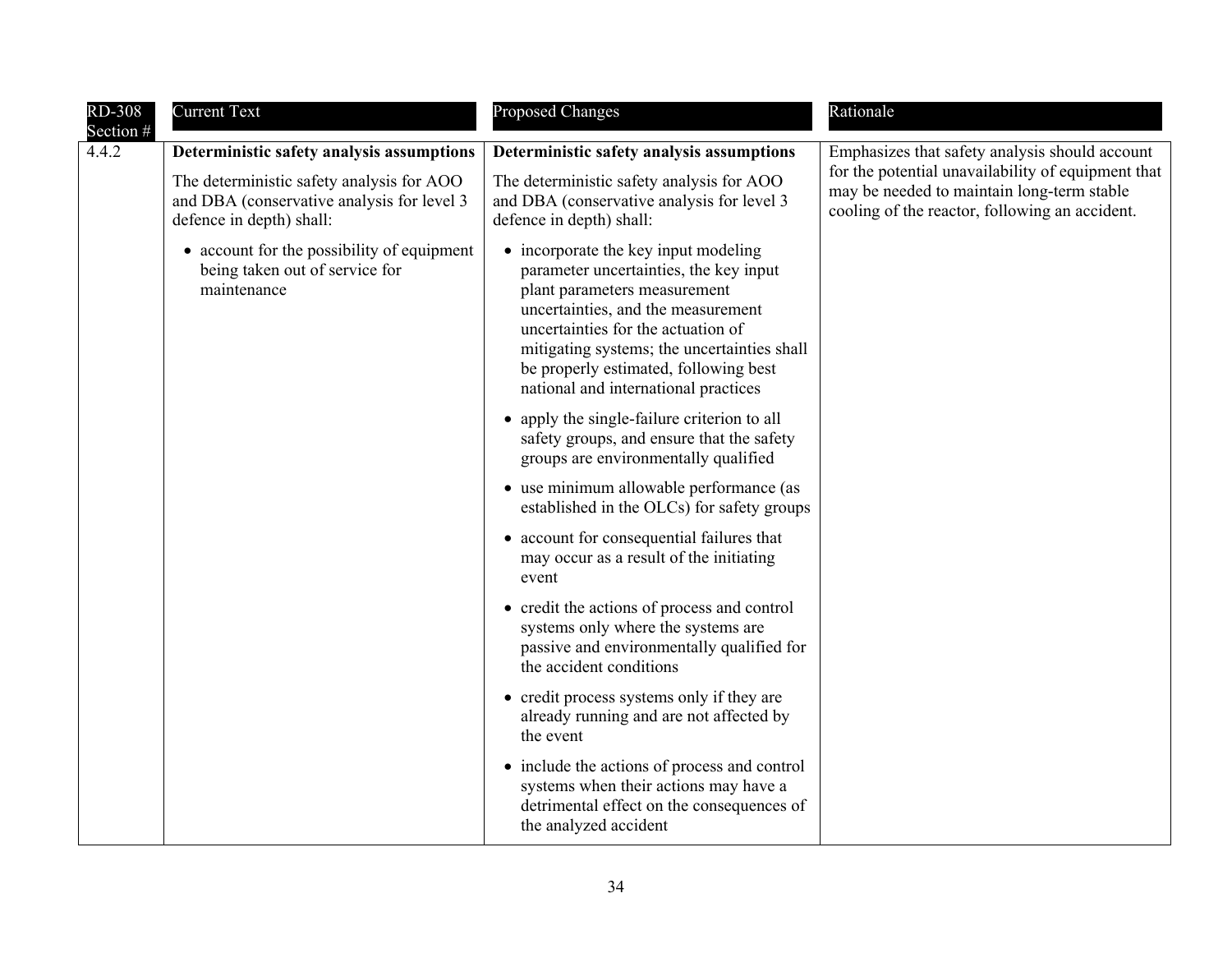| <b>RD-308</b><br>Section # | <b>Current Text</b>                                                                                                 | <b>Proposed Changes</b>                                                                                                                                                                                                                                                                                                    | Rationale                                                                                                                                          |
|----------------------------|---------------------------------------------------------------------------------------------------------------------|----------------------------------------------------------------------------------------------------------------------------------------------------------------------------------------------------------------------------------------------------------------------------------------------------------------------------|----------------------------------------------------------------------------------------------------------------------------------------------------|
| 4.4.2                      | Deterministic safety analysis assumptions                                                                           | Deterministic safety analysis assumptions                                                                                                                                                                                                                                                                                  | Emphasizes that safety analysis should account                                                                                                     |
|                            | The deterministic safety analysis for AOO<br>and DBA (conservative analysis for level 3<br>defence in depth) shall: | The deterministic safety analysis for AOO<br>and DBA (conservative analysis for level 3<br>defence in depth) shall:                                                                                                                                                                                                        | for the potential unavailability of equipment that<br>may be needed to maintain long-term stable<br>cooling of the reactor, following an accident. |
|                            | • account for the possibility of equipment<br>being taken out of service for<br>maintenance                         | • incorporate the key input modeling<br>parameter uncertainties, the key input<br>plant parameters measurement<br>uncertainties, and the measurement<br>uncertainties for the actuation of<br>mitigating systems; the uncertainties shall<br>be properly estimated, following best<br>national and international practices |                                                                                                                                                    |
|                            |                                                                                                                     | • apply the single-failure criterion to all<br>safety groups, and ensure that the safety<br>groups are environmentally qualified                                                                                                                                                                                           |                                                                                                                                                    |
|                            |                                                                                                                     | • use minimum allowable performance (as<br>established in the OLCs) for safety groups                                                                                                                                                                                                                                      |                                                                                                                                                    |
|                            |                                                                                                                     | • account for consequential failures that<br>may occur as a result of the initiating<br>event                                                                                                                                                                                                                              |                                                                                                                                                    |
|                            |                                                                                                                     | • credit the actions of process and control<br>systems only where the systems are<br>passive and environmentally qualified for<br>the accident conditions                                                                                                                                                                  |                                                                                                                                                    |
|                            |                                                                                                                     | • credit process systems only if they are<br>already running and are not affected by<br>the event                                                                                                                                                                                                                          |                                                                                                                                                    |
|                            |                                                                                                                     | • include the actions of process and control<br>systems when their actions may have a<br>detrimental effect on the consequences of<br>the analyzed accident                                                                                                                                                                |                                                                                                                                                    |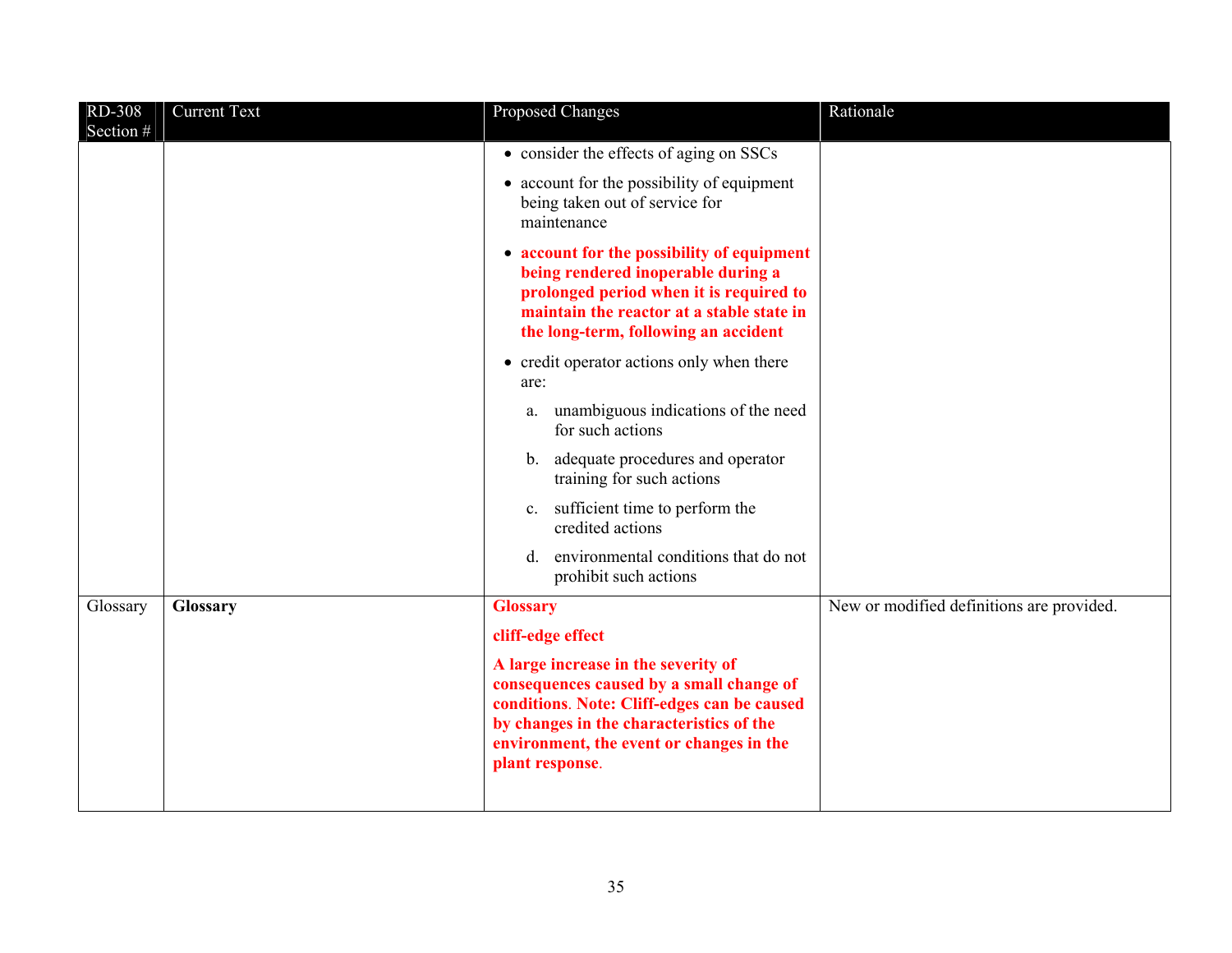| RD-308<br>Section # | <b>Current Text</b> | Proposed Changes                                                                                                                                                                                                                          | Rationale                                 |
|---------------------|---------------------|-------------------------------------------------------------------------------------------------------------------------------------------------------------------------------------------------------------------------------------------|-------------------------------------------|
|                     |                     | • consider the effects of aging on SSCs                                                                                                                                                                                                   |                                           |
|                     |                     | • account for the possibility of equipment<br>being taken out of service for<br>maintenance                                                                                                                                               |                                           |
|                     |                     | • account for the possibility of equipment<br>being rendered inoperable during a<br>prolonged period when it is required to<br>maintain the reactor at a stable state in<br>the long-term, following an accident                          |                                           |
|                     |                     | • credit operator actions only when there<br>are:                                                                                                                                                                                         |                                           |
|                     |                     | unambiguous indications of the need<br>a.<br>for such actions                                                                                                                                                                             |                                           |
|                     |                     | b. adequate procedures and operator<br>training for such actions                                                                                                                                                                          |                                           |
|                     |                     | c. sufficient time to perform the<br>credited actions                                                                                                                                                                                     |                                           |
|                     |                     | environmental conditions that do not<br>d.<br>prohibit such actions                                                                                                                                                                       |                                           |
| Glossary            | Glossary            | <b>Glossary</b>                                                                                                                                                                                                                           | New or modified definitions are provided. |
|                     |                     | cliff-edge effect                                                                                                                                                                                                                         |                                           |
|                     |                     | A large increase in the severity of<br>consequences caused by a small change of<br>conditions. Note: Cliff-edges can be caused<br>by changes in the characteristics of the<br>environment, the event or changes in the<br>plant response. |                                           |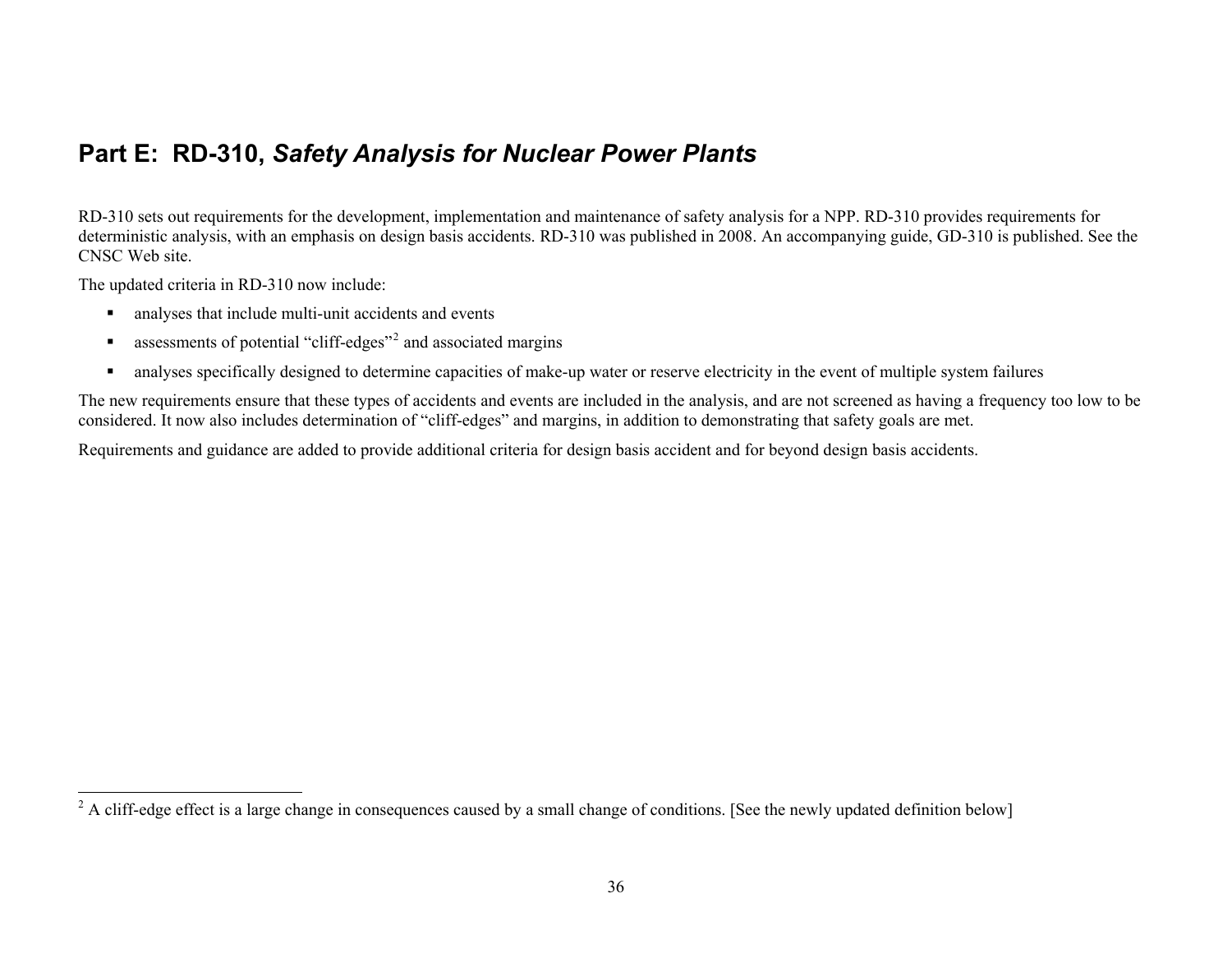#### <span id="page-35-0"></span>**Part E: RD-310,** *Safety Analysis for Nuclear Power Plants*

RD-310 sets out requirements for the development, implementation and maintenance of safety analysis for a NPP. RD-310 provides requirements for deterministic analysis, with an emphasis on design basis accidents. RD-310 was published in 2008. An accompanying guide, GD-310 is published. See the CNSC Web site.

The updated criteria in RD-310 now include:

- $\blacksquare$ analyses that include multi-unit accidents and events
- $\blacksquare$ assessments of potential "cliff-edges"[2](#page-35-1) and associated margins
- $\blacksquare$ analyses specifically designed to determine capacities of make-up water or reserve electricity in the event of multiple system failures

The new requirements ensure that these types of accidents and events are included in the analysis, and are not screened as having a frequency too low to be considered. It now also includes determination of "cliff-edges" and margins, in addition to demonstrating that safety goals are met.

Requirements and guidance are added to provide additional criteria for design basis accident and for beyond design basis accidents.

<span id="page-35-1"></span><sup>&</sup>lt;sup>2</sup> A cliff-edge effect is a large change in consequences caused by a small change of conditions. [See the newly updated definition below]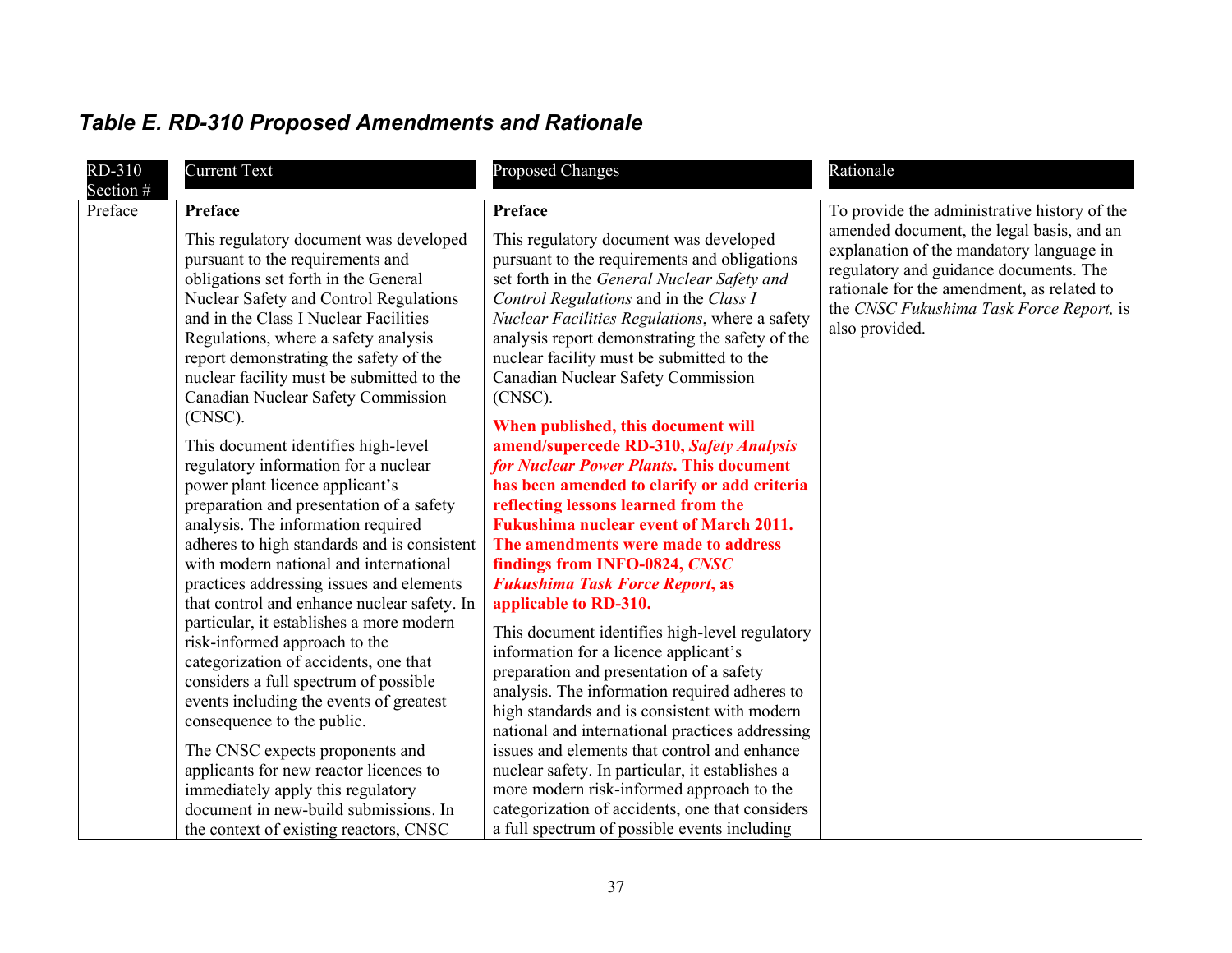| RD-310<br>Section # | <b>Current Text</b>                                                                                                                                                                                                                                                                                                                                                                                                                                                                                                                                                                                                                                                                                             | <b>Proposed Changes</b>                                                                                                                                                                                                                                                                                                                                                                                                                                                                                                                                                                                                                                                                                                                                                       | Rationale                                                                                                                                                                                                                                                                                   |
|---------------------|-----------------------------------------------------------------------------------------------------------------------------------------------------------------------------------------------------------------------------------------------------------------------------------------------------------------------------------------------------------------------------------------------------------------------------------------------------------------------------------------------------------------------------------------------------------------------------------------------------------------------------------------------------------------------------------------------------------------|-------------------------------------------------------------------------------------------------------------------------------------------------------------------------------------------------------------------------------------------------------------------------------------------------------------------------------------------------------------------------------------------------------------------------------------------------------------------------------------------------------------------------------------------------------------------------------------------------------------------------------------------------------------------------------------------------------------------------------------------------------------------------------|---------------------------------------------------------------------------------------------------------------------------------------------------------------------------------------------------------------------------------------------------------------------------------------------|
| Preface             | <b>Preface</b><br>This regulatory document was developed<br>pursuant to the requirements and<br>obligations set forth in the General<br><b>Nuclear Safety and Control Regulations</b><br>and in the Class I Nuclear Facilities<br>Regulations, where a safety analysis<br>report demonstrating the safety of the<br>nuclear facility must be submitted to the<br>Canadian Nuclear Safety Commission<br>$(CNSC)$ .<br>This document identifies high-level<br>regulatory information for a nuclear<br>power plant licence applicant's                                                                                                                                                                             | Preface<br>This regulatory document was developed<br>pursuant to the requirements and obligations<br>set forth in the General Nuclear Safety and<br>Control Regulations and in the Class I<br>Nuclear Facilities Regulations, where a safety<br>analysis report demonstrating the safety of the<br>nuclear facility must be submitted to the<br>Canadian Nuclear Safety Commission<br>(CNSC).<br>When published, this document will<br>amend/supercede RD-310, Safety Analysis<br>for Nuclear Power Plants. This document<br>has been amended to clarify or add criteria                                                                                                                                                                                                      | To provide the administrative history of the<br>amended document, the legal basis, and an<br>explanation of the mandatory language in<br>regulatory and guidance documents. The<br>rationale for the amendment, as related to<br>the CNSC Fukushima Task Force Report, is<br>also provided. |
|                     | preparation and presentation of a safety<br>analysis. The information required<br>adheres to high standards and is consistent<br>with modern national and international<br>practices addressing issues and elements<br>that control and enhance nuclear safety. In<br>particular, it establishes a more modern<br>risk-informed approach to the<br>categorization of accidents, one that<br>considers a full spectrum of possible<br>events including the events of greatest<br>consequence to the public.<br>The CNSC expects proponents and<br>applicants for new reactor licences to<br>immediately apply this regulatory<br>document in new-build submissions. In<br>the context of existing reactors, CNSC | reflecting lessons learned from the<br><b>Fukushima nuclear event of March 2011.</b><br>The amendments were made to address<br>findings from INFO-0824, CNSC<br><b>Fukushima Task Force Report, as</b><br>applicable to RD-310.<br>This document identifies high-level regulatory<br>information for a licence applicant's<br>preparation and presentation of a safety<br>analysis. The information required adheres to<br>high standards and is consistent with modern<br>national and international practices addressing<br>issues and elements that control and enhance<br>nuclear safety. In particular, it establishes a<br>more modern risk-informed approach to the<br>categorization of accidents, one that considers<br>a full spectrum of possible events including |                                                                                                                                                                                                                                                                                             |

# <span id="page-36-0"></span>*Table E. RD-310 Proposed Amendments and Rationale*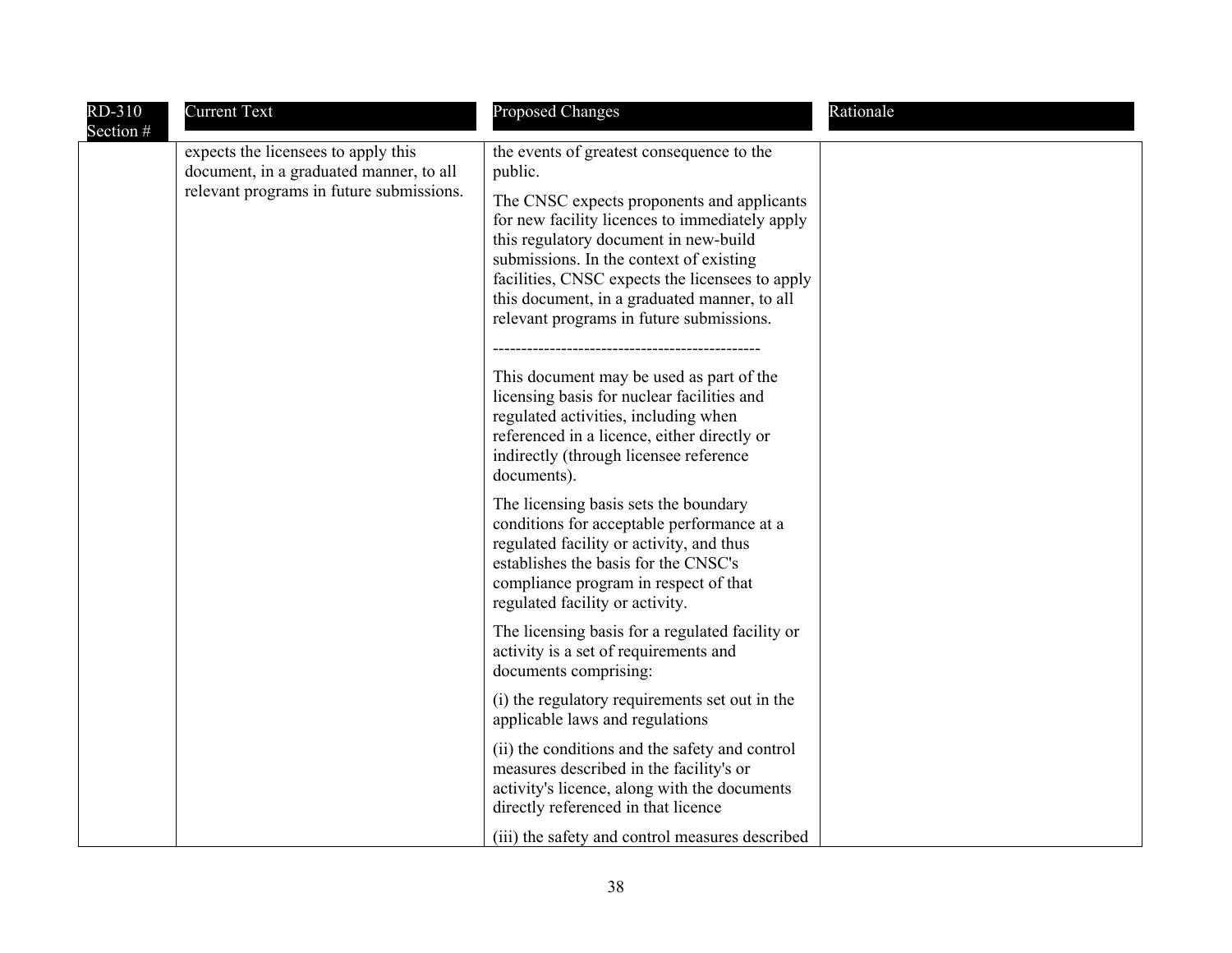| RD-310<br>Section # | <b>Current Text</b>                                                                                                        | <b>Proposed Changes</b>                                                                                                                                                                                                                                                                                                                                                                                                                                                                                                                                                                                                           | Rationale |
|---------------------|----------------------------------------------------------------------------------------------------------------------------|-----------------------------------------------------------------------------------------------------------------------------------------------------------------------------------------------------------------------------------------------------------------------------------------------------------------------------------------------------------------------------------------------------------------------------------------------------------------------------------------------------------------------------------------------------------------------------------------------------------------------------------|-----------|
|                     | expects the licensees to apply this<br>document, in a graduated manner, to all<br>relevant programs in future submissions. | the events of greatest consequence to the<br>public.<br>The CNSC expects proponents and applicants<br>for new facility licences to immediately apply<br>this regulatory document in new-build<br>submissions. In the context of existing<br>facilities, CNSC expects the licensees to apply<br>this document, in a graduated manner, to all<br>relevant programs in future submissions.<br>This document may be used as part of the<br>licensing basis for nuclear facilities and<br>regulated activities, including when<br>referenced in a licence, either directly or<br>indirectly (through licensee reference<br>documents). |           |
|                     |                                                                                                                            | The licensing basis sets the boundary<br>conditions for acceptable performance at a<br>regulated facility or activity, and thus<br>establishes the basis for the CNSC's<br>compliance program in respect of that<br>regulated facility or activity.                                                                                                                                                                                                                                                                                                                                                                               |           |
|                     |                                                                                                                            | The licensing basis for a regulated facility or<br>activity is a set of requirements and<br>documents comprising:                                                                                                                                                                                                                                                                                                                                                                                                                                                                                                                 |           |
|                     |                                                                                                                            | (i) the regulatory requirements set out in the<br>applicable laws and regulations                                                                                                                                                                                                                                                                                                                                                                                                                                                                                                                                                 |           |
|                     |                                                                                                                            | (ii) the conditions and the safety and control<br>measures described in the facility's or<br>activity's licence, along with the documents<br>directly referenced in that licence                                                                                                                                                                                                                                                                                                                                                                                                                                                  |           |
|                     |                                                                                                                            | (iii) the safety and control measures described                                                                                                                                                                                                                                                                                                                                                                                                                                                                                                                                                                                   |           |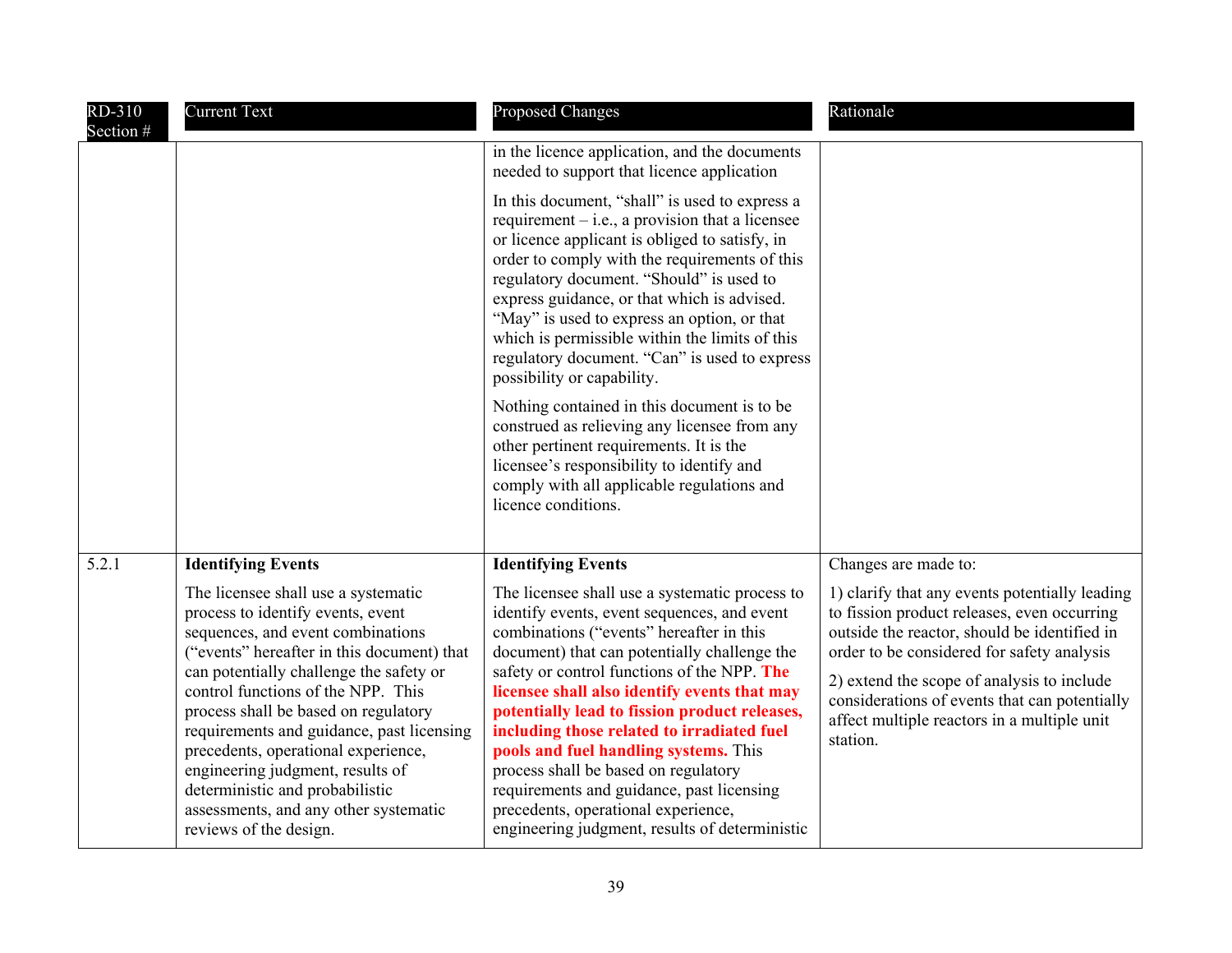| RD-310<br>Section # | <b>Current Text</b>                                                                                                                                                                                                                                                                                                                                                                                                                                                                                                | <b>Proposed Changes</b>                                                                                                                                                                                                                                                                                                                                                                                                                                                                                                                                                                                        | Rationale                                                                                                                                                                                                                                                                                                                                             |
|---------------------|--------------------------------------------------------------------------------------------------------------------------------------------------------------------------------------------------------------------------------------------------------------------------------------------------------------------------------------------------------------------------------------------------------------------------------------------------------------------------------------------------------------------|----------------------------------------------------------------------------------------------------------------------------------------------------------------------------------------------------------------------------------------------------------------------------------------------------------------------------------------------------------------------------------------------------------------------------------------------------------------------------------------------------------------------------------------------------------------------------------------------------------------|-------------------------------------------------------------------------------------------------------------------------------------------------------------------------------------------------------------------------------------------------------------------------------------------------------------------------------------------------------|
|                     |                                                                                                                                                                                                                                                                                                                                                                                                                                                                                                                    | in the licence application, and the documents<br>needed to support that licence application                                                                                                                                                                                                                                                                                                                                                                                                                                                                                                                    |                                                                                                                                                                                                                                                                                                                                                       |
|                     |                                                                                                                                                                                                                                                                                                                                                                                                                                                                                                                    | In this document, "shall" is used to express a<br>requirement $-$ i.e., a provision that a licensee<br>or licence applicant is obliged to satisfy, in<br>order to comply with the requirements of this<br>regulatory document. "Should" is used to<br>express guidance, or that which is advised.<br>"May" is used to express an option, or that<br>which is permissible within the limits of this<br>regulatory document. "Can" is used to express<br>possibility or capability.<br>Nothing contained in this document is to be                                                                               |                                                                                                                                                                                                                                                                                                                                                       |
|                     |                                                                                                                                                                                                                                                                                                                                                                                                                                                                                                                    | construed as relieving any licensee from any<br>other pertinent requirements. It is the<br>licensee's responsibility to identify and<br>comply with all applicable regulations and<br>licence conditions.                                                                                                                                                                                                                                                                                                                                                                                                      |                                                                                                                                                                                                                                                                                                                                                       |
| 5.2.1               | <b>Identifying Events</b>                                                                                                                                                                                                                                                                                                                                                                                                                                                                                          | <b>Identifying Events</b>                                                                                                                                                                                                                                                                                                                                                                                                                                                                                                                                                                                      | Changes are made to:                                                                                                                                                                                                                                                                                                                                  |
|                     | The licensee shall use a systematic<br>process to identify events, event<br>sequences, and event combinations<br>("events" hereafter in this document) that<br>can potentially challenge the safety or<br>control functions of the NPP. This<br>process shall be based on regulatory<br>requirements and guidance, past licensing<br>precedents, operational experience,<br>engineering judgment, results of<br>deterministic and probabilistic<br>assessments, and any other systematic<br>reviews of the design. | The licensee shall use a systematic process to<br>identify events, event sequences, and event<br>combinations ("events" hereafter in this<br>document) that can potentially challenge the<br>safety or control functions of the NPP. The<br>licensee shall also identify events that may<br>potentially lead to fission product releases,<br>including those related to irradiated fuel<br>pools and fuel handling systems. This<br>process shall be based on regulatory<br>requirements and guidance, past licensing<br>precedents, operational experience,<br>engineering judgment, results of deterministic | 1) clarify that any events potentially leading<br>to fission product releases, even occurring<br>outside the reactor, should be identified in<br>order to be considered for safety analysis<br>2) extend the scope of analysis to include<br>considerations of events that can potentially<br>affect multiple reactors in a multiple unit<br>station. |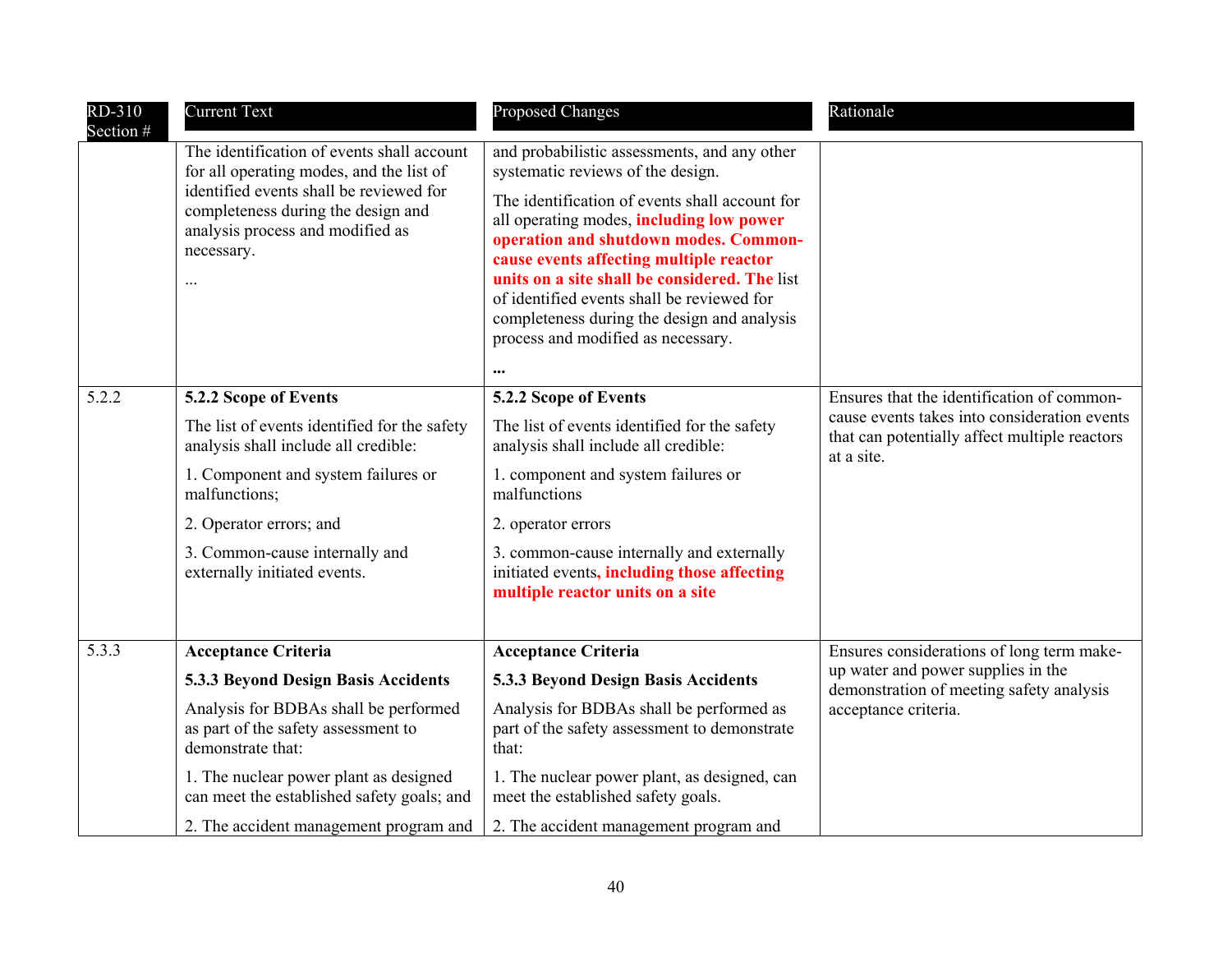| RD-310<br>Section # | <b>Current Text</b>                                                                                                                         | Proposed Changes                                                                                                                                                                                                                                                                                                                                                               | Rationale                                                                                                   |
|---------------------|---------------------------------------------------------------------------------------------------------------------------------------------|--------------------------------------------------------------------------------------------------------------------------------------------------------------------------------------------------------------------------------------------------------------------------------------------------------------------------------------------------------------------------------|-------------------------------------------------------------------------------------------------------------|
|                     | The identification of events shall account<br>for all operating modes, and the list of                                                      | and probabilistic assessments, and any other<br>systematic reviews of the design.                                                                                                                                                                                                                                                                                              |                                                                                                             |
|                     | identified events shall be reviewed for<br>completeness during the design and<br>analysis process and modified as<br>necessary.<br>$\cdots$ | The identification of events shall account for<br>all operating modes, including low power<br>operation and shutdown modes. Common-<br>cause events affecting multiple reactor<br>units on a site shall be considered. The list<br>of identified events shall be reviewed for<br>completeness during the design and analysis<br>process and modified as necessary.<br>$\cdots$ |                                                                                                             |
| 5.2.2               | 5.2.2 Scope of Events                                                                                                                       | 5.2.2 Scope of Events                                                                                                                                                                                                                                                                                                                                                          | Ensures that the identification of common-                                                                  |
|                     | The list of events identified for the safety<br>analysis shall include all credible:                                                        | The list of events identified for the safety<br>analysis shall include all credible:                                                                                                                                                                                                                                                                                           | cause events takes into consideration events<br>that can potentially affect multiple reactors<br>at a site. |
|                     | 1. Component and system failures or<br>malfunctions;                                                                                        | 1. component and system failures or<br>malfunctions                                                                                                                                                                                                                                                                                                                            |                                                                                                             |
|                     | 2. Operator errors; and                                                                                                                     | 2. operator errors                                                                                                                                                                                                                                                                                                                                                             |                                                                                                             |
|                     | 3. Common-cause internally and<br>externally initiated events.                                                                              | 3. common-cause internally and externally<br>initiated events, including those affecting<br>multiple reactor units on a site                                                                                                                                                                                                                                                   |                                                                                                             |
| 5.3.3               | <b>Acceptance Criteria</b>                                                                                                                  | <b>Acceptance Criteria</b>                                                                                                                                                                                                                                                                                                                                                     | Ensures considerations of long term make-                                                                   |
|                     | 5.3.3 Beyond Design Basis Accidents                                                                                                         | 5.3.3 Beyond Design Basis Accidents                                                                                                                                                                                                                                                                                                                                            | up water and power supplies in the<br>demonstration of meeting safety analysis                              |
|                     | Analysis for BDBAs shall be performed<br>as part of the safety assessment to<br>demonstrate that:                                           | Analysis for BDBAs shall be performed as<br>part of the safety assessment to demonstrate<br>that:                                                                                                                                                                                                                                                                              | acceptance criteria.                                                                                        |
|                     | 1. The nuclear power plant as designed<br>can meet the established safety goals; and                                                        | 1. The nuclear power plant, as designed, can<br>meet the established safety goals.                                                                                                                                                                                                                                                                                             |                                                                                                             |
|                     | 2. The accident management program and                                                                                                      | 2. The accident management program and                                                                                                                                                                                                                                                                                                                                         |                                                                                                             |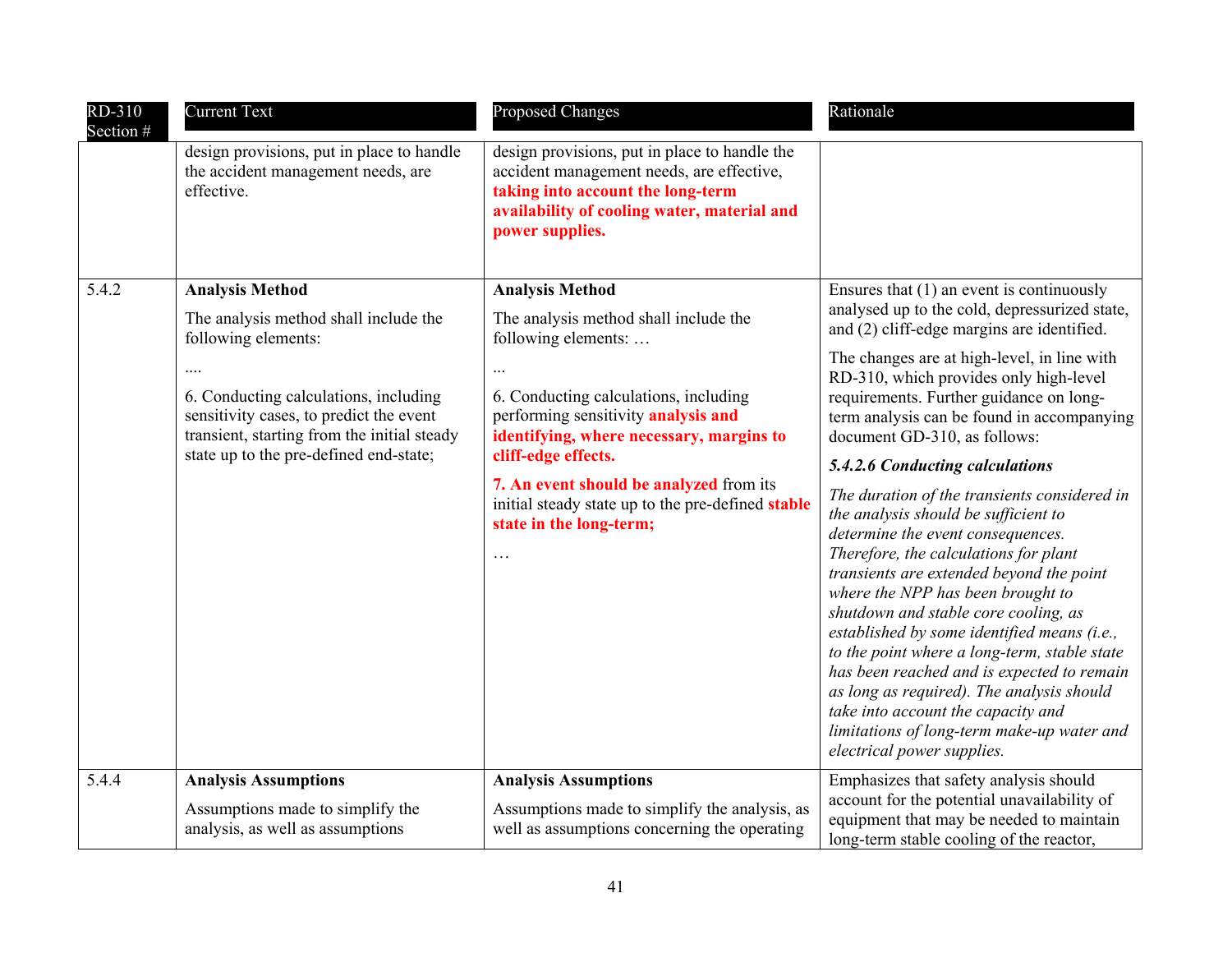| RD-310<br>Section # | <b>Current Text</b>                                                                                                                                                                                                                           | Proposed Changes                                                                                                                                                                                                                                                                                                                           | Rationale                                                                                                                                                                                                                                                                                                                                                                                                                                                                                                                                                                                                                                                                                                                                                                                                                                                                                                                     |
|---------------------|-----------------------------------------------------------------------------------------------------------------------------------------------------------------------------------------------------------------------------------------------|--------------------------------------------------------------------------------------------------------------------------------------------------------------------------------------------------------------------------------------------------------------------------------------------------------------------------------------------|-------------------------------------------------------------------------------------------------------------------------------------------------------------------------------------------------------------------------------------------------------------------------------------------------------------------------------------------------------------------------------------------------------------------------------------------------------------------------------------------------------------------------------------------------------------------------------------------------------------------------------------------------------------------------------------------------------------------------------------------------------------------------------------------------------------------------------------------------------------------------------------------------------------------------------|
|                     | design provisions, put in place to handle<br>the accident management needs, are<br>effective.                                                                                                                                                 | design provisions, put in place to handle the<br>accident management needs, are effective,<br>taking into account the long-term<br>availability of cooling water, material and<br>power supplies.                                                                                                                                          |                                                                                                                                                                                                                                                                                                                                                                                                                                                                                                                                                                                                                                                                                                                                                                                                                                                                                                                               |
| 5.4.2               | <b>Analysis Method</b>                                                                                                                                                                                                                        | <b>Analysis Method</b>                                                                                                                                                                                                                                                                                                                     | Ensures that $(1)$ an event is continuously                                                                                                                                                                                                                                                                                                                                                                                                                                                                                                                                                                                                                                                                                                                                                                                                                                                                                   |
|                     | The analysis method shall include the<br>following elements:<br><br>6. Conducting calculations, including<br>sensitivity cases, to predict the event<br>transient, starting from the initial steady<br>state up to the pre-defined end-state; | The analysis method shall include the<br>following elements:<br>6. Conducting calculations, including<br>performing sensitivity analysis and<br>identifying, where necessary, margins to<br>cliff-edge effects.<br>7. An event should be analyzed from its<br>initial steady state up to the pre-defined stable<br>state in the long-term; | analysed up to the cold, depressurized state,<br>and (2) cliff-edge margins are identified.<br>The changes are at high-level, in line with<br>RD-310, which provides only high-level<br>requirements. Further guidance on long-<br>term analysis can be found in accompanying<br>document GD-310, as follows:<br>5.4.2.6 Conducting calculations<br>The duration of the transients considered in<br>the analysis should be sufficient to<br>determine the event consequences.<br>Therefore, the calculations for plant<br>transients are extended beyond the point<br>where the NPP has been brought to<br>shutdown and stable core cooling, as<br>established by some identified means (i.e.,<br>to the point where a long-term, stable state<br>has been reached and is expected to remain<br>as long as required). The analysis should<br>take into account the capacity and<br>limitations of long-term make-up water and |
|                     |                                                                                                                                                                                                                                               |                                                                                                                                                                                                                                                                                                                                            | electrical power supplies.                                                                                                                                                                                                                                                                                                                                                                                                                                                                                                                                                                                                                                                                                                                                                                                                                                                                                                    |
| 5.4.4               | <b>Analysis Assumptions</b>                                                                                                                                                                                                                   | <b>Analysis Assumptions</b>                                                                                                                                                                                                                                                                                                                | Emphasizes that safety analysis should<br>account for the potential unavailability of                                                                                                                                                                                                                                                                                                                                                                                                                                                                                                                                                                                                                                                                                                                                                                                                                                         |
|                     | Assumptions made to simplify the<br>analysis, as well as assumptions                                                                                                                                                                          | Assumptions made to simplify the analysis, as<br>well as assumptions concerning the operating                                                                                                                                                                                                                                              | equipment that may be needed to maintain<br>long-term stable cooling of the reactor,                                                                                                                                                                                                                                                                                                                                                                                                                                                                                                                                                                                                                                                                                                                                                                                                                                          |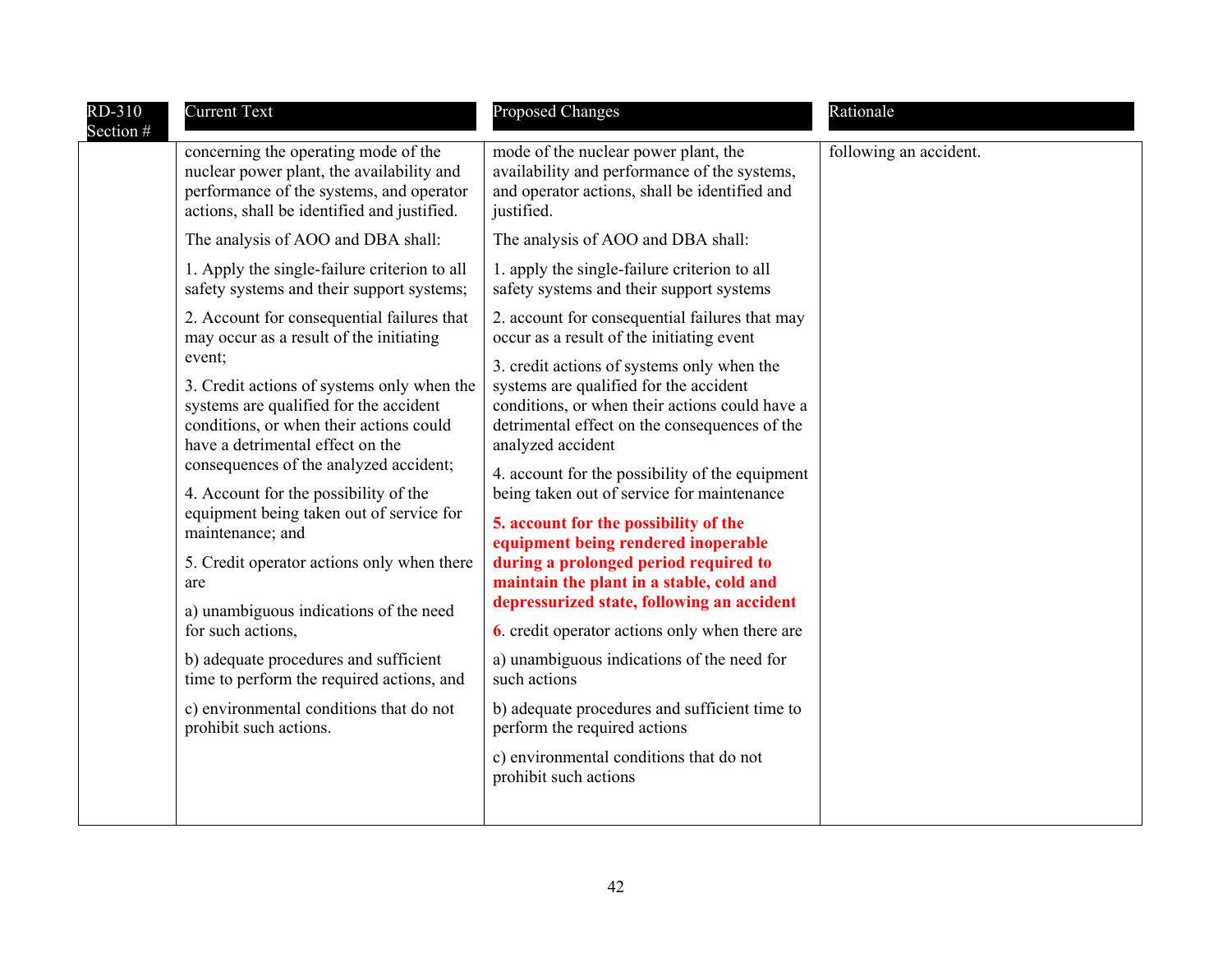| RD-310<br>Section # | <b>Current Text</b>                                                                                                                                                                                                                                                                                                                                                                                                                                  | Proposed Changes                                                                                                                                                                                                                                                                                                                                                                                                                                                                                                                                                                   | Rationale              |
|---------------------|------------------------------------------------------------------------------------------------------------------------------------------------------------------------------------------------------------------------------------------------------------------------------------------------------------------------------------------------------------------------------------------------------------------------------------------------------|------------------------------------------------------------------------------------------------------------------------------------------------------------------------------------------------------------------------------------------------------------------------------------------------------------------------------------------------------------------------------------------------------------------------------------------------------------------------------------------------------------------------------------------------------------------------------------|------------------------|
|                     | concerning the operating mode of the<br>nuclear power plant, the availability and<br>performance of the systems, and operator<br>actions, shall be identified and justified.                                                                                                                                                                                                                                                                         | mode of the nuclear power plant, the<br>availability and performance of the systems,<br>and operator actions, shall be identified and<br>justified.                                                                                                                                                                                                                                                                                                                                                                                                                                | following an accident. |
|                     | The analysis of AOO and DBA shall:                                                                                                                                                                                                                                                                                                                                                                                                                   | The analysis of AOO and DBA shall:                                                                                                                                                                                                                                                                                                                                                                                                                                                                                                                                                 |                        |
|                     | 1. Apply the single-failure criterion to all<br>safety systems and their support systems;                                                                                                                                                                                                                                                                                                                                                            | 1. apply the single-failure criterion to all<br>safety systems and their support systems                                                                                                                                                                                                                                                                                                                                                                                                                                                                                           |                        |
|                     | 2. Account for consequential failures that<br>may occur as a result of the initiating                                                                                                                                                                                                                                                                                                                                                                | 2. account for consequential failures that may<br>occur as a result of the initiating event                                                                                                                                                                                                                                                                                                                                                                                                                                                                                        |                        |
|                     | event;<br>3. Credit actions of systems only when the<br>systems are qualified for the accident<br>conditions, or when their actions could<br>have a detrimental effect on the<br>consequences of the analyzed accident;<br>4. Account for the possibility of the<br>equipment being taken out of service for<br>maintenance; and<br>5. Credit operator actions only when there<br>are<br>a) unambiguous indications of the need<br>for such actions, | 3. credit actions of systems only when the<br>systems are qualified for the accident<br>conditions, or when their actions could have a<br>detrimental effect on the consequences of the<br>analyzed accident<br>4. account for the possibility of the equipment<br>being taken out of service for maintenance<br>5. account for the possibility of the<br>equipment being rendered inoperable<br>during a prolonged period required to<br>maintain the plant in a stable, cold and<br>depressurized state, following an accident<br>6. credit operator actions only when there are |                        |
|                     | b) adequate procedures and sufficient<br>time to perform the required actions, and                                                                                                                                                                                                                                                                                                                                                                   | a) unambiguous indications of the need for<br>such actions                                                                                                                                                                                                                                                                                                                                                                                                                                                                                                                         |                        |
|                     | c) environmental conditions that do not<br>prohibit such actions.                                                                                                                                                                                                                                                                                                                                                                                    | b) adequate procedures and sufficient time to<br>perform the required actions                                                                                                                                                                                                                                                                                                                                                                                                                                                                                                      |                        |
|                     |                                                                                                                                                                                                                                                                                                                                                                                                                                                      | c) environmental conditions that do not<br>prohibit such actions                                                                                                                                                                                                                                                                                                                                                                                                                                                                                                                   |                        |
|                     |                                                                                                                                                                                                                                                                                                                                                                                                                                                      |                                                                                                                                                                                                                                                                                                                                                                                                                                                                                                                                                                                    |                        |